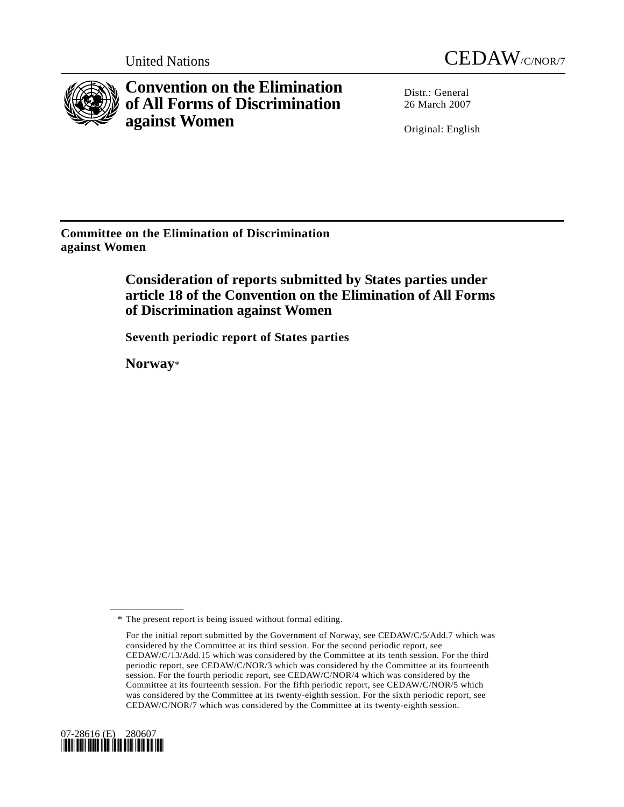



**Convention on the Elimination of All Forms of Discrimination against Women** 

Distr · General 26 March 2007

Original: English

**Committee on the Elimination of Discrimination against Women** 

> **Consideration of reports submitted by States parties under article 18 of the Convention on the Elimination of All Forms of Discrimination against Women**

 **Seventh periodic report of States parties** 

 **Norway**\*

For the initial report submitted by the Government of Norway, see CEDAW/C/5/Add.7 which was considered by the Committee at its third session. For the second periodic report, see CEDAW/C/13/Add.15 which was considered by the Committee at its tenth session. For the third periodic report, see CEDAW/C/NOR/3 which was considered by the Committee at its fourteenth session. For the fourth periodic report, see CEDAW/C/NOR/4 which was considered by the Committee at its fourteenth session. For the fifth periodic report, see CEDAW/C/NOR/5 which was considered by the Committee at its twenty-eighth session. For the sixth periodic report, see CEDAW/C/NOR/7 which was considered by the Committee at its twenty-eighth session.



 <sup>\*</sup> The present report is being issued without formal editing.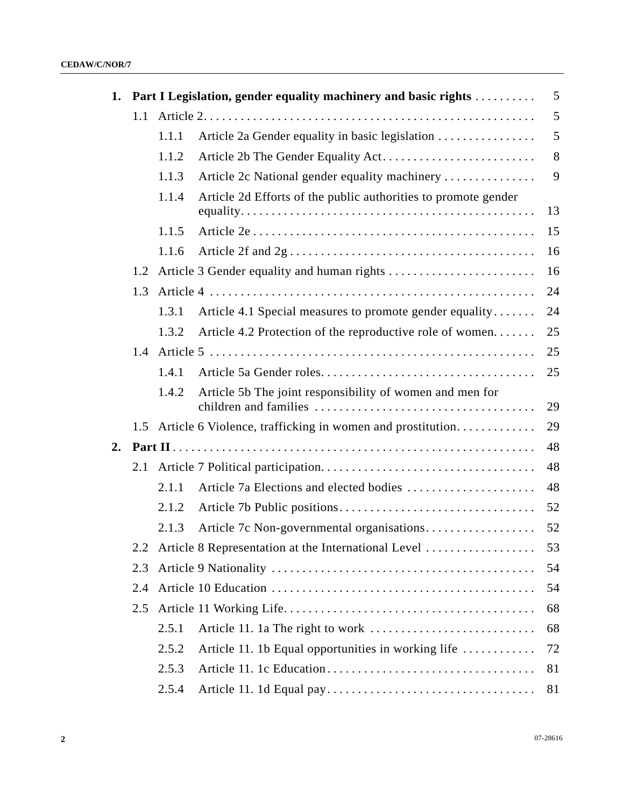| 1. |     | Part I Legislation, gender equality machinery and basic rights |                                                                |    |  |
|----|-----|----------------------------------------------------------------|----------------------------------------------------------------|----|--|
|    | 1.1 |                                                                |                                                                |    |  |
|    |     | 1.1.1                                                          | Article 2a Gender equality in basic legislation                | 5  |  |
|    |     | 1.1.2                                                          |                                                                | 8  |  |
|    |     | 1.1.3                                                          | Article 2c National gender equality machinery                  | 9  |  |
|    |     | 1.1.4                                                          | Article 2d Efforts of the public authorities to promote gender | 13 |  |
|    |     | 1.1.5                                                          |                                                                | 15 |  |
|    |     | 1.1.6                                                          |                                                                | 16 |  |
|    | 1.2 |                                                                |                                                                | 16 |  |
|    | 1.3 |                                                                |                                                                | 24 |  |
|    |     | 1.3.1                                                          | Article 4.1 Special measures to promote gender equality        | 24 |  |
|    |     | 1.3.2                                                          | Article 4.2 Protection of the reproductive role of women       | 25 |  |
|    | 1.4 |                                                                |                                                                | 25 |  |
|    |     | 1.4.1                                                          |                                                                | 25 |  |
|    |     | 1.4.2                                                          | Article 5b The joint responsibility of women and men for       | 29 |  |
|    |     |                                                                | 1.5 Article 6 Violence, trafficking in women and prostitution  | 29 |  |
| 2. |     |                                                                |                                                                | 48 |  |
|    | 2.1 |                                                                |                                                                | 48 |  |
|    |     | 2.1.1                                                          | Article 7a Elections and elected bodies                        | 48 |  |
|    |     | 2.1.2                                                          |                                                                | 52 |  |
|    |     | 2.1.3                                                          | Article 7c Non-governmental organisations                      | 52 |  |
|    | 2.2 | Article 8 Representation at the International Level            |                                                                | 53 |  |
|    | 2.3 |                                                                |                                                                | 54 |  |
|    | 2.4 |                                                                |                                                                | 54 |  |
|    | 2.5 |                                                                |                                                                | 68 |  |
|    |     | 2.5.1                                                          |                                                                | 68 |  |
|    |     | 2.5.2                                                          | Article 11. 1b Equal opportunities in working life             | 72 |  |
|    |     | 2.5.3                                                          |                                                                | 81 |  |
|    |     | 2.5.4                                                          |                                                                | 81 |  |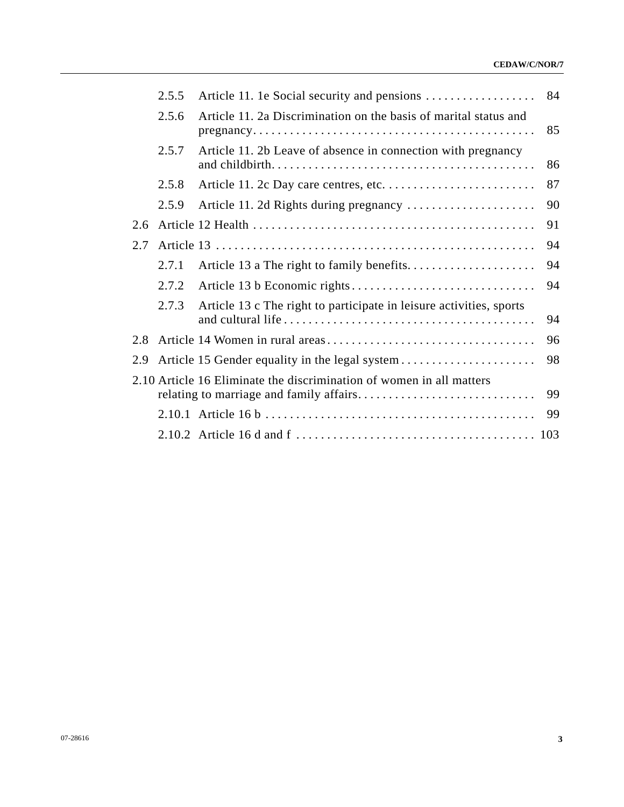#### **CEDAW/C/NOR/7**

|     | 2.5.5 |                                                                      | 84 |
|-----|-------|----------------------------------------------------------------------|----|
|     | 2.5.6 | Article 11. 2a Discrimination on the basis of marital status and     | 85 |
|     | 2.5.7 | Article 11. 2b Leave of absence in connection with pregnancy         | 86 |
|     | 2.5.8 |                                                                      | 87 |
|     | 2.5.9 |                                                                      | 90 |
| 2.6 |       |                                                                      | 91 |
| 2.7 |       |                                                                      | 94 |
|     | 2.7.1 |                                                                      | 94 |
|     | 2.7.2 |                                                                      | 94 |
|     | 2.7.3 | Article 13 c The right to participate in leisure activities, sports  | 94 |
| 2.8 |       |                                                                      | 96 |
| 2.9 |       |                                                                      | 98 |
|     |       | 2.10 Article 16 Eliminate the discrimination of women in all matters | 99 |
|     |       |                                                                      | 99 |
|     |       |                                                                      |    |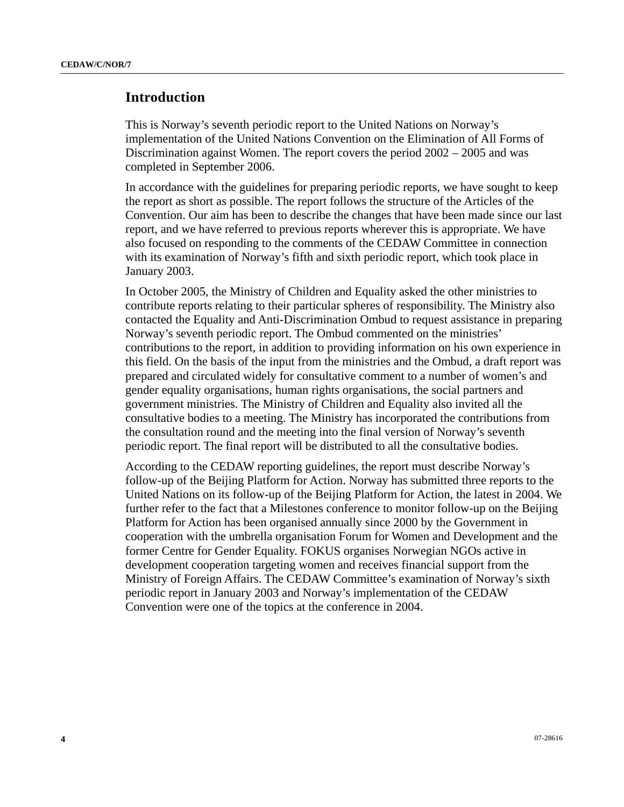# **Introduction**

This is Norway's seventh periodic report to the United Nations on Norway's implementation of the United Nations Convention on the Elimination of All Forms of Discrimination against Women. The report covers the period 2002 – 2005 and was completed in September 2006.

In accordance with the guidelines for preparing periodic reports, we have sought to keep the report as short as possible. The report follows the structure of the Articles of the Convention. Our aim has been to describe the changes that have been made since our last report, and we have referred to previous reports wherever this is appropriate. We have also focused on responding to the comments of the CEDAW Committee in connection with its examination of Norway's fifth and sixth periodic report, which took place in January 2003.

In October 2005, the Ministry of Children and Equality asked the other ministries to contribute reports relating to their particular spheres of responsibility. The Ministry also contacted the Equality and Anti-Discrimination Ombud to request assistance in preparing Norway's seventh periodic report. The Ombud commented on the ministries' contributions to the report, in addition to providing information on his own experience in this field. On the basis of the input from the ministries and the Ombud, a draft report was prepared and circulated widely for consultative comment to a number of women's and gender equality organisations, human rights organisations, the social partners and government ministries. The Ministry of Children and Equality also invited all the consultative bodies to a meeting. The Ministry has incorporated the contributions from the consultation round and the meeting into the final version of Norway's seventh periodic report. The final report will be distributed to all the consultative bodies.

According to the CEDAW reporting guidelines, the report must describe Norway's follow-up of the Beijing Platform for Action. Norway has submitted three reports to the United Nations on its follow-up of the Beijing Platform for Action, the latest in 2004. We further refer to the fact that a Milestones conference to monitor follow-up on the Beijing Platform for Action has been organised annually since 2000 by the Government in cooperation with the umbrella organisation Forum for Women and Development and the former Centre for Gender Equality. FOKUS organises Norwegian NGOs active in development cooperation targeting women and receives financial support from the Ministry of Foreign Affairs. The CEDAW Committee's examination of Norway's sixth periodic report in January 2003 and Norway's implementation of the CEDAW Convention were one of the topics at the conference in 2004.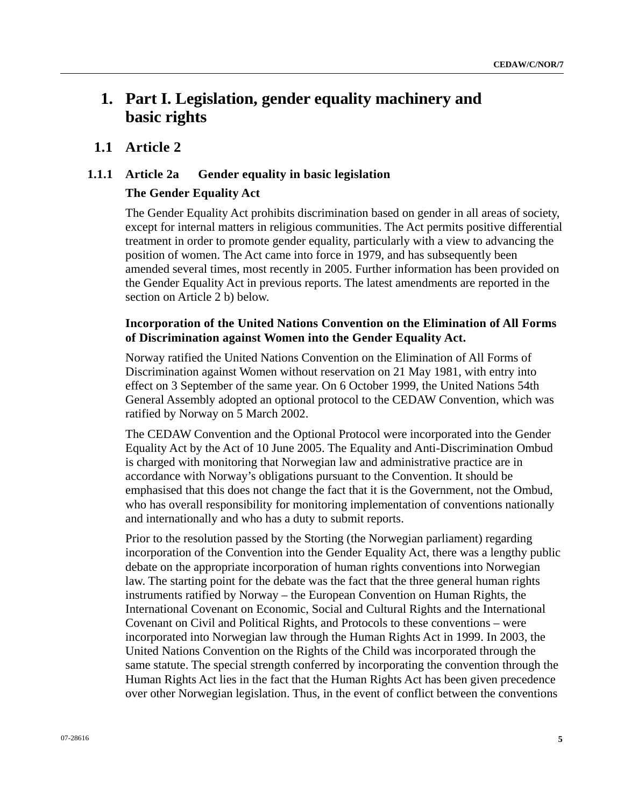# **1. Part I. Legislation, gender equality machinery and basic rights**

# **1.1 Article 2**

# **1.1.1 Article 2a Gender equality in basic legislation**

# **The Gender Equality Act**

The Gender Equality Act prohibits discrimination based on gender in all areas of society, except for internal matters in religious communities. The Act permits positive differential treatment in order to promote gender equality, particularly with a view to advancing the position of women. The Act came into force in 1979, and has subsequently been amended several times, most recently in 2005. Further information has been provided on the Gender Equality Act in previous reports. The latest amendments are reported in the section on Article 2 b) below.

# **Incorporation of the United Nations Convention on the Elimination of All Forms of Discrimination against Women into the Gender Equality Act.**

Norway ratified the United Nations Convention on the Elimination of All Forms of Discrimination against Women without reservation on 21 May 1981, with entry into effect on 3 September of the same year. On 6 October 1999, the United Nations 54th General Assembly adopted an optional protocol to the CEDAW Convention, which was ratified by Norway on 5 March 2002.

The CEDAW Convention and the Optional Protocol were incorporated into the Gender Equality Act by the Act of 10 June 2005. The Equality and Anti-Discrimination Ombud is charged with monitoring that Norwegian law and administrative practice are in accordance with Norway's obligations pursuant to the Convention. It should be emphasised that this does not change the fact that it is the Government, not the Ombud, who has overall responsibility for monitoring implementation of conventions nationally and internationally and who has a duty to submit reports.

Prior to the resolution passed by the Storting (the Norwegian parliament) regarding incorporation of the Convention into the Gender Equality Act, there was a lengthy public debate on the appropriate incorporation of human rights conventions into Norwegian law. The starting point for the debate was the fact that the three general human rights instruments ratified by Norway – the European Convention on Human Rights, the International Covenant on Economic, Social and Cultural Rights and the International Covenant on Civil and Political Rights, and Protocols to these conventions – were incorporated into Norwegian law through the Human Rights Act in 1999. In 2003, the United Nations Convention on the Rights of the Child was incorporated through the same statute. The special strength conferred by incorporating the convention through the Human Rights Act lies in the fact that the Human Rights Act has been given precedence over other Norwegian legislation. Thus, in the event of conflict between the conventions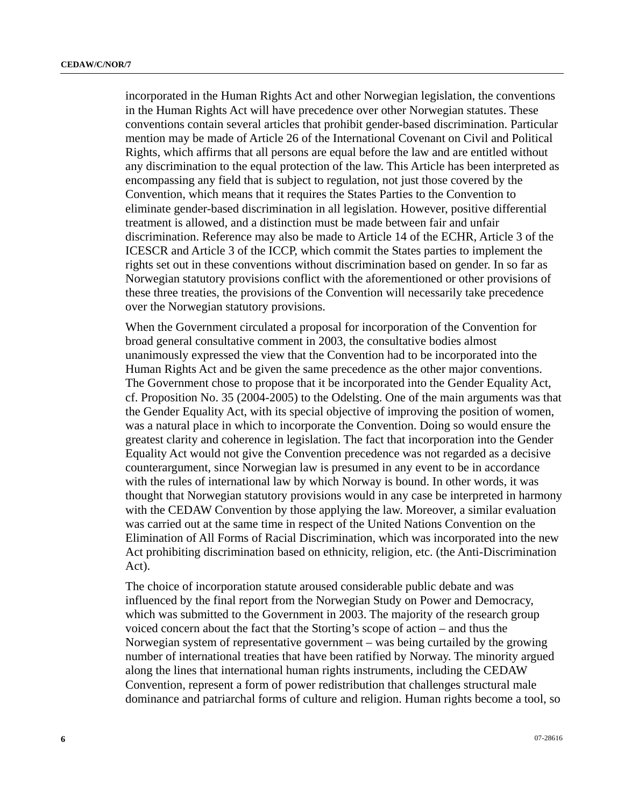incorporated in the Human Rights Act and other Norwegian legislation, the conventions in the Human Rights Act will have precedence over other Norwegian statutes. These conventions contain several articles that prohibit gender-based discrimination. Particular mention may be made of Article 26 of the International Covenant on Civil and Political Rights, which affirms that all persons are equal before the law and are entitled without any discrimination to the equal protection of the law. This Article has been interpreted as encompassing any field that is subject to regulation, not just those covered by the Convention, which means that it requires the States Parties to the Convention to eliminate gender-based discrimination in all legislation. However, positive differential treatment is allowed, and a distinction must be made between fair and unfair discrimination. Reference may also be made to Article 14 of the ECHR, Article 3 of the ICESCR and Article 3 of the ICCP, which commit the States parties to implement the rights set out in these conventions without discrimination based on gender. In so far as Norwegian statutory provisions conflict with the aforementioned or other provisions of these three treaties, the provisions of the Convention will necessarily take precedence over the Norwegian statutory provisions.

When the Government circulated a proposal for incorporation of the Convention for broad general consultative comment in 2003, the consultative bodies almost unanimously expressed the view that the Convention had to be incorporated into the Human Rights Act and be given the same precedence as the other major conventions. The Government chose to propose that it be incorporated into the Gender Equality Act, cf. Proposition No. 35 (2004-2005) to the Odelsting. One of the main arguments was that the Gender Equality Act, with its special objective of improving the position of women, was a natural place in which to incorporate the Convention. Doing so would ensure the greatest clarity and coherence in legislation. The fact that incorporation into the Gender Equality Act would not give the Convention precedence was not regarded as a decisive counterargument, since Norwegian law is presumed in any event to be in accordance with the rules of international law by which Norway is bound. In other words, it was thought that Norwegian statutory provisions would in any case be interpreted in harmony with the CEDAW Convention by those applying the law. Moreover, a similar evaluation was carried out at the same time in respect of the United Nations Convention on the Elimination of All Forms of Racial Discrimination, which was incorporated into the new Act prohibiting discrimination based on ethnicity, religion, etc. (the Anti-Discrimination Act).

The choice of incorporation statute aroused considerable public debate and was influenced by the final report from the Norwegian Study on Power and Democracy, which was submitted to the Government in 2003. The majority of the research group voiced concern about the fact that the Storting's scope of action – and thus the Norwegian system of representative government – was being curtailed by the growing number of international treaties that have been ratified by Norway. The minority argued along the lines that international human rights instruments, including the CEDAW Convention, represent a form of power redistribution that challenges structural male dominance and patriarchal forms of culture and religion. Human rights become a tool, so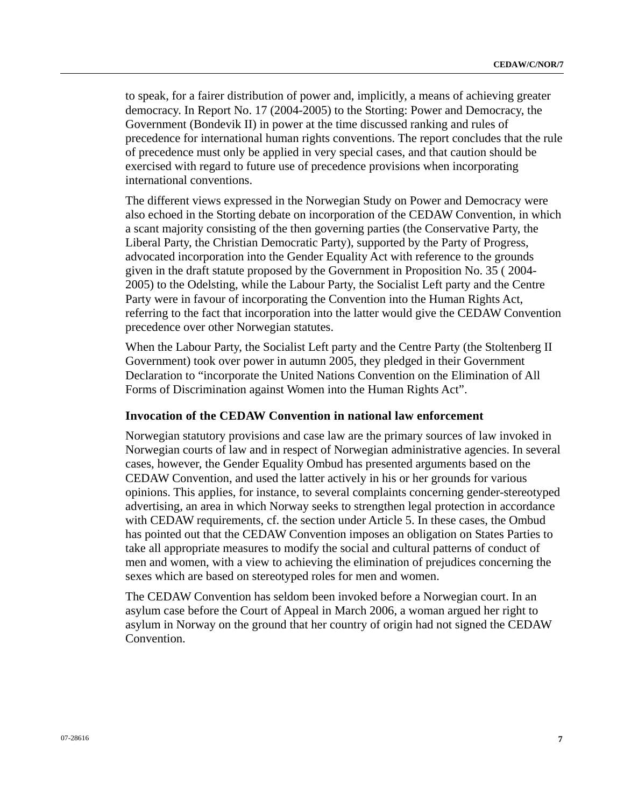to speak, for a fairer distribution of power and, implicitly, a means of achieving greater democracy. In Report No. 17 (2004-2005) to the Storting: Power and Democracy, the Government (Bondevik II) in power at the time discussed ranking and rules of precedence for international human rights conventions. The report concludes that the rule of precedence must only be applied in very special cases, and that caution should be exercised with regard to future use of precedence provisions when incorporating international conventions.

The different views expressed in the Norwegian Study on Power and Democracy were also echoed in the Storting debate on incorporation of the CEDAW Convention, in which a scant majority consisting of the then governing parties (the Conservative Party, the Liberal Party, the Christian Democratic Party), supported by the Party of Progress, advocated incorporation into the Gender Equality Act with reference to the grounds given in the draft statute proposed by the Government in Proposition No. 35 ( 2004- 2005) to the Odelsting, while the Labour Party, the Socialist Left party and the Centre Party were in favour of incorporating the Convention into the Human Rights Act, referring to the fact that incorporation into the latter would give the CEDAW Convention precedence over other Norwegian statutes.

When the Labour Party, the Socialist Left party and the Centre Party (the Stoltenberg II Government) took over power in autumn 2005, they pledged in their Government Declaration to "incorporate the United Nations Convention on the Elimination of All Forms of Discrimination against Women into the Human Rights Act".

# **Invocation of the CEDAW Convention in national law enforcement**

Norwegian statutory provisions and case law are the primary sources of law invoked in Norwegian courts of law and in respect of Norwegian administrative agencies. In several cases, however, the Gender Equality Ombud has presented arguments based on the CEDAW Convention, and used the latter actively in his or her grounds for various opinions. This applies, for instance, to several complaints concerning gender-stereotyped advertising, an area in which Norway seeks to strengthen legal protection in accordance with CEDAW requirements, cf. the section under Article 5. In these cases, the Ombud has pointed out that the CEDAW Convention imposes an obligation on States Parties to take all appropriate measures to modify the social and cultural patterns of conduct of men and women, with a view to achieving the elimination of prejudices concerning the sexes which are based on stereotyped roles for men and women.

The CEDAW Convention has seldom been invoked before a Norwegian court. In an asylum case before the Court of Appeal in March 2006, a woman argued her right to asylum in Norway on the ground that her country of origin had not signed the CEDAW Convention.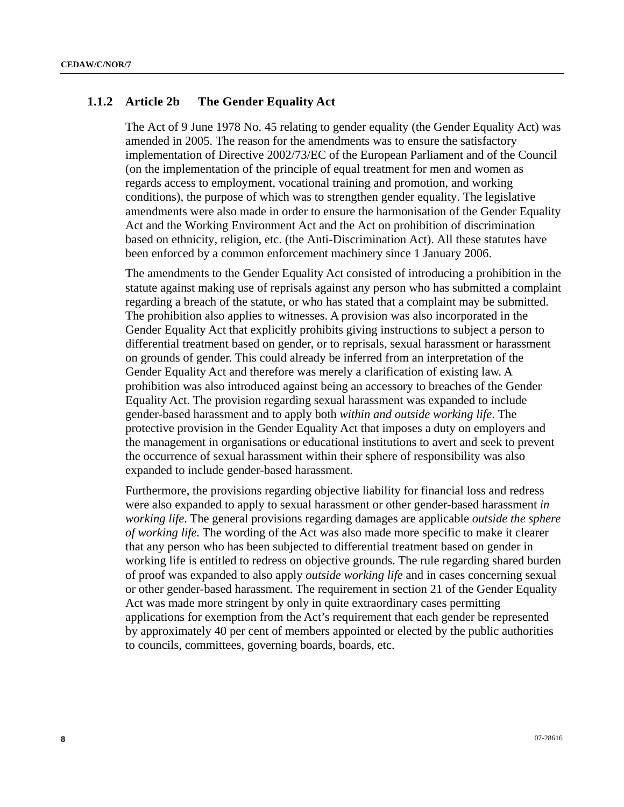### **1.1.2 Article 2b The Gender Equality Act**

The Act of 9 June 1978 No. 45 relating to gender equality (the Gender Equality Act) was amended in 2005. The reason for the amendments was to ensure the satisfactory implementation of Directive 2002/73/EC of the European Parliament and of the Council (on the implementation of the principle of equal treatment for men and women as regards access to employment, vocational training and promotion, and working conditions), the purpose of which was to strengthen gender equality. The legislative amendments were also made in order to ensure the harmonisation of the Gender Equality Act and the Working Environment Act and the Act on prohibition of discrimination based on ethnicity, religion, etc. (the Anti-Discrimination Act). All these statutes have been enforced by a common enforcement machinery since 1 January 2006.

The amendments to the Gender Equality Act consisted of introducing a prohibition in the statute against making use of reprisals against any person who has submitted a complaint regarding a breach of the statute, or who has stated that a complaint may be submitted. The prohibition also applies to witnesses. A provision was also incorporated in the Gender Equality Act that explicitly prohibits giving instructions to subject a person to differential treatment based on gender, or to reprisals, sexual harassment or harassment on grounds of gender. This could already be inferred from an interpretation of the Gender Equality Act and therefore was merely a clarification of existing law. A prohibition was also introduced against being an accessory to breaches of the Gender Equality Act. The provision regarding sexual harassment was expanded to include gender-based harassment and to apply both *within and outside working life*. The protective provision in the Gender Equality Act that imposes a duty on employers and the management in organisations or educational institutions to avert and seek to prevent the occurrence of sexual harassment within their sphere of responsibility was also expanded to include gender-based harassment.

Furthermore, the provisions regarding objective liability for financial loss and redress were also expanded to apply to sexual harassment or other gender-based harassment *in working life*. The general provisions regarding damages are applicable *outside the sphere of working life.* The wording of the Act was also made more specific to make it clearer that any person who has been subjected to differential treatment based on gender in working life is entitled to redress on objective grounds. The rule regarding shared burden of proof was expanded to also apply *outside working life* and in cases concerning sexual or other gender-based harassment. The requirement in section 21 of the Gender Equality Act was made more stringent by only in quite extraordinary cases permitting applications for exemption from the Act's requirement that each gender be represented by approximately 40 per cent of members appointed or elected by the public authorities to councils, committees, governing boards, boards, etc.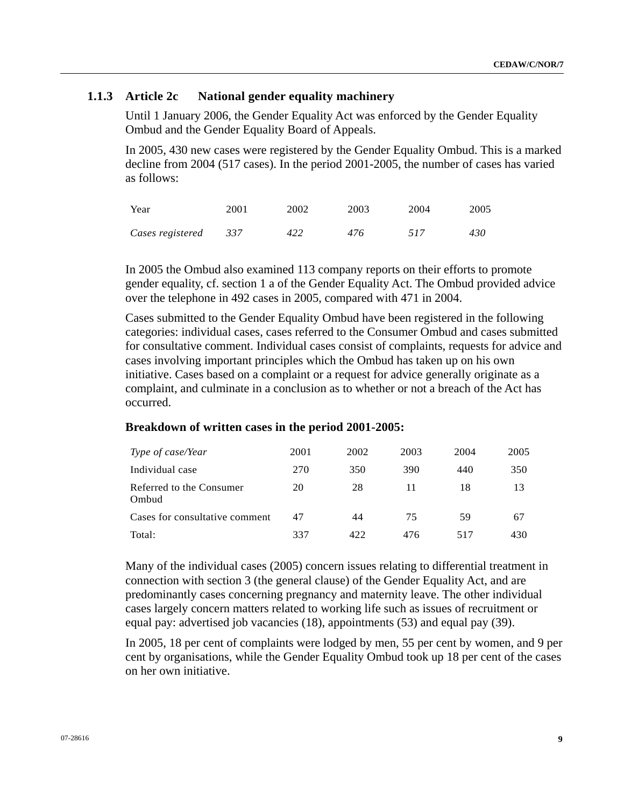# **1.1.3 Article 2c National gender equality machinery**

Until 1 January 2006, the Gender Equality Act was enforced by the Gender Equality Ombud and the Gender Equality Board of Appeals.

In 2005, 430 new cases were registered by the Gender Equality Ombud. This is a marked decline from 2004 (517 cases). In the period 2001-2005, the number of cases has varied as follows:

| Year             | 2001 | 2002 | 2003 | 2004 | 2005 |
|------------------|------|------|------|------|------|
| Cases registered | 337  | 422  | 476  | 517  | 430  |

In 2005 the Ombud also examined 113 company reports on their efforts to promote gender equality, cf. section 1 a of the Gender Equality Act. The Ombud provided advice over the telephone in 492 cases in 2005, compared with 471 in 2004.

Cases submitted to the Gender Equality Ombud have been registered in the following categories: individual cases, cases referred to the Consumer Ombud and cases submitted for consultative comment. Individual cases consist of complaints, requests for advice and cases involving important principles which the Ombud has taken up on his own initiative. Cases based on a complaint or a request for advice generally originate as a complaint, and culminate in a conclusion as to whether or not a breach of the Act has occurred.

| Type of case/Year                 | 2001 | 2002        | 2003 | 2004 | 2005 |
|-----------------------------------|------|-------------|------|------|------|
| Individual case                   | 270  | 350         | 390  | 440  | 350  |
| Referred to the Consumer<br>Ombud | 20   | 28          | 11   | 18   | 13   |
| Cases for consultative comment    | 47   | 44          | 75   | 59   | 67   |
| Total:                            | 337  | $\Delta$ 22 | 476  | 517  | 430  |

#### **Breakdown of written cases in the period 2001-2005:**

Many of the individual cases (2005) concern issues relating to differential treatment in connection with section 3 (the general clause) of the Gender Equality Act, and are predominantly cases concerning pregnancy and maternity leave. The other individual cases largely concern matters related to working life such as issues of recruitment or equal pay: advertised job vacancies (18), appointments (53) and equal pay (39).

In 2005, 18 per cent of complaints were lodged by men, 55 per cent by women, and 9 per cent by organisations, while the Gender Equality Ombud took up 18 per cent of the cases on her own initiative.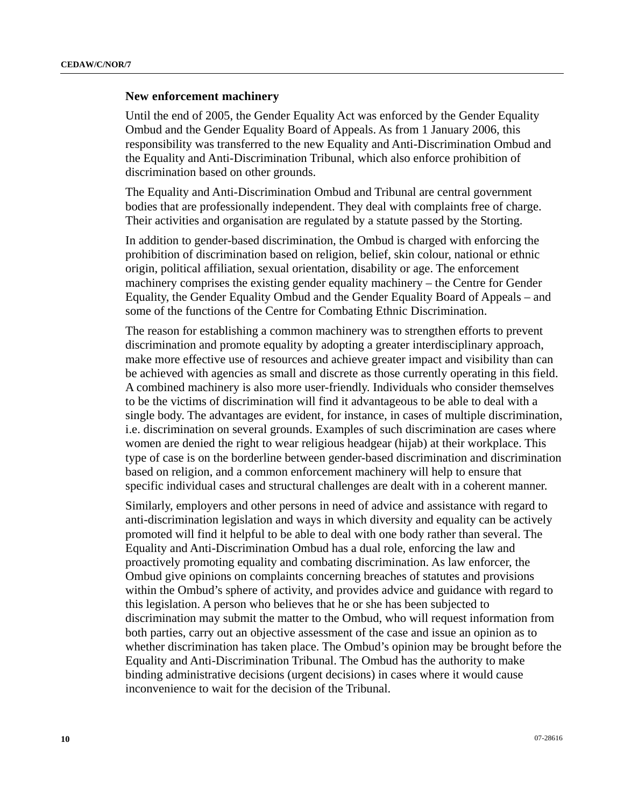#### **New enforcement machinery**

Until the end of 2005, the Gender Equality Act was enforced by the Gender Equality Ombud and the Gender Equality Board of Appeals. As from 1 January 2006, this responsibility was transferred to the new Equality and Anti-Discrimination Ombud and the Equality and Anti-Discrimination Tribunal, which also enforce prohibition of discrimination based on other grounds.

The Equality and Anti-Discrimination Ombud and Tribunal are central government bodies that are professionally independent. They deal with complaints free of charge. Their activities and organisation are regulated by a statute passed by the Storting.

In addition to gender-based discrimination, the Ombud is charged with enforcing the prohibition of discrimination based on religion, belief, skin colour, national or ethnic origin, political affiliation, sexual orientation, disability or age. The enforcement machinery comprises the existing gender equality machinery – the Centre for Gender Equality, the Gender Equality Ombud and the Gender Equality Board of Appeals – and some of the functions of the Centre for Combating Ethnic Discrimination.

The reason for establishing a common machinery was to strengthen efforts to prevent discrimination and promote equality by adopting a greater interdisciplinary approach, make more effective use of resources and achieve greater impact and visibility than can be achieved with agencies as small and discrete as those currently operating in this field. A combined machinery is also more user-friendly. Individuals who consider themselves to be the victims of discrimination will find it advantageous to be able to deal with a single body. The advantages are evident, for instance, in cases of multiple discrimination, i.e. discrimination on several grounds. Examples of such discrimination are cases where women are denied the right to wear religious headgear (hijab) at their workplace. This type of case is on the borderline between gender-based discrimination and discrimination based on religion, and a common enforcement machinery will help to ensure that specific individual cases and structural challenges are dealt with in a coherent manner.

Similarly, employers and other persons in need of advice and assistance with regard to anti-discrimination legislation and ways in which diversity and equality can be actively promoted will find it helpful to be able to deal with one body rather than several. The Equality and Anti-Discrimination Ombud has a dual role, enforcing the law and proactively promoting equality and combating discrimination. As law enforcer, the Ombud give opinions on complaints concerning breaches of statutes and provisions within the Ombud's sphere of activity, and provides advice and guidance with regard to this legislation. A person who believes that he or she has been subjected to discrimination may submit the matter to the Ombud, who will request information from both parties, carry out an objective assessment of the case and issue an opinion as to whether discrimination has taken place. The Ombud's opinion may be brought before the Equality and Anti-Discrimination Tribunal. The Ombud has the authority to make binding administrative decisions (urgent decisions) in cases where it would cause inconvenience to wait for the decision of the Tribunal.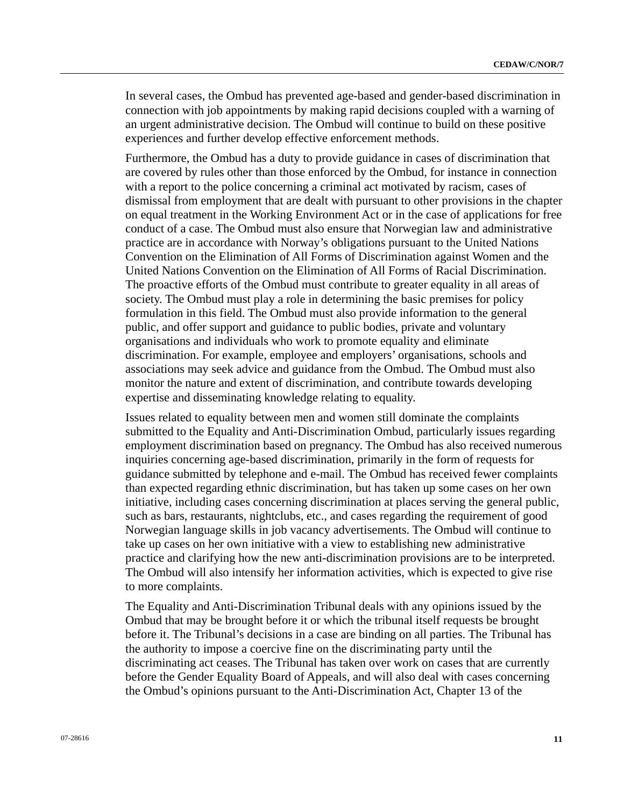In several cases, the Ombud has prevented age-based and gender-based discrimination in connection with job appointments by making rapid decisions coupled with a warning of an urgent administrative decision. The Ombud will continue to build on these positive experiences and further develop effective enforcement methods.

Furthermore, the Ombud has a duty to provide guidance in cases of discrimination that are covered by rules other than those enforced by the Ombud, for instance in connection with a report to the police concerning a criminal act motivated by racism, cases of dismissal from employment that are dealt with pursuant to other provisions in the chapter on equal treatment in the Working Environment Act or in the case of applications for free conduct of a case. The Ombud must also ensure that Norwegian law and administrative practice are in accordance with Norway's obligations pursuant to the United Nations Convention on the Elimination of All Forms of Discrimination against Women and the United Nations Convention on the Elimination of All Forms of Racial Discrimination. The proactive efforts of the Ombud must contribute to greater equality in all areas of society. The Ombud must play a role in determining the basic premises for policy formulation in this field. The Ombud must also provide information to the general public, and offer support and guidance to public bodies, private and voluntary organisations and individuals who work to promote equality and eliminate discrimination. For example, employee and employers' organisations, schools and associations may seek advice and guidance from the Ombud. The Ombud must also monitor the nature and extent of discrimination, and contribute towards developing expertise and disseminating knowledge relating to equality.

Issues related to equality between men and women still dominate the complaints submitted to the Equality and Anti-Discrimination Ombud, particularly issues regarding employment discrimination based on pregnancy. The Ombud has also received numerous inquiries concerning age-based discrimination, primarily in the form of requests for guidance submitted by telephone and e-mail. The Ombud has received fewer complaints than expected regarding ethnic discrimination, but has taken up some cases on her own initiative, including cases concerning discrimination at places serving the general public, such as bars, restaurants, nightclubs, etc., and cases regarding the requirement of good Norwegian language skills in job vacancy advertisements. The Ombud will continue to take up cases on her own initiative with a view to establishing new administrative practice and clarifying how the new anti-discrimination provisions are to be interpreted. The Ombud will also intensify her information activities, which is expected to give rise to more complaints.

The Equality and Anti-Discrimination Tribunal deals with any opinions issued by the Ombud that may be brought before it or which the tribunal itself requests be brought before it. The Tribunal's decisions in a case are binding on all parties. The Tribunal has the authority to impose a coercive fine on the discriminating party until the discriminating act ceases. The Tribunal has taken over work on cases that are currently before the Gender Equality Board of Appeals, and will also deal with cases concerning the Ombud's opinions pursuant to the Anti-Discrimination Act, Chapter 13 of the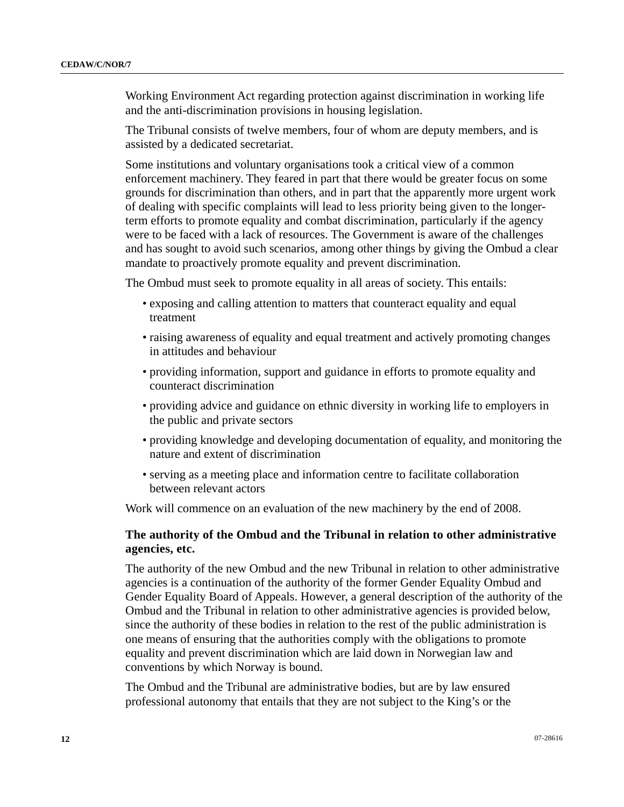Working Environment Act regarding protection against discrimination in working life and the anti-discrimination provisions in housing legislation.

The Tribunal consists of twelve members, four of whom are deputy members, and is assisted by a dedicated secretariat.

Some institutions and voluntary organisations took a critical view of a common enforcement machinery. They feared in part that there would be greater focus on some grounds for discrimination than others, and in part that the apparently more urgent work of dealing with specific complaints will lead to less priority being given to the longerterm efforts to promote equality and combat discrimination, particularly if the agency were to be faced with a lack of resources. The Government is aware of the challenges and has sought to avoid such scenarios, among other things by giving the Ombud a clear mandate to proactively promote equality and prevent discrimination.

The Ombud must seek to promote equality in all areas of society. This entails:

- exposing and calling attention to matters that counteract equality and equal treatment
- raising awareness of equality and equal treatment and actively promoting changes in attitudes and behaviour
- providing information, support and guidance in efforts to promote equality and counteract discrimination
- providing advice and guidance on ethnic diversity in working life to employers in the public and private sectors
- providing knowledge and developing documentation of equality, and monitoring the nature and extent of discrimination
- serving as a meeting place and information centre to facilitate collaboration between relevant actors

Work will commence on an evaluation of the new machinery by the end of 2008.

#### **The authority of the Ombud and the Tribunal in relation to other administrative agencies, etc.**

The authority of the new Ombud and the new Tribunal in relation to other administrative agencies is a continuation of the authority of the former Gender Equality Ombud and Gender Equality Board of Appeals. However, a general description of the authority of the Ombud and the Tribunal in relation to other administrative agencies is provided below, since the authority of these bodies in relation to the rest of the public administration is one means of ensuring that the authorities comply with the obligations to promote equality and prevent discrimination which are laid down in Norwegian law and conventions by which Norway is bound.

The Ombud and the Tribunal are administrative bodies, but are by law ensured professional autonomy that entails that they are not subject to the King's or the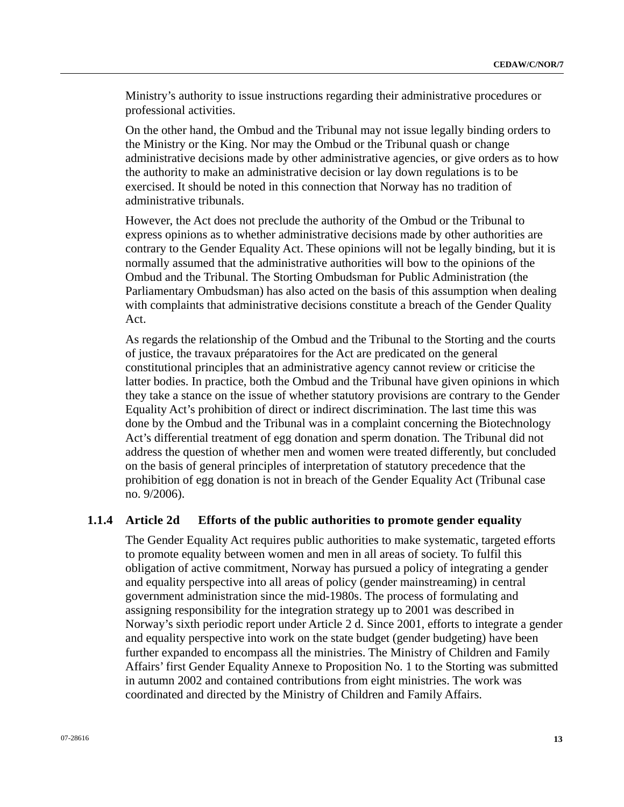Ministry's authority to issue instructions regarding their administrative procedures or professional activities.

On the other hand, the Ombud and the Tribunal may not issue legally binding orders to the Ministry or the King. Nor may the Ombud or the Tribunal quash or change administrative decisions made by other administrative agencies, or give orders as to how the authority to make an administrative decision or lay down regulations is to be exercised. It should be noted in this connection that Norway has no tradition of administrative tribunals.

However, the Act does not preclude the authority of the Ombud or the Tribunal to express opinions as to whether administrative decisions made by other authorities are contrary to the Gender Equality Act. These opinions will not be legally binding, but it is normally assumed that the administrative authorities will bow to the opinions of the Ombud and the Tribunal. The Storting Ombudsman for Public Administration (the Parliamentary Ombudsman) has also acted on the basis of this assumption when dealing with complaints that administrative decisions constitute a breach of the Gender Quality Act.

As regards the relationship of the Ombud and the Tribunal to the Storting and the courts of justice, the travaux préparatoires for the Act are predicated on the general constitutional principles that an administrative agency cannot review or criticise the latter bodies. In practice, both the Ombud and the Tribunal have given opinions in which they take a stance on the issue of whether statutory provisions are contrary to the Gender Equality Act's prohibition of direct or indirect discrimination. The last time this was done by the Ombud and the Tribunal was in a complaint concerning the Biotechnology Act's differential treatment of egg donation and sperm donation. The Tribunal did not address the question of whether men and women were treated differently, but concluded on the basis of general principles of interpretation of statutory precedence that the prohibition of egg donation is not in breach of the Gender Equality Act (Tribunal case no. 9/2006).

#### **1.1.4 Article 2d Efforts of the public authorities to promote gender equality**

The Gender Equality Act requires public authorities to make systematic, targeted efforts to promote equality between women and men in all areas of society. To fulfil this obligation of active commitment, Norway has pursued a policy of integrating a gender and equality perspective into all areas of policy (gender mainstreaming) in central government administration since the mid-1980s. The process of formulating and assigning responsibility for the integration strategy up to 2001 was described in Norway's sixth periodic report under Article 2 d. Since 2001, efforts to integrate a gender and equality perspective into work on the state budget (gender budgeting) have been further expanded to encompass all the ministries. The Ministry of Children and Family Affairs' first Gender Equality Annexe to Proposition No. 1 to the Storting was submitted in autumn 2002 and contained contributions from eight ministries. The work was coordinated and directed by the Ministry of Children and Family Affairs.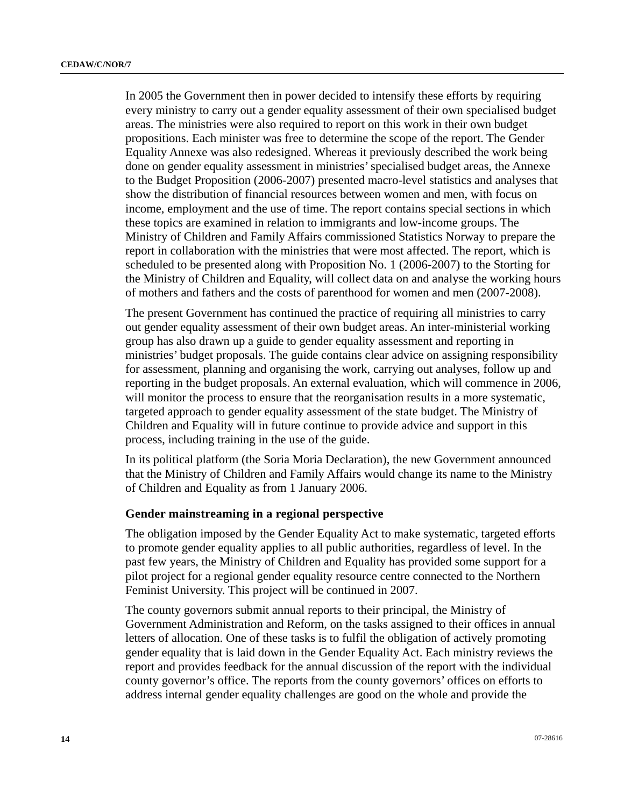In 2005 the Government then in power decided to intensify these efforts by requiring every ministry to carry out a gender equality assessment of their own specialised budget areas. The ministries were also required to report on this work in their own budget propositions. Each minister was free to determine the scope of the report. The Gender Equality Annexe was also redesigned. Whereas it previously described the work being done on gender equality assessment in ministries' specialised budget areas, the Annexe to the Budget Proposition (2006-2007) presented macro-level statistics and analyses that show the distribution of financial resources between women and men, with focus on income, employment and the use of time. The report contains special sections in which these topics are examined in relation to immigrants and low-income groups. The Ministry of Children and Family Affairs commissioned Statistics Norway to prepare the report in collaboration with the ministries that were most affected. The report, which is scheduled to be presented along with Proposition No. 1 (2006-2007) to the Storting for the Ministry of Children and Equality, will collect data on and analyse the working hours of mothers and fathers and the costs of parenthood for women and men (2007-2008).

The present Government has continued the practice of requiring all ministries to carry out gender equality assessment of their own budget areas. An inter-ministerial working group has also drawn up a guide to gender equality assessment and reporting in ministries' budget proposals. The guide contains clear advice on assigning responsibility for assessment, planning and organising the work, carrying out analyses, follow up and reporting in the budget proposals. An external evaluation, which will commence in 2006, will monitor the process to ensure that the reorganisation results in a more systematic, targeted approach to gender equality assessment of the state budget. The Ministry of Children and Equality will in future continue to provide advice and support in this process, including training in the use of the guide.

In its political platform (the Soria Moria Declaration), the new Government announced that the Ministry of Children and Family Affairs would change its name to the Ministry of Children and Equality as from 1 January 2006.

#### **Gender mainstreaming in a regional perspective**

The obligation imposed by the Gender Equality Act to make systematic, targeted efforts to promote gender equality applies to all public authorities, regardless of level. In the past few years, the Ministry of Children and Equality has provided some support for a pilot project for a regional gender equality resource centre connected to the Northern Feminist University. This project will be continued in 2007.

The county governors submit annual reports to their principal, the Ministry of Government Administration and Reform, on the tasks assigned to their offices in annual letters of allocation. One of these tasks is to fulfil the obligation of actively promoting gender equality that is laid down in the Gender Equality Act. Each ministry reviews the report and provides feedback for the annual discussion of the report with the individual county governor's office. The reports from the county governors' offices on efforts to address internal gender equality challenges are good on the whole and provide the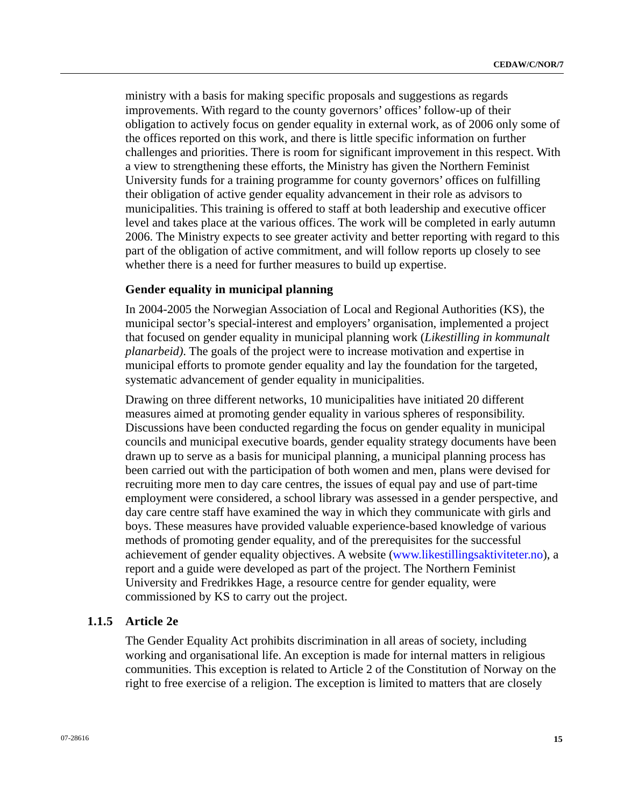ministry with a basis for making specific proposals and suggestions as regards improvements. With regard to the county governors' offices' follow-up of their obligation to actively focus on gender equality in external work, as of 2006 only some of the offices reported on this work, and there is little specific information on further challenges and priorities. There is room for significant improvement in this respect. With a view to strengthening these efforts, the Ministry has given the Northern Feminist University funds for a training programme for county governors' offices on fulfilling their obligation of active gender equality advancement in their role as advisors to municipalities. This training is offered to staff at both leadership and executive officer level and takes place at the various offices. The work will be completed in early autumn 2006. The Ministry expects to see greater activity and better reporting with regard to this part of the obligation of active commitment, and will follow reports up closely to see whether there is a need for further measures to build up expertise.

#### **Gender equality in municipal planning**

In 2004-2005 the Norwegian Association of Local and Regional Authorities (KS), the municipal sector's special-interest and employers' organisation, implemented a project that focused on gender equality in municipal planning work (*Likestilling in kommunalt planarbeid)*. The goals of the project were to increase motivation and expertise in municipal efforts to promote gender equality and lay the foundation for the targeted, systematic advancement of gender equality in municipalities.

Drawing on three different networks, 10 municipalities have initiated 20 different measures aimed at promoting gender equality in various spheres of responsibility. Discussions have been conducted regarding the focus on gender equality in municipal councils and municipal executive boards, gender equality strategy documents have been drawn up to serve as a basis for municipal planning, a municipal planning process has been carried out with the participation of both women and men, plans were devised for recruiting more men to day care centres, the issues of equal pay and use of part-time employment were considered, a school library was assessed in a gender perspective, and day care centre staff have examined the way in which they communicate with girls and boys. These measures have provided valuable experience-based knowledge of various methods of promoting gender equality, and of the prerequisites for the successful achievement of gender equality objectives. A website ([www.likestillingsaktiviteter.no\)](http://www.likestillingsaktiviteter.no/), a report and a guide were developed as part of the project. The Northern Feminist University and Fredrikkes Hage, a resource centre for gender equality, were commissioned by KS to carry out the project.

## **1.1.5 Article 2e**

The Gender Equality Act prohibits discrimination in all areas of society, including working and organisational life. An exception is made for internal matters in religious communities. This exception is related to Article 2 of the Constitution of Norway on the right to free exercise of a religion. The exception is limited to matters that are closely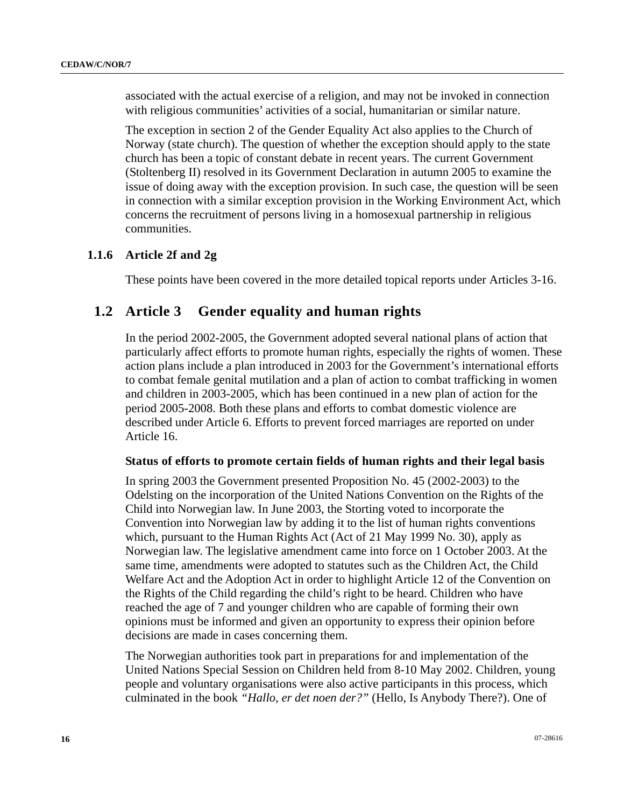associated with the actual exercise of a religion, and may not be invoked in connection with religious communities' activities of a social, humanitarian or similar nature.

The exception in section 2 of the Gender Equality Act also applies to the Church of Norway (state church). The question of whether the exception should apply to the state church has been a topic of constant debate in recent years. The current Government (Stoltenberg II) resolved in its Government Declaration in autumn 2005 to examine the issue of doing away with the exception provision. In such case, the question will be seen in connection with a similar exception provision in the Working Environment Act, which concerns the recruitment of persons living in a homosexual partnership in religious communities.

# **1.1.6 Article 2f and 2g**

These points have been covered in the more detailed topical reports under Articles 3-16.

# **1.2 Article 3 Gender equality and human rights**

In the period 2002-2005, the Government adopted several national plans of action that particularly affect efforts to promote human rights, especially the rights of women. These action plans include a plan introduced in 2003 for the Government's international efforts to combat female genital mutilation and a plan of action to combat trafficking in women and children in 2003-2005, which has been continued in a new plan of action for the period 2005-2008. Both these plans and efforts to combat domestic violence are described under Article 6. Efforts to prevent forced marriages are reported on under Article 16.

#### **Status of efforts to promote certain fields of human rights and their legal basis**

In spring 2003 the Government presented Proposition No. 45 (2002-2003) to the Odelsting on the incorporation of the United Nations Convention on the Rights of the Child into Norwegian law. In June 2003, the Storting voted to incorporate the Convention into Norwegian law by adding it to the list of human rights conventions which, pursuant to the Human Rights Act (Act of 21 May 1999 No. 30), apply as Norwegian law. The legislative amendment came into force on 1 October 2003. At the same time, amendments were adopted to statutes such as the Children Act, the Child Welfare Act and the Adoption Act in order to highlight Article 12 of the Convention on the Rights of the Child regarding the child's right to be heard. Children who have reached the age of 7 and younger children who are capable of forming their own opinions must be informed and given an opportunity to express their opinion before decisions are made in cases concerning them.

The Norwegian authorities took part in preparations for and implementation of the United Nations Special Session on Children held from 8-10 May 2002. Children, young people and voluntary organisations were also active participants in this process, which culminated in the book *"Hallo, er det noen der?"* (Hello, Is Anybody There?). One of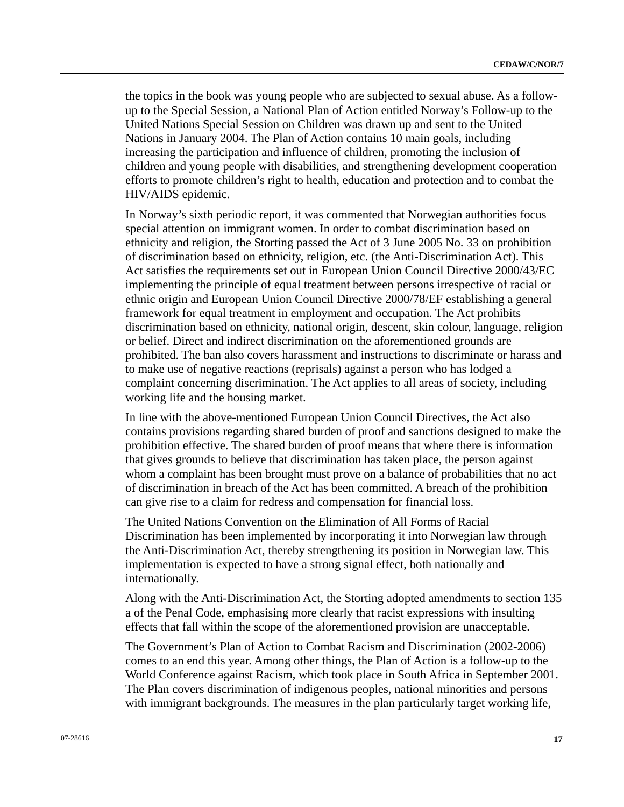the topics in the book was young people who are subjected to sexual abuse. As a followup to the Special Session, a National Plan of Action entitled Norway's Follow-up to the United Nations Special Session on Children was drawn up and sent to the United Nations in January 2004. The Plan of Action contains 10 main goals, including increasing the participation and influence of children, promoting the inclusion of children and young people with disabilities, and strengthening development cooperation efforts to promote children's right to health, education and protection and to combat the HIV/AIDS epidemic.

In Norway's sixth periodic report, it was commented that Norwegian authorities focus special attention on immigrant women. In order to combat discrimination based on ethnicity and religion, the Storting passed the Act of 3 June 2005 No. 33 on prohibition of discrimination based on ethnicity, religion, etc. (the Anti-Discrimination Act). This Act satisfies the requirements set out in European Union Council Directive 2000/43/EC implementing the principle of equal treatment between persons irrespective of racial or ethnic origin and European Union Council Directive 2000/78/EF establishing a general framework for equal treatment in employment and occupation. The Act prohibits discrimination based on ethnicity, national origin, descent, skin colour, language, religion or belief. Direct and indirect discrimination on the aforementioned grounds are prohibited. The ban also covers harassment and instructions to discriminate or harass and to make use of negative reactions (reprisals) against a person who has lodged a complaint concerning discrimination. The Act applies to all areas of society, including working life and the housing market.

In line with the above-mentioned European Union Council Directives, the Act also contains provisions regarding shared burden of proof and sanctions designed to make the prohibition effective. The shared burden of proof means that where there is information that gives grounds to believe that discrimination has taken place, the person against whom a complaint has been brought must prove on a balance of probabilities that no act of discrimination in breach of the Act has been committed. A breach of the prohibition can give rise to a claim for redress and compensation for financial loss.

The United Nations Convention on the Elimination of All Forms of Racial Discrimination has been implemented by incorporating it into Norwegian law through the Anti-Discrimination Act, thereby strengthening its position in Norwegian law. This implementation is expected to have a strong signal effect, both nationally and internationally.

Along with the Anti-Discrimination Act, the Storting adopted amendments to section 135 a of the Penal Code, emphasising more clearly that racist expressions with insulting effects that fall within the scope of the aforementioned provision are unacceptable.

The Government's Plan of Action to Combat Racism and Discrimination (2002-2006) comes to an end this year. Among other things, the Plan of Action is a follow-up to the World Conference against Racism, which took place in South Africa in September 2001. The Plan covers discrimination of indigenous peoples, national minorities and persons with immigrant backgrounds. The measures in the plan particularly target working life,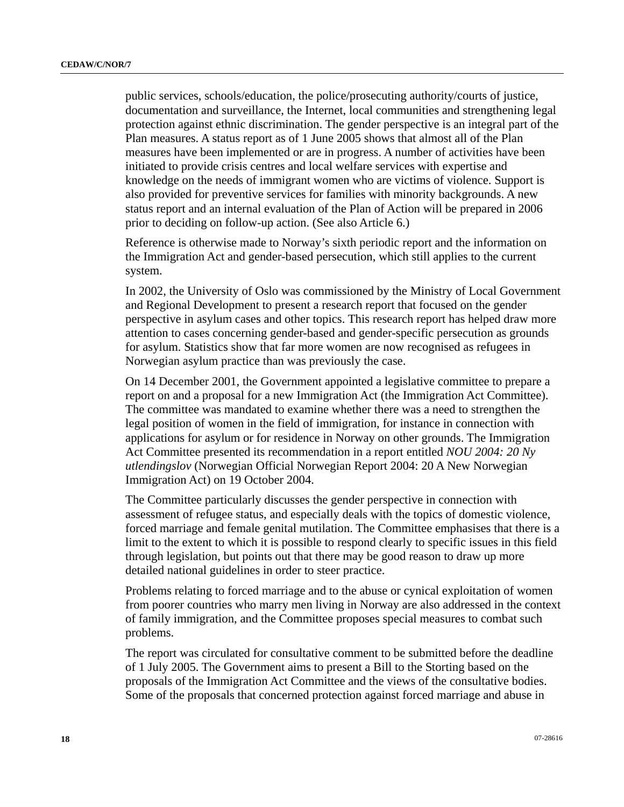public services, schools/education, the police/prosecuting authority/courts of justice, documentation and surveillance, the Internet, local communities and strengthening legal protection against ethnic discrimination. The gender perspective is an integral part of the Plan measures. A status report as of 1 June 2005 shows that almost all of the Plan measures have been implemented or are in progress. A number of activities have been initiated to provide crisis centres and local welfare services with expertise and knowledge on the needs of immigrant women who are victims of violence. Support is also provided for preventive services for families with minority backgrounds. A new status report and an internal evaluation of the Plan of Action will be prepared in 2006 prior to deciding on follow-up action. (See also Article 6.)

Reference is otherwise made to Norway's sixth periodic report and the information on the Immigration Act and gender-based persecution, which still applies to the current system.

In 2002, the University of Oslo was commissioned by the Ministry of Local Government and Regional Development to present a research report that focused on the gender perspective in asylum cases and other topics. This research report has helped draw more attention to cases concerning gender-based and gender-specific persecution as grounds for asylum. Statistics show that far more women are now recognised as refugees in Norwegian asylum practice than was previously the case.

On 14 December 2001, the Government appointed a legislative committee to prepare a report on and a proposal for a new Immigration Act (the Immigration Act Committee). The committee was mandated to examine whether there was a need to strengthen the legal position of women in the field of immigration, for instance in connection with applications for asylum or for residence in Norway on other grounds. The Immigration Act Committee presented its recommendation in a report entitled *NOU 2004: 20 Ny utlendingslov* (Norwegian Official Norwegian Report 2004: 20 A New Norwegian Immigration Act) on 19 October 2004.

The Committee particularly discusses the gender perspective in connection with assessment of refugee status, and especially deals with the topics of domestic violence, forced marriage and female genital mutilation. The Committee emphasises that there is a limit to the extent to which it is possible to respond clearly to specific issues in this field through legislation, but points out that there may be good reason to draw up more detailed national guidelines in order to steer practice.

Problems relating to forced marriage and to the abuse or cynical exploitation of women from poorer countries who marry men living in Norway are also addressed in the context of family immigration, and the Committee proposes special measures to combat such problems.

The report was circulated for consultative comment to be submitted before the deadline of 1 July 2005. The Government aims to present a Bill to the Storting based on the proposals of the Immigration Act Committee and the views of the consultative bodies. Some of the proposals that concerned protection against forced marriage and abuse in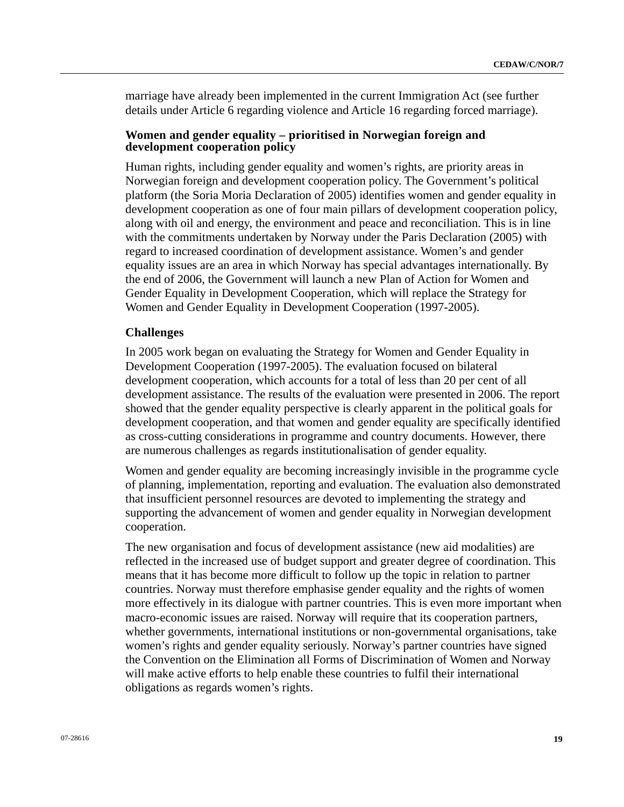marriage have already been implemented in the current Immigration Act (see further details under Article 6 regarding violence and Article 16 regarding forced marriage).

#### **Women and gender equality – prioritised in Norwegian foreign and development cooperation policy**

Human rights, including gender equality and women's rights, are priority areas in Norwegian foreign and development cooperation policy. The Government's political platform (the Soria Moria Declaration of 2005) identifies women and gender equality in development cooperation as one of four main pillars of development cooperation policy, along with oil and energy, the environment and peace and reconciliation. This is in line with the commitments undertaken by Norway under the Paris Declaration (2005) with regard to increased coordination of development assistance. Women's and gender equality issues are an area in which Norway has special advantages internationally. By the end of 2006, the Government will launch a new Plan of Action for Women and Gender Equality in Development Cooperation, which will replace the Strategy for Women and Gender Equality in Development Cooperation (1997-2005).

#### **Challenges**

In 2005 work began on evaluating the Strategy for Women and Gender Equality in Development Cooperation (1997-2005). The evaluation focused on bilateral development cooperation, which accounts for a total of less than 20 per cent of all development assistance. The results of the evaluation were presented in 2006. The report showed that the gender equality perspective is clearly apparent in the political goals for development cooperation, and that women and gender equality are specifically identified as cross-cutting considerations in programme and country documents. However, there are numerous challenges as regards institutionalisation of gender equality.

Women and gender equality are becoming increasingly invisible in the programme cycle of planning, implementation, reporting and evaluation. The evaluation also demonstrated that insufficient personnel resources are devoted to implementing the strategy and supporting the advancement of women and gender equality in Norwegian development cooperation.

The new organisation and focus of development assistance (new aid modalities) are reflected in the increased use of budget support and greater degree of coordination. This means that it has become more difficult to follow up the topic in relation to partner countries. Norway must therefore emphasise gender equality and the rights of women more effectively in its dialogue with partner countries. This is even more important when macro-economic issues are raised. Norway will require that its cooperation partners, whether governments, international institutions or non-governmental organisations, take women's rights and gender equality seriously. Norway's partner countries have signed the Convention on the Elimination all Forms of Discrimination of Women and Norway will make active efforts to help enable these countries to fulfil their international obligations as regards women's rights.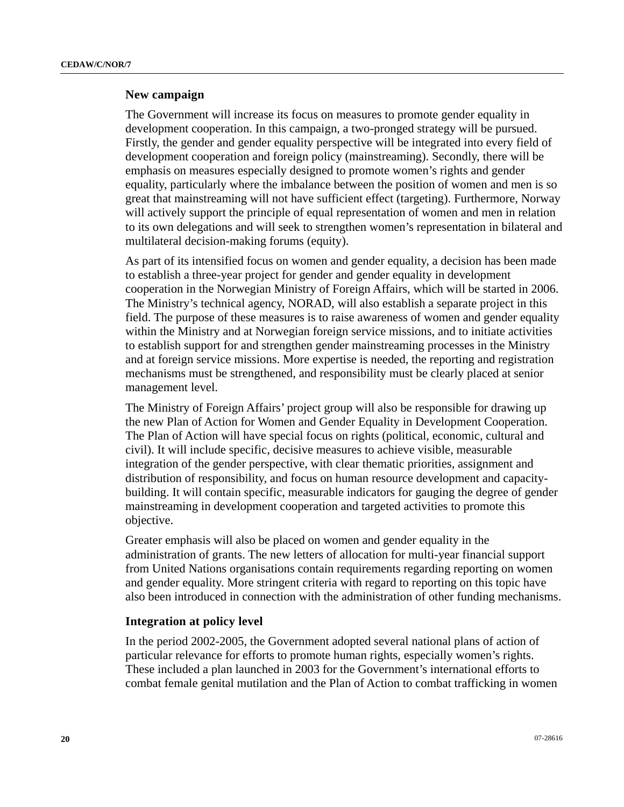#### **New campaign**

The Government will increase its focus on measures to promote gender equality in development cooperation. In this campaign, a two-pronged strategy will be pursued. Firstly, the gender and gender equality perspective will be integrated into every field of development cooperation and foreign policy (mainstreaming). Secondly, there will be emphasis on measures especially designed to promote women's rights and gender equality, particularly where the imbalance between the position of women and men is so great that mainstreaming will not have sufficient effect (targeting). Furthermore, Norway will actively support the principle of equal representation of women and men in relation to its own delegations and will seek to strengthen women's representation in bilateral and multilateral decision-making forums (equity).

As part of its intensified focus on women and gender equality, a decision has been made to establish a three-year project for gender and gender equality in development cooperation in the Norwegian Ministry of Foreign Affairs, which will be started in 2006. The Ministry's technical agency, NORAD, will also establish a separate project in this field. The purpose of these measures is to raise awareness of women and gender equality within the Ministry and at Norwegian foreign service missions, and to initiate activities to establish support for and strengthen gender mainstreaming processes in the Ministry and at foreign service missions. More expertise is needed, the reporting and registration mechanisms must be strengthened, and responsibility must be clearly placed at senior management level.

The Ministry of Foreign Affairs' project group will also be responsible for drawing up the new Plan of Action for Women and Gender Equality in Development Cooperation. The Plan of Action will have special focus on rights (political, economic, cultural and civil). It will include specific, decisive measures to achieve visible, measurable integration of the gender perspective, with clear thematic priorities, assignment and distribution of responsibility, and focus on human resource development and capacitybuilding. It will contain specific, measurable indicators for gauging the degree of gender mainstreaming in development cooperation and targeted activities to promote this objective.

Greater emphasis will also be placed on women and gender equality in the administration of grants. The new letters of allocation for multi-year financial support from United Nations organisations contain requirements regarding reporting on women and gender equality. More stringent criteria with regard to reporting on this topic have also been introduced in connection with the administration of other funding mechanisms.

## **Integration at policy level**

In the period 2002-2005, the Government adopted several national plans of action of particular relevance for efforts to promote human rights, especially women's rights. These included a plan launched in 2003 for the Government's international efforts to combat female genital mutilation and the Plan of Action to combat trafficking in women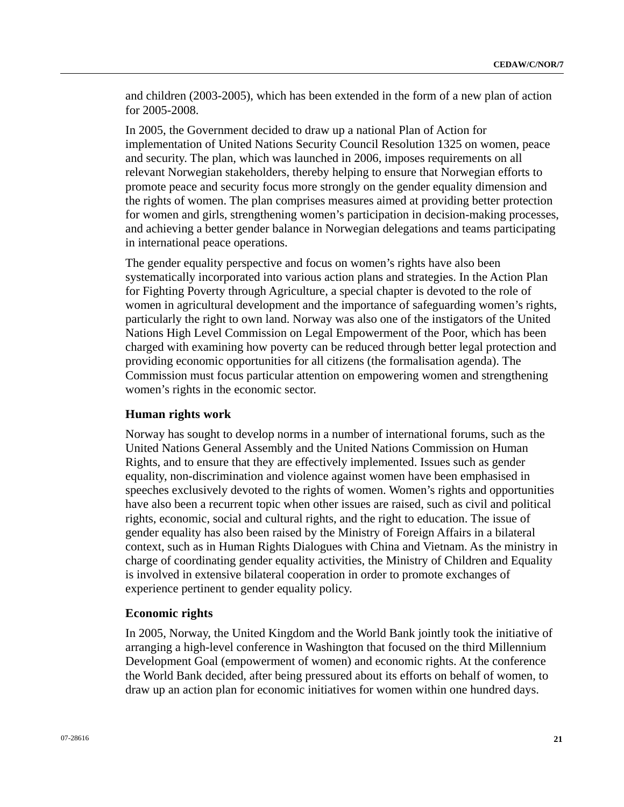and children (2003-2005), which has been extended in the form of a new plan of action for 2005-2008.

In 2005, the Government decided to draw up a national Plan of Action for implementation of United Nations Security Council Resolution 1325 on women, peace and security. The plan, which was launched in 2006, imposes requirements on all relevant Norwegian stakeholders, thereby helping to ensure that Norwegian efforts to promote peace and security focus more strongly on the gender equality dimension and the rights of women. The plan comprises measures aimed at providing better protection for women and girls, strengthening women's participation in decision-making processes, and achieving a better gender balance in Norwegian delegations and teams participating in international peace operations.

The gender equality perspective and focus on women's rights have also been systematically incorporated into various action plans and strategies. In the Action Plan for Fighting Poverty through Agriculture, a special chapter is devoted to the role of women in agricultural development and the importance of safeguarding women's rights, particularly the right to own land. Norway was also one of the instigators of the United Nations High Level Commission on Legal Empowerment of the Poor, which has been charged with examining how poverty can be reduced through better legal protection and providing economic opportunities for all citizens (the formalisation agenda). The Commission must focus particular attention on empowering women and strengthening women's rights in the economic sector.

#### **Human rights work**

Norway has sought to develop norms in a number of international forums, such as the United Nations General Assembly and the United Nations Commission on Human Rights, and to ensure that they are effectively implemented. Issues such as gender equality, non-discrimination and violence against women have been emphasised in speeches exclusively devoted to the rights of women. Women's rights and opportunities have also been a recurrent topic when other issues are raised, such as civil and political rights, economic, social and cultural rights, and the right to education. The issue of gender equality has also been raised by the Ministry of Foreign Affairs in a bilateral context, such as in Human Rights Dialogues with China and Vietnam. As the ministry in charge of coordinating gender equality activities, the Ministry of Children and Equality is involved in extensive bilateral cooperation in order to promote exchanges of experience pertinent to gender equality policy.

#### **Economic rights**

In 2005, Norway, the United Kingdom and the World Bank jointly took the initiative of arranging a high-level conference in Washington that focused on the third Millennium Development Goal (empowerment of women) and economic rights. At the conference the World Bank decided, after being pressured about its efforts on behalf of women, to draw up an action plan for economic initiatives for women within one hundred days.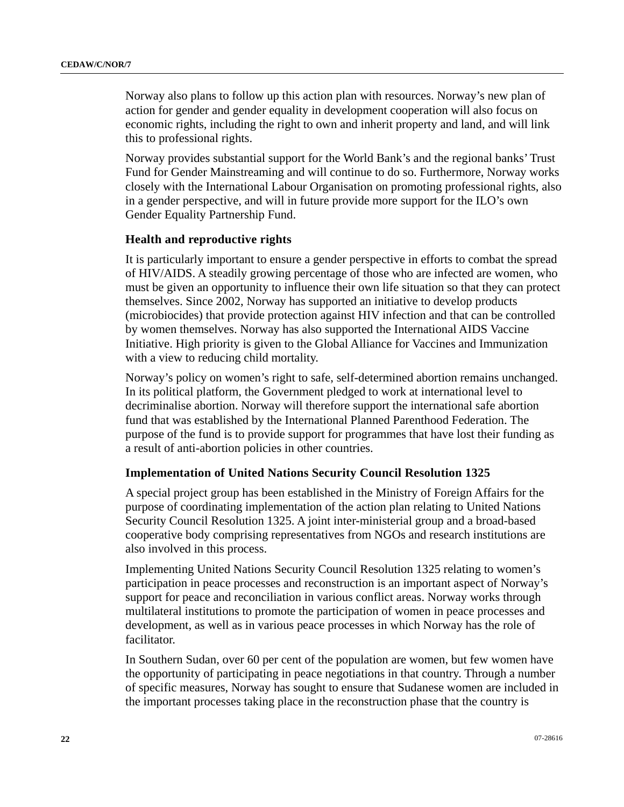Norway also plans to follow up this action plan with resources. Norway's new plan of action for gender and gender equality in development cooperation will also focus on economic rights, including the right to own and inherit property and land, and will link this to professional rights.

Norway provides substantial support for the World Bank's and the regional banks' Trust Fund for Gender Mainstreaming and will continue to do so. Furthermore, Norway works closely with the International Labour Organisation on promoting professional rights, also in a gender perspective, and will in future provide more support for the ILO's own Gender Equality Partnership Fund.

#### **Health and reproductive rights**

It is particularly important to ensure a gender perspective in efforts to combat the spread of HIV/AIDS. A steadily growing percentage of those who are infected are women, who must be given an opportunity to influence their own life situation so that they can protect themselves. Since 2002, Norway has supported an initiative to develop products (microbiocides) that provide protection against HIV infection and that can be controlled by women themselves. Norway has also supported the International AIDS Vaccine Initiative. High priority is given to the Global Alliance for Vaccines and Immunization with a view to reducing child mortality.

Norway's policy on women's right to safe, self-determined abortion remains unchanged. In its political platform, the Government pledged to work at international level to decriminalise abortion. Norway will therefore support the international safe abortion fund that was established by the International Planned Parenthood Federation. The purpose of the fund is to provide support for programmes that have lost their funding as a result of anti-abortion policies in other countries.

#### **Implementation of United Nations Security Council Resolution 1325**

A special project group has been established in the Ministry of Foreign Affairs for the purpose of coordinating implementation of the action plan relating to United Nations Security Council Resolution 1325. A joint inter-ministerial group and a broad-based cooperative body comprising representatives from NGOs and research institutions are also involved in this process.

Implementing United Nations Security Council Resolution 1325 relating to women's participation in peace processes and reconstruction is an important aspect of Norway's support for peace and reconciliation in various conflict areas. Norway works through multilateral institutions to promote the participation of women in peace processes and development, as well as in various peace processes in which Norway has the role of facilitator.

In Southern Sudan, over 60 per cent of the population are women, but few women have the opportunity of participating in peace negotiations in that country. Through a number of specific measures, Norway has sought to ensure that Sudanese women are included in the important processes taking place in the reconstruction phase that the country is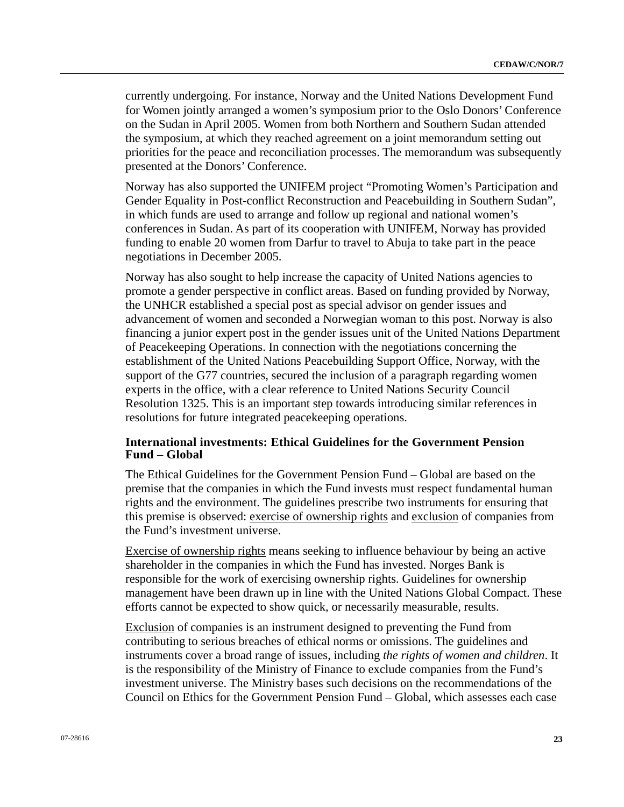currently undergoing. For instance, Norway and the United Nations Development Fund for Women jointly arranged a women's symposium prior to the Oslo Donors' Conference on the Sudan in April 2005. Women from both Northern and Southern Sudan attended the symposium, at which they reached agreement on a joint memorandum setting out priorities for the peace and reconciliation processes. The memorandum was subsequently presented at the Donors' Conference.

Norway has also supported the UNIFEM project "Promoting Women's Participation and Gender Equality in Post-conflict Reconstruction and Peacebuilding in Southern Sudan", in which funds are used to arrange and follow up regional and national women's conferences in Sudan. As part of its cooperation with UNIFEM, Norway has provided funding to enable 20 women from Darfur to travel to Abuja to take part in the peace negotiations in December 2005.

Norway has also sought to help increase the capacity of United Nations agencies to promote a gender perspective in conflict areas. Based on funding provided by Norway, the UNHCR established a special post as special advisor on gender issues and advancement of women and seconded a Norwegian woman to this post. Norway is also financing a junior expert post in the gender issues unit of the United Nations Department of Peacekeeping Operations. In connection with the negotiations concerning the establishment of the United Nations Peacebuilding Support Office, Norway, with the support of the G77 countries, secured the inclusion of a paragraph regarding women experts in the office, with a clear reference to United Nations Security Council Resolution 1325. This is an important step towards introducing similar references in resolutions for future integrated peacekeeping operations.

# **International investments: Ethical Guidelines for the Government Pension Fund – Global**

The Ethical Guidelines for the Government Pension Fund – Global are based on the premise that the companies in which the Fund invests must respect fundamental human rights and the environment. The guidelines prescribe two instruments for ensuring that this premise is observed: exercise of ownership rights and exclusion of companies from the Fund's investment universe.

Exercise of ownership rights means seeking to influence behaviour by being an active shareholder in the companies in which the Fund has invested. Norges Bank is responsible for the work of exercising ownership rights. Guidelines for ownership management have been drawn up in line with the United Nations Global Compact. These efforts cannot be expected to show quick, or necessarily measurable, results.

Exclusion of companies is an instrument designed to preventing the Fund from contributing to serious breaches of ethical norms or omissions. The guidelines and instruments cover a broad range of issues, including *the rights of women and children*. It is the responsibility of the Ministry of Finance to exclude companies from the Fund's investment universe. The Ministry bases such decisions on the recommendations of the Council on Ethics for the Government Pension Fund – Global, which assesses each case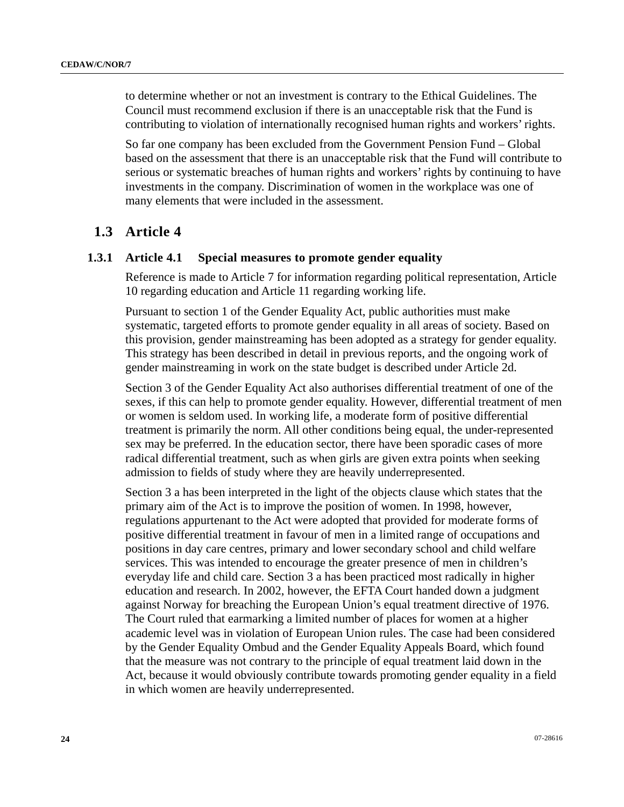to determine whether or not an investment is contrary to the Ethical Guidelines. The Council must recommend exclusion if there is an unacceptable risk that the Fund is contributing to violation of internationally recognised human rights and workers' rights.

So far one company has been excluded from the Government Pension Fund – Global based on the assessment that there is an unacceptable risk that the Fund will contribute to serious or systematic breaches of human rights and workers' rights by continuing to have investments in the company. Discrimination of women in the workplace was one of many elements that were included in the assessment.

# **1.3 Article 4**

# **1.3.1 Article 4.1 Special measures to promote gender equality**

Reference is made to Article 7 for information regarding political representation, Article 10 regarding education and Article 11 regarding working life.

Pursuant to section 1 of the Gender Equality Act, public authorities must make systematic, targeted efforts to promote gender equality in all areas of society. Based on this provision, gender mainstreaming has been adopted as a strategy for gender equality. This strategy has been described in detail in previous reports, and the ongoing work of gender mainstreaming in work on the state budget is described under Article 2d.

Section 3 of the Gender Equality Act also authorises differential treatment of one of the sexes, if this can help to promote gender equality. However, differential treatment of men or women is seldom used. In working life, a moderate form of positive differential treatment is primarily the norm. All other conditions being equal, the under-represented sex may be preferred. In the education sector, there have been sporadic cases of more radical differential treatment, such as when girls are given extra points when seeking admission to fields of study where they are heavily underrepresented.

Section 3 a has been interpreted in the light of the objects clause which states that the primary aim of the Act is to improve the position of women. In 1998, however, regulations appurtenant to the Act were adopted that provided for moderate forms of positive differential treatment in favour of men in a limited range of occupations and positions in day care centres, primary and lower secondary school and child welfare services. This was intended to encourage the greater presence of men in children's everyday life and child care. Section 3 a has been practiced most radically in higher education and research. In 2002, however, the EFTA Court handed down a judgment against Norway for breaching the European Union's equal treatment directive of 1976. The Court ruled that earmarking a limited number of places for women at a higher academic level was in violation of European Union rules. The case had been considered by the Gender Equality Ombud and the Gender Equality Appeals Board, which found that the measure was not contrary to the principle of equal treatment laid down in the Act, because it would obviously contribute towards promoting gender equality in a field in which women are heavily underrepresented.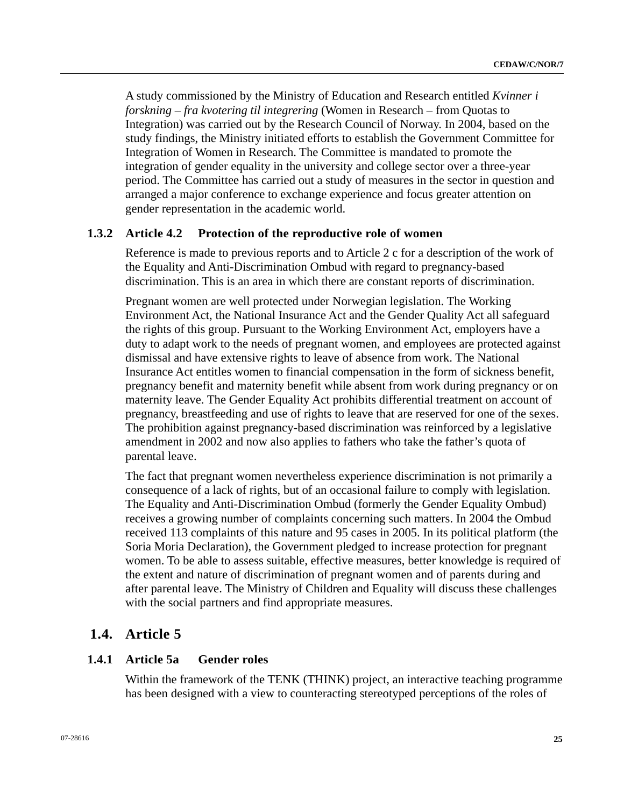A study commissioned by the Ministry of Education and Research entitled *Kvinner i forskning – fra kvotering til integrering* (Women in Research – from Quotas to Integration) was carried out by the Research Council of Norway. In 2004, based on the study findings, the Ministry initiated efforts to establish the Government Committee for Integration of Women in Research. The Committee is mandated to promote the integration of gender equality in the university and college sector over a three-year period. The Committee has carried out a study of measures in the sector in question and arranged a major conference to exchange experience and focus greater attention on gender representation in the academic world.

# **1.3.2 Article 4.2 Protection of the reproductive role of women**

Reference is made to previous reports and to Article 2 c for a description of the work of the Equality and Anti-Discrimination Ombud with regard to pregnancy-based discrimination. This is an area in which there are constant reports of discrimination.

Pregnant women are well protected under Norwegian legislation. The Working Environment Act, the National Insurance Act and the Gender Quality Act all safeguard the rights of this group. Pursuant to the Working Environment Act, employers have a duty to adapt work to the needs of pregnant women, and employees are protected against dismissal and have extensive rights to leave of absence from work. The National Insurance Act entitles women to financial compensation in the form of sickness benefit, pregnancy benefit and maternity benefit while absent from work during pregnancy or on maternity leave. The Gender Equality Act prohibits differential treatment on account of pregnancy, breastfeeding and use of rights to leave that are reserved for one of the sexes. The prohibition against pregnancy-based discrimination was reinforced by a legislative amendment in 2002 and now also applies to fathers who take the father's quota of parental leave.

The fact that pregnant women nevertheless experience discrimination is not primarily a consequence of a lack of rights, but of an occasional failure to comply with legislation. The Equality and Anti-Discrimination Ombud (formerly the Gender Equality Ombud) receives a growing number of complaints concerning such matters. In 2004 the Ombud received 113 complaints of this nature and 95 cases in 2005. In its political platform (the Soria Moria Declaration), the Government pledged to increase protection for pregnant women. To be able to assess suitable, effective measures, better knowledge is required of the extent and nature of discrimination of pregnant women and of parents during and after parental leave. The Ministry of Children and Equality will discuss these challenges with the social partners and find appropriate measures.

# **1.4. Article 5**

# **1.4.1 Article 5a Gender roles**

Within the framework of the TENK (THINK) project, an interactive teaching programme has been designed with a view to counteracting stereotyped perceptions of the roles of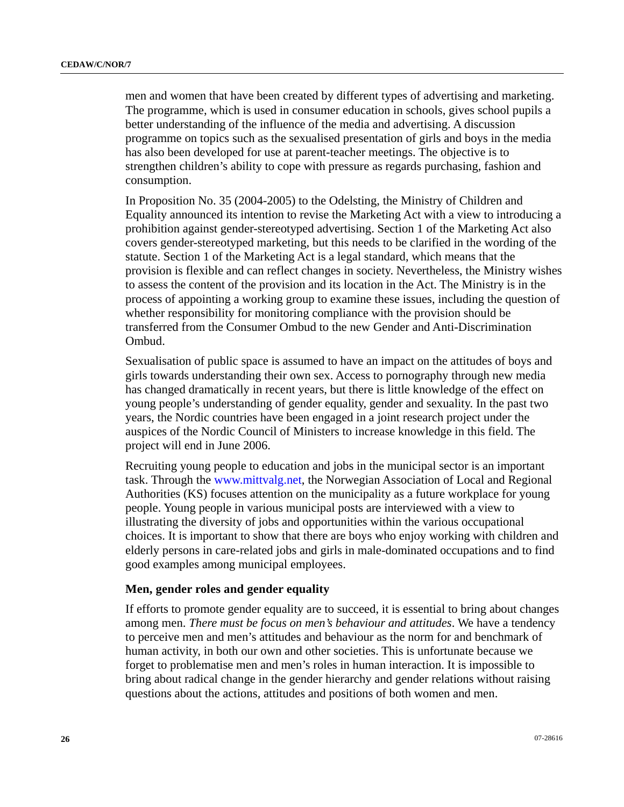men and women that have been created by different types of advertising and marketing. The programme, which is used in consumer education in schools, gives school pupils a better understanding of the influence of the media and advertising. A discussion programme on topics such as the sexualised presentation of girls and boys in the media has also been developed for use at parent-teacher meetings. The objective is to strengthen children's ability to cope with pressure as regards purchasing, fashion and consumption.

In Proposition No. 35 (2004-2005) to the Odelsting, the Ministry of Children and Equality announced its intention to revise the Marketing Act with a view to introducing a prohibition against gender-stereotyped advertising. Section 1 of the Marketing Act also covers gender-stereotyped marketing, but this needs to be clarified in the wording of the statute. Section 1 of the Marketing Act is a legal standard, which means that the provision is flexible and can reflect changes in society. Nevertheless, the Ministry wishes to assess the content of the provision and its location in the Act. The Ministry is in the process of appointing a working group to examine these issues, including the question of whether responsibility for monitoring compliance with the provision should be transferred from the Consumer Ombud to the new Gender and Anti-Discrimination Ombud.

Sexualisation of public space is assumed to have an impact on the attitudes of boys and girls towards understanding their own sex. Access to pornography through new media has changed dramatically in recent years, but there is little knowledge of the effect on young people's understanding of gender equality, gender and sexuality. In the past two years, the Nordic countries have been engaged in a joint research project under the auspices of the Nordic Council of Ministers to increase knowledge in this field. The project will end in June 2006.

Recruiting young people to education and jobs in the municipal sector is an important task. Through the [www.mittvalg.net](http://www.mittvalg.net/), the Norwegian Association of Local and Regional Authorities (KS) focuses attention on the municipality as a future workplace for young people. Young people in various municipal posts are interviewed with a view to illustrating the diversity of jobs and opportunities within the various occupational choices. It is important to show that there are boys who enjoy working with children and elderly persons in care-related jobs and girls in male-dominated occupations and to find good examples among municipal employees.

#### **Men, gender roles and gender equality**

If efforts to promote gender equality are to succeed, it is essential to bring about changes among men. *There must be focus on men's behaviour and attitudes*. We have a tendency to perceive men and men's attitudes and behaviour as the norm for and benchmark of human activity, in both our own and other societies. This is unfortunate because we forget to problematise men and men's roles in human interaction. It is impossible to bring about radical change in the gender hierarchy and gender relations without raising questions about the actions, attitudes and positions of both women and men.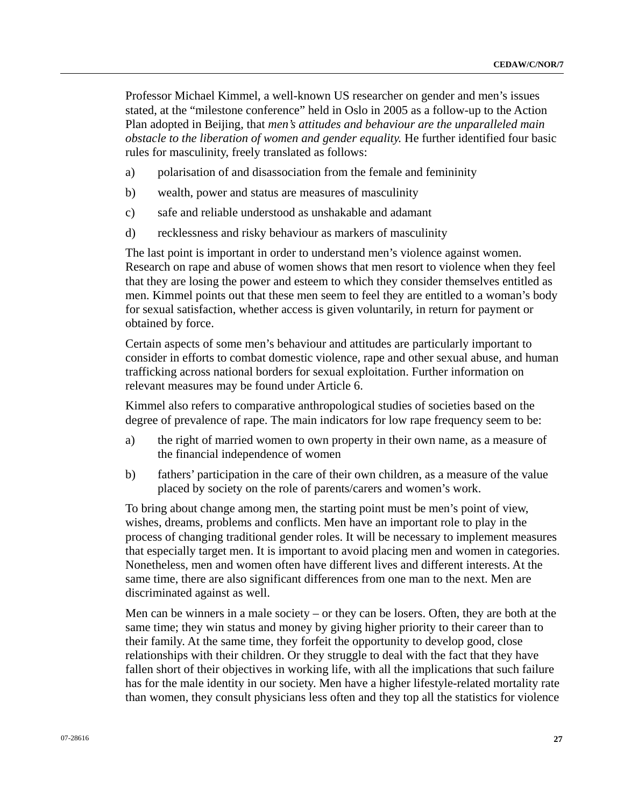Professor Michael Kimmel, a well-known US researcher on gender and men's issues stated, at the "milestone conference" held in Oslo in 2005 as a follow-up to the Action Plan adopted in Beijing, that *men's attitudes and behaviour are the unparalleled main obstacle to the liberation of women and gender equality.* He further identified four basic rules for masculinity, freely translated as follows:

- a) polarisation of and disassociation from the female and femininity
- b) wealth, power and status are measures of masculinity
- c) safe and reliable understood as unshakable and adamant
- d) recklessness and risky behaviour as markers of masculinity

The last point is important in order to understand men's violence against women. Research on rape and abuse of women shows that men resort to violence when they feel that they are losing the power and esteem to which they consider themselves entitled as men. Kimmel points out that these men seem to feel they are entitled to a woman's body for sexual satisfaction, whether access is given voluntarily, in return for payment or obtained by force.

Certain aspects of some men's behaviour and attitudes are particularly important to consider in efforts to combat domestic violence, rape and other sexual abuse, and human trafficking across national borders for sexual exploitation. Further information on relevant measures may be found under Article 6.

Kimmel also refers to comparative anthropological studies of societies based on the degree of prevalence of rape. The main indicators for low rape frequency seem to be:

- a) the right of married women to own property in their own name, as a measure of the financial independence of women
- b) fathers' participation in the care of their own children, as a measure of the value placed by society on the role of parents/carers and women's work.

To bring about change among men, the starting point must be men's point of view, wishes, dreams, problems and conflicts. Men have an important role to play in the process of changing traditional gender roles. It will be necessary to implement measures that especially target men. It is important to avoid placing men and women in categories. Nonetheless, men and women often have different lives and different interests. At the same time, there are also significant differences from one man to the next. Men are discriminated against as well.

Men can be winners in a male society – or they can be losers. Often, they are both at the same time; they win status and money by giving higher priority to their career than to their family. At the same time, they forfeit the opportunity to develop good, close relationships with their children. Or they struggle to deal with the fact that they have fallen short of their objectives in working life, with all the implications that such failure has for the male identity in our society. Men have a higher lifestyle-related mortality rate than women, they consult physicians less often and they top all the statistics for violence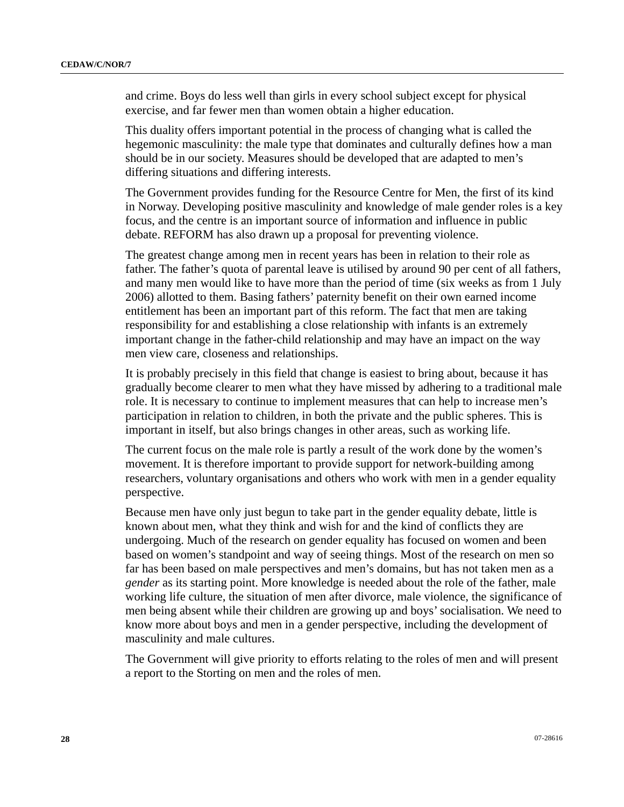and crime. Boys do less well than girls in every school subject except for physical exercise, and far fewer men than women obtain a higher education.

This duality offers important potential in the process of changing what is called the hegemonic masculinity: the male type that dominates and culturally defines how a man should be in our society. Measures should be developed that are adapted to men's differing situations and differing interests.

The Government provides funding for the Resource Centre for Men, the first of its kind in Norway. Developing positive masculinity and knowledge of male gender roles is a key focus, and the centre is an important source of information and influence in public debate. REFORM has also drawn up a proposal for preventing violence.

The greatest change among men in recent years has been in relation to their role as father. The father's quota of parental leave is utilised by around 90 per cent of all fathers, and many men would like to have more than the period of time (six weeks as from 1 July 2006) allotted to them. Basing fathers' paternity benefit on their own earned income entitlement has been an important part of this reform. The fact that men are taking responsibility for and establishing a close relationship with infants is an extremely important change in the father-child relationship and may have an impact on the way men view care, closeness and relationships.

It is probably precisely in this field that change is easiest to bring about, because it has gradually become clearer to men what they have missed by adhering to a traditional male role. It is necessary to continue to implement measures that can help to increase men's participation in relation to children, in both the private and the public spheres. This is important in itself, but also brings changes in other areas, such as working life.

The current focus on the male role is partly a result of the work done by the women's movement. It is therefore important to provide support for network-building among researchers, voluntary organisations and others who work with men in a gender equality perspective.

Because men have only just begun to take part in the gender equality debate, little is known about men, what they think and wish for and the kind of conflicts they are undergoing. Much of the research on gender equality has focused on women and been based on women's standpoint and way of seeing things. Most of the research on men so far has been based on male perspectives and men's domains, but has not taken men as a *gender* as its starting point. More knowledge is needed about the role of the father, male working life culture, the situation of men after divorce, male violence, the significance of men being absent while their children are growing up and boys' socialisation. We need to know more about boys and men in a gender perspective, including the development of masculinity and male cultures.

The Government will give priority to efforts relating to the roles of men and will present a report to the Storting on men and the roles of men.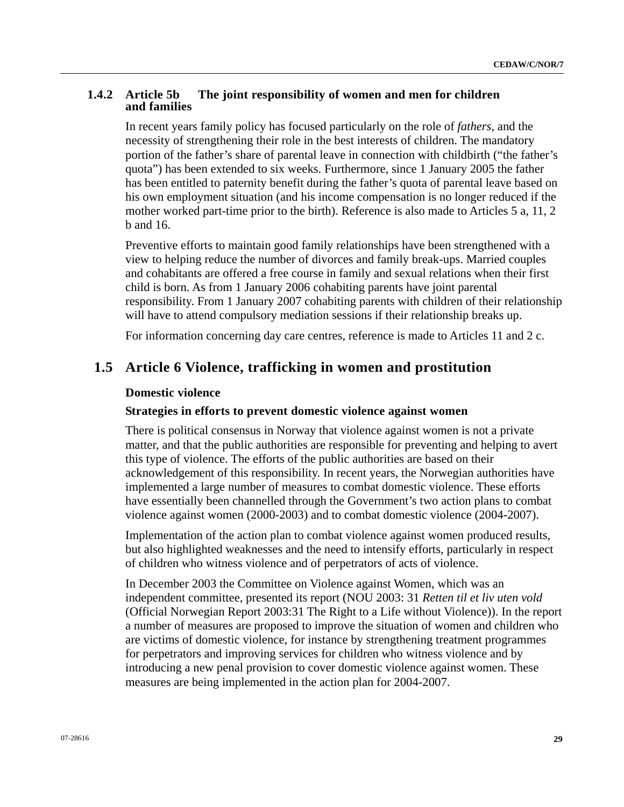### **1.4.2 Article 5b The joint responsibility of women and men for children and families**

In recent years family policy has focused particularly on the role of *fathers*, and the necessity of strengthening their role in the best interests of children. The mandatory portion of the father's share of parental leave in connection with childbirth ("the father's quota") has been extended to six weeks. Furthermore, since 1 January 2005 the father has been entitled to paternity benefit during the father's quota of parental leave based on his own employment situation (and his income compensation is no longer reduced if the mother worked part-time prior to the birth). Reference is also made to Articles 5 a, 11, 2 b and 16.

Preventive efforts to maintain good family relationships have been strengthened with a view to helping reduce the number of divorces and family break-ups. Married couples and cohabitants are offered a free course in family and sexual relations when their first child is born. As from 1 January 2006 cohabiting parents have joint parental responsibility. From 1 January 2007 cohabiting parents with children of their relationship will have to attend compulsory mediation sessions if their relationship breaks up.

For information concerning day care centres, reference is made to Articles 11 and 2 c.

# **1.5 Article 6 Violence, trafficking in women and prostitution**

#### **Domestic violence**

#### **Strategies in efforts to prevent domestic violence against women**

There is political consensus in Norway that violence against women is not a private matter, and that the public authorities are responsible for preventing and helping to avert this type of violence. The efforts of the public authorities are based on their acknowledgement of this responsibility. In recent years, the Norwegian authorities have implemented a large number of measures to combat domestic violence. These efforts have essentially been channelled through the Government's two action plans to combat violence against women (2000-2003) and to combat domestic violence (2004-2007).

Implementation of the action plan to combat violence against women produced results, but also highlighted weaknesses and the need to intensify efforts, particularly in respect of children who witness violence and of perpetrators of acts of violence.

In December 2003 the Committee on Violence against Women, which was an independent committee, presented its report (NOU 2003: 31 *Retten til et liv uten vold*  (Official Norwegian Report 2003:31 The Right to a Life without Violence)). In the report a number of measures are proposed to improve the situation of women and children who are victims of domestic violence, for instance by strengthening treatment programmes for perpetrators and improving services for children who witness violence and by introducing a new penal provision to cover domestic violence against women. These measures are being implemented in the action plan for 2004-2007.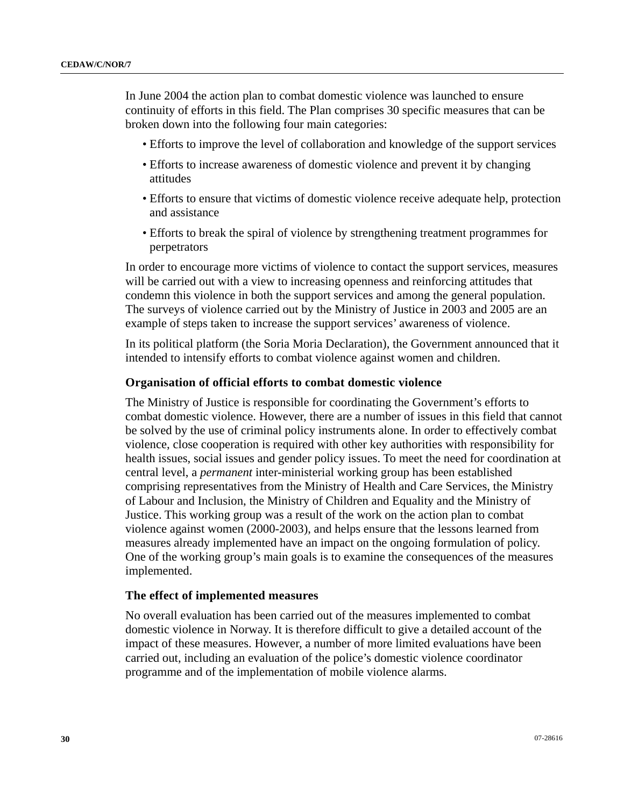In June 2004 the action plan to combat domestic violence was launched to ensure continuity of efforts in this field. The Plan comprises 30 specific measures that can be broken down into the following four main categories:

- Efforts to improve the level of collaboration and knowledge of the support services
- Efforts to increase awareness of domestic violence and prevent it by changing attitudes
- Efforts to ensure that victims of domestic violence receive adequate help, protection and assistance
- Efforts to break the spiral of violence by strengthening treatment programmes for perpetrators

In order to encourage more victims of violence to contact the support services, measures will be carried out with a view to increasing openness and reinforcing attitudes that condemn this violence in both the support services and among the general population. The surveys of violence carried out by the Ministry of Justice in 2003 and 2005 are an example of steps taken to increase the support services' awareness of violence.

In its political platform (the Soria Moria Declaration), the Government announced that it intended to intensify efforts to combat violence against women and children.

#### **Organisation of official efforts to combat domestic violence**

The Ministry of Justice is responsible for coordinating the Government's efforts to combat domestic violence. However, there are a number of issues in this field that cannot be solved by the use of criminal policy instruments alone. In order to effectively combat violence, close cooperation is required with other key authorities with responsibility for health issues, social issues and gender policy issues. To meet the need for coordination at central level, a *permanent* inter-ministerial working group has been established comprising representatives from the Ministry of Health and Care Services, the Ministry of Labour and Inclusion, the Ministry of Children and Equality and the Ministry of Justice. This working group was a result of the work on the action plan to combat violence against women (2000-2003), and helps ensure that the lessons learned from measures already implemented have an impact on the ongoing formulation of policy. One of the working group's main goals is to examine the consequences of the measures implemented.

#### **The effect of implemented measures**

No overall evaluation has been carried out of the measures implemented to combat domestic violence in Norway. It is therefore difficult to give a detailed account of the impact of these measures. However, a number of more limited evaluations have been carried out, including an evaluation of the police's domestic violence coordinator programme and of the implementation of mobile violence alarms.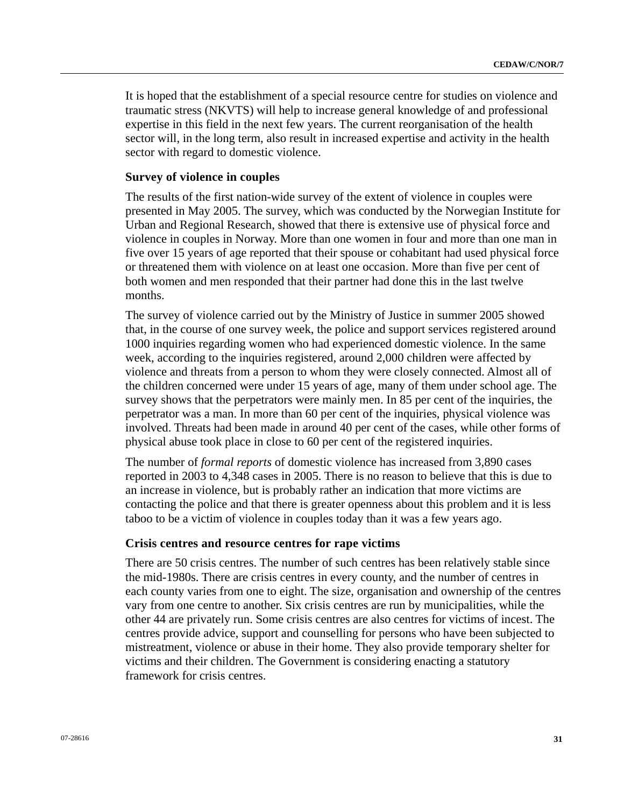It is hoped that the establishment of a special resource centre for studies on violence and traumatic stress (NKVTS) will help to increase general knowledge of and professional expertise in this field in the next few years. The current reorganisation of the health sector will, in the long term, also result in increased expertise and activity in the health sector with regard to domestic violence.

#### **Survey of violence in couples**

The results of the first nation-wide survey of the extent of violence in couples were presented in May 2005. The survey, which was conducted by the Norwegian Institute for Urban and Regional Research, showed that there is extensive use of physical force and violence in couples in Norway. More than one women in four and more than one man in five over 15 years of age reported that their spouse or cohabitant had used physical force or threatened them with violence on at least one occasion. More than five per cent of both women and men responded that their partner had done this in the last twelve months.

The survey of violence carried out by the Ministry of Justice in summer 2005 showed that, in the course of one survey week, the police and support services registered around 1000 inquiries regarding women who had experienced domestic violence. In the same week, according to the inquiries registered, around 2,000 children were affected by violence and threats from a person to whom they were closely connected. Almost all of the children concerned were under 15 years of age, many of them under school age. The survey shows that the perpetrators were mainly men. In 85 per cent of the inquiries, the perpetrator was a man. In more than 60 per cent of the inquiries, physical violence was involved. Threats had been made in around 40 per cent of the cases, while other forms of physical abuse took place in close to 60 per cent of the registered inquiries.

The number of *formal reports* of domestic violence has increased from 3,890 cases reported in 2003 to 4,348 cases in 2005. There is no reason to believe that this is due to an increase in violence, but is probably rather an indication that more victims are contacting the police and that there is greater openness about this problem and it is less taboo to be a victim of violence in couples today than it was a few years ago.

#### **Crisis centres and resource centres for rape victims**

There are 50 crisis centres. The number of such centres has been relatively stable since the mid-1980s. There are crisis centres in every county, and the number of centres in each county varies from one to eight. The size, organisation and ownership of the centres vary from one centre to another. Six crisis centres are run by municipalities, while the other 44 are privately run. Some crisis centres are also centres for victims of incest. The centres provide advice, support and counselling for persons who have been subjected to mistreatment, violence or abuse in their home. They also provide temporary shelter for victims and their children. The Government is considering enacting a statutory framework for crisis centres.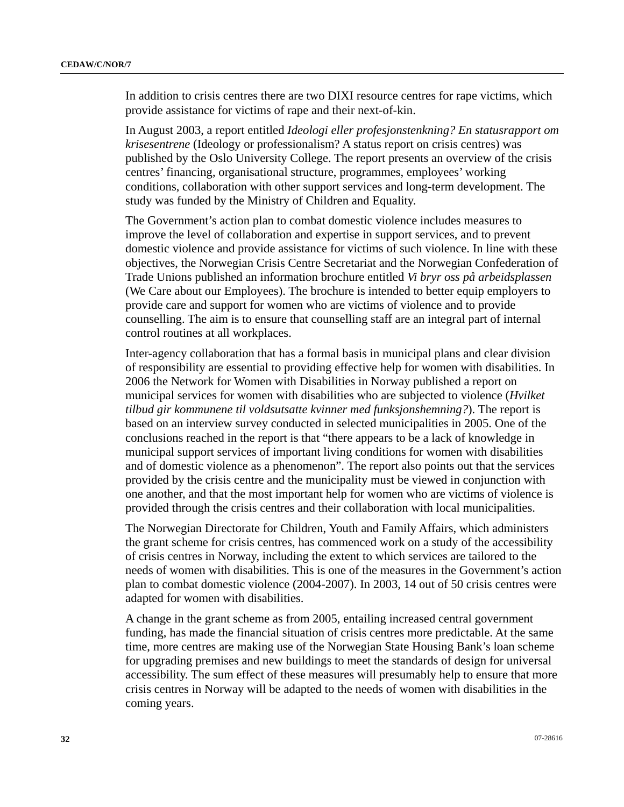In addition to crisis centres there are two DIXI resource centres for rape victims, which provide assistance for victims of rape and their next-of-kin.

In August 2003, a report entitled *Ideologi eller profesjonstenkning? En statusrapport om krisesentrene* (Ideology or professionalism? A status report on crisis centres) was published by the Oslo University College. The report presents an overview of the crisis centres' financing, organisational structure, programmes, employees' working conditions, collaboration with other support services and long-term development. The study was funded by the Ministry of Children and Equality.

The Government's action plan to combat domestic violence includes measures to improve the level of collaboration and expertise in support services, and to prevent domestic violence and provide assistance for victims of such violence. In line with these objectives, the Norwegian Crisis Centre Secretariat and the Norwegian Confederation of Trade Unions published an information brochure entitled *Vi bryr oss på arbeidsplassen*  (We Care about our Employees). The brochure is intended to better equip employers to provide care and support for women who are victims of violence and to provide counselling. The aim is to ensure that counselling staff are an integral part of internal control routines at all workplaces.

Inter-agency collaboration that has a formal basis in municipal plans and clear division of responsibility are essential to providing effective help for women with disabilities. In 2006 the Network for Women with Disabilities in Norway published a report on municipal services for women with disabilities who are subjected to violence (*Hvilket tilbud gir kommunene til voldsutsatte kvinner med funksjonshemning?*). The report is based on an interview survey conducted in selected municipalities in 2005. One of the conclusions reached in the report is that "there appears to be a lack of knowledge in municipal support services of important living conditions for women with disabilities and of domestic violence as a phenomenon". The report also points out that the services provided by the crisis centre and the municipality must be viewed in conjunction with one another, and that the most important help for women who are victims of violence is provided through the crisis centres and their collaboration with local municipalities.

The Norwegian Directorate for Children, Youth and Family Affairs, which administers the grant scheme for crisis centres, has commenced work on a study of the accessibility of crisis centres in Norway, including the extent to which services are tailored to the needs of women with disabilities. This is one of the measures in the Government's action plan to combat domestic violence (2004-2007). In 2003, 14 out of 50 crisis centres were adapted for women with disabilities.

A change in the grant scheme as from 2005, entailing increased central government funding, has made the financial situation of crisis centres more predictable. At the same time, more centres are making use of the Norwegian State Housing Bank's loan scheme for upgrading premises and new buildings to meet the standards of design for universal accessibility. The sum effect of these measures will presumably help to ensure that more crisis centres in Norway will be adapted to the needs of women with disabilities in the coming years.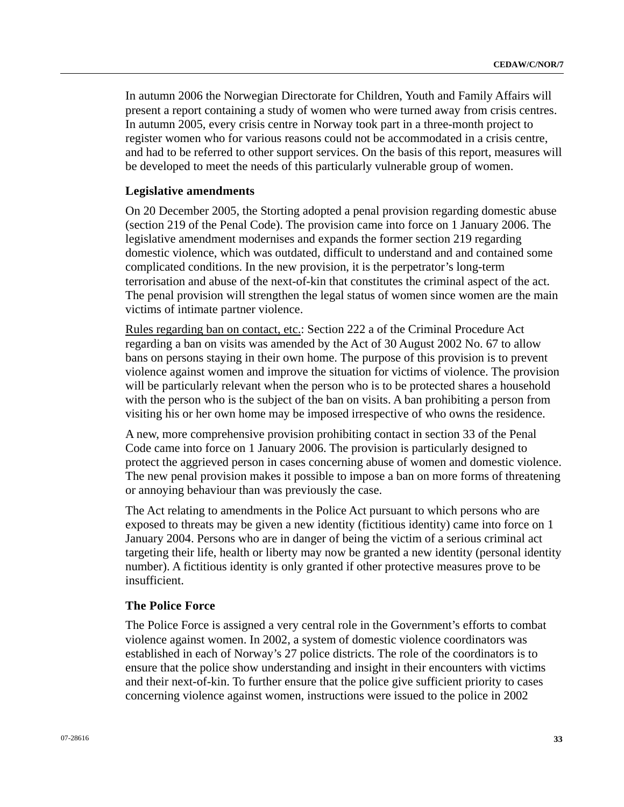In autumn 2006 the Norwegian Directorate for Children, Youth and Family Affairs will present a report containing a study of women who were turned away from crisis centres. In autumn 2005, every crisis centre in Norway took part in a three-month project to register women who for various reasons could not be accommodated in a crisis centre, and had to be referred to other support services. On the basis of this report, measures will be developed to meet the needs of this particularly vulnerable group of women.

#### **Legislative amendments**

On 20 December 2005, the Storting adopted a penal provision regarding domestic abuse (section 219 of the Penal Code). The provision came into force on 1 January 2006. The legislative amendment modernises and expands the former section 219 regarding domestic violence, which was outdated, difficult to understand and and contained some complicated conditions. In the new provision, it is the perpetrator's long-term terrorisation and abuse of the next-of-kin that constitutes the criminal aspect of the act. The penal provision will strengthen the legal status of women since women are the main victims of intimate partner violence.

Rules regarding ban on contact, etc.: Section 222 a of the Criminal Procedure Act regarding a ban on visits was amended by the Act of 30 August 2002 No. 67 to allow bans on persons staying in their own home. The purpose of this provision is to prevent violence against women and improve the situation for victims of violence. The provision will be particularly relevant when the person who is to be protected shares a household with the person who is the subject of the ban on visits. A ban prohibiting a person from visiting his or her own home may be imposed irrespective of who owns the residence.

A new, more comprehensive provision prohibiting contact in section 33 of the Penal Code came into force on 1 January 2006. The provision is particularly designed to protect the aggrieved person in cases concerning abuse of women and domestic violence. The new penal provision makes it possible to impose a ban on more forms of threatening or annoying behaviour than was previously the case.

The Act relating to amendments in the Police Act pursuant to which persons who are exposed to threats may be given a new identity (fictitious identity) came into force on 1 January 2004. Persons who are in danger of being the victim of a serious criminal act targeting their life, health or liberty may now be granted a new identity (personal identity number). A fictitious identity is only granted if other protective measures prove to be insufficient.

# **The Police Force**

The Police Force is assigned a very central role in the Government's efforts to combat violence against women. In 2002, a system of domestic violence coordinators was established in each of Norway's 27 police districts. The role of the coordinators is to ensure that the police show understanding and insight in their encounters with victims and their next-of-kin. To further ensure that the police give sufficient priority to cases concerning violence against women, instructions were issued to the police in 2002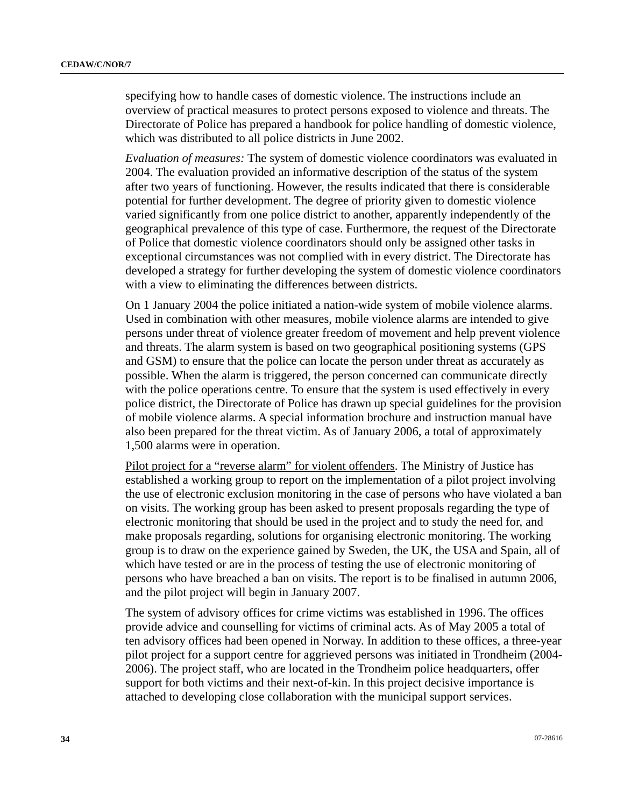specifying how to handle cases of domestic violence. The instructions include an overview of practical measures to protect persons exposed to violence and threats. The Directorate of Police has prepared a handbook for police handling of domestic violence, which was distributed to all police districts in June 2002.

*Evaluation of measures:* The system of domestic violence coordinators was evaluated in 2004. The evaluation provided an informative description of the status of the system after two years of functioning. However, the results indicated that there is considerable potential for further development. The degree of priority given to domestic violence varied significantly from one police district to another, apparently independently of the geographical prevalence of this type of case. Furthermore, the request of the Directorate of Police that domestic violence coordinators should only be assigned other tasks in exceptional circumstances was not complied with in every district. The Directorate has developed a strategy for further developing the system of domestic violence coordinators with a view to eliminating the differences between districts.

On 1 January 2004 the police initiated a nation-wide system of mobile violence alarms. Used in combination with other measures, mobile violence alarms are intended to give persons under threat of violence greater freedom of movement and help prevent violence and threats. The alarm system is based on two geographical positioning systems (GPS and GSM) to ensure that the police can locate the person under threat as accurately as possible. When the alarm is triggered, the person concerned can communicate directly with the police operations centre. To ensure that the system is used effectively in every police district, the Directorate of Police has drawn up special guidelines for the provision of mobile violence alarms. A special information brochure and instruction manual have also been prepared for the threat victim. As of January 2006, a total of approximately 1,500 alarms were in operation.

Pilot project for a "reverse alarm" for violent offenders. The Ministry of Justice has established a working group to report on the implementation of a pilot project involving the use of electronic exclusion monitoring in the case of persons who have violated a ban on visits. The working group has been asked to present proposals regarding the type of electronic monitoring that should be used in the project and to study the need for, and make proposals regarding, solutions for organising electronic monitoring. The working group is to draw on the experience gained by Sweden, the UK, the USA and Spain, all of which have tested or are in the process of testing the use of electronic monitoring of persons who have breached a ban on visits. The report is to be finalised in autumn 2006, and the pilot project will begin in January 2007.

The system of advisory offices for crime victims was established in 1996. The offices provide advice and counselling for victims of criminal acts. As of May 2005 a total of ten advisory offices had been opened in Norway. In addition to these offices, a three-year pilot project for a support centre for aggrieved persons was initiated in Trondheim (2004- 2006). The project staff, who are located in the Trondheim police headquarters, offer support for both victims and their next-of-kin. In this project decisive importance is attached to developing close collaboration with the municipal support services.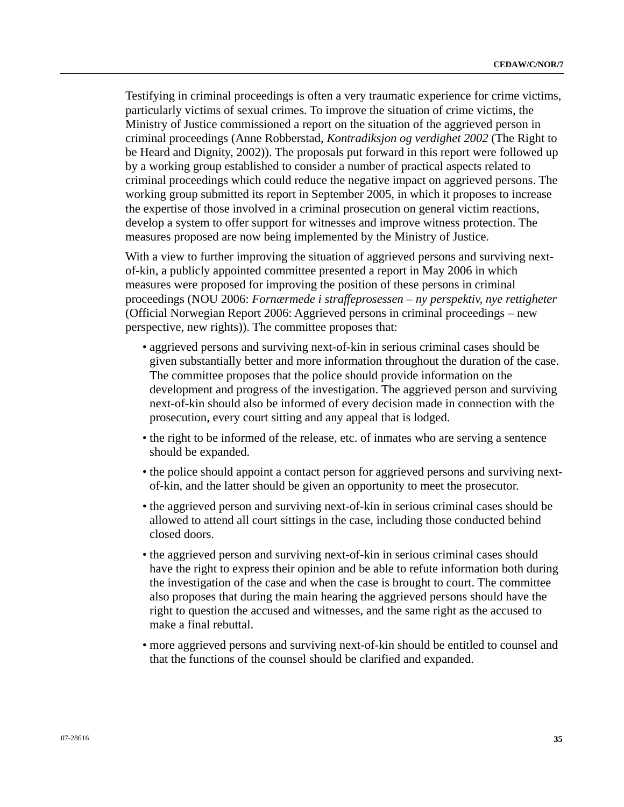Testifying in criminal proceedings is often a very traumatic experience for crime victims, particularly victims of sexual crimes. To improve the situation of crime victims, the Ministry of Justice commissioned a report on the situation of the aggrieved person in criminal proceedings (Anne Robberstad, *Kontradiksjon og verdighet 2002* (The Right to be Heard and Dignity, 2002)). The proposals put forward in this report were followed up by a working group established to consider a number of practical aspects related to criminal proceedings which could reduce the negative impact on aggrieved persons. The working group submitted its report in September 2005, in which it proposes to increase the expertise of those involved in a criminal prosecution on general victim reactions, develop a system to offer support for witnesses and improve witness protection. The measures proposed are now being implemented by the Ministry of Justice.

With a view to further improving the situation of aggrieved persons and surviving nextof-kin, a publicly appointed committee presented a report in May 2006 in which measures were proposed for improving the position of these persons in criminal proceedings (NOU 2006: *Fornærmede i straffeprosessen – ny perspektiv, nye rettigheter*  (Official Norwegian Report 2006: Aggrieved persons in criminal proceedings – new perspective, new rights)). The committee proposes that:

- aggrieved persons and surviving next-of-kin in serious criminal cases should be given substantially better and more information throughout the duration of the case. The committee proposes that the police should provide information on the development and progress of the investigation. The aggrieved person and surviving next-of-kin should also be informed of every decision made in connection with the prosecution, every court sitting and any appeal that is lodged.
- the right to be informed of the release, etc. of inmates who are serving a sentence should be expanded.
- the police should appoint a contact person for aggrieved persons and surviving nextof-kin, and the latter should be given an opportunity to meet the prosecutor.
- the aggrieved person and surviving next-of-kin in serious criminal cases should be allowed to attend all court sittings in the case, including those conducted behind closed doors.
- the aggrieved person and surviving next-of-kin in serious criminal cases should have the right to express their opinion and be able to refute information both during the investigation of the case and when the case is brought to court. The committee also proposes that during the main hearing the aggrieved persons should have the right to question the accused and witnesses, and the same right as the accused to make a final rebuttal.
- more aggrieved persons and surviving next-of-kin should be entitled to counsel and that the functions of the counsel should be clarified and expanded.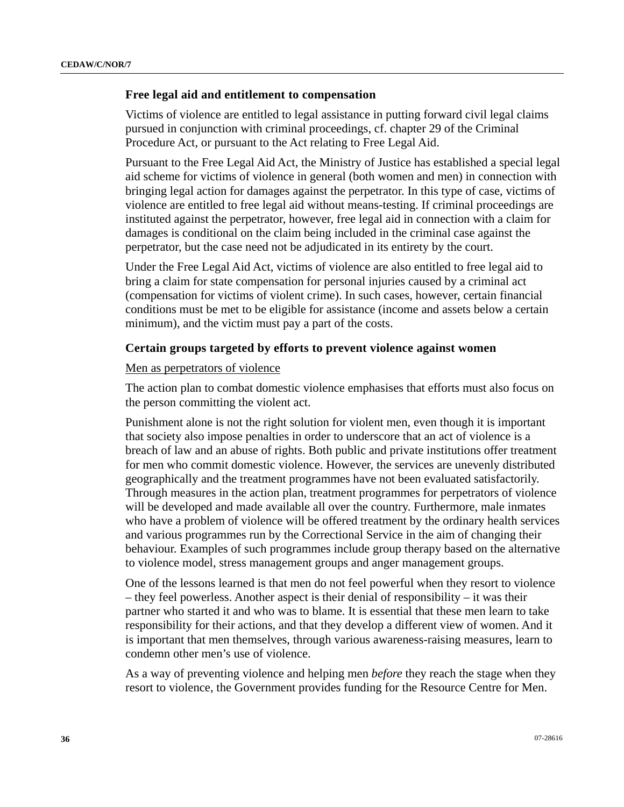#### **Free legal aid and entitlement to compensation**

Victims of violence are entitled to legal assistance in putting forward civil legal claims pursued in conjunction with criminal proceedings, cf. chapter 29 of the Criminal Procedure Act, or pursuant to the Act relating to Free Legal Aid.

Pursuant to the Free Legal Aid Act, the Ministry of Justice has established a special legal aid scheme for victims of violence in general (both women and men) in connection with bringing legal action for damages against the perpetrator. In this type of case, victims of violence are entitled to free legal aid without means-testing. If criminal proceedings are instituted against the perpetrator, however, free legal aid in connection with a claim for damages is conditional on the claim being included in the criminal case against the perpetrator, but the case need not be adjudicated in its entirety by the court.

Under the Free Legal Aid Act, victims of violence are also entitled to free legal aid to bring a claim for state compensation for personal injuries caused by a criminal act (compensation for victims of violent crime). In such cases, however, certain financial conditions must be met to be eligible for assistance (income and assets below a certain minimum), and the victim must pay a part of the costs.

#### **Certain groups targeted by efforts to prevent violence against women**

#### Men as perpetrators of violence

The action plan to combat domestic violence emphasises that efforts must also focus on the person committing the violent act.

Punishment alone is not the right solution for violent men, even though it is important that society also impose penalties in order to underscore that an act of violence is a breach of law and an abuse of rights. Both public and private institutions offer treatment for men who commit domestic violence. However, the services are unevenly distributed geographically and the treatment programmes have not been evaluated satisfactorily. Through measures in the action plan, treatment programmes for perpetrators of violence will be developed and made available all over the country. Furthermore, male inmates who have a problem of violence will be offered treatment by the ordinary health services and various programmes run by the Correctional Service in the aim of changing their behaviour. Examples of such programmes include group therapy based on the alternative to violence model, stress management groups and anger management groups.

One of the lessons learned is that men do not feel powerful when they resort to violence – they feel powerless. Another aspect is their denial of responsibility – it was their partner who started it and who was to blame. It is essential that these men learn to take responsibility for their actions, and that they develop a different view of women. And it is important that men themselves, through various awareness-raising measures, learn to condemn other men's use of violence.

As a way of preventing violence and helping men *before* they reach the stage when they resort to violence, the Government provides funding for the Resource Centre for Men.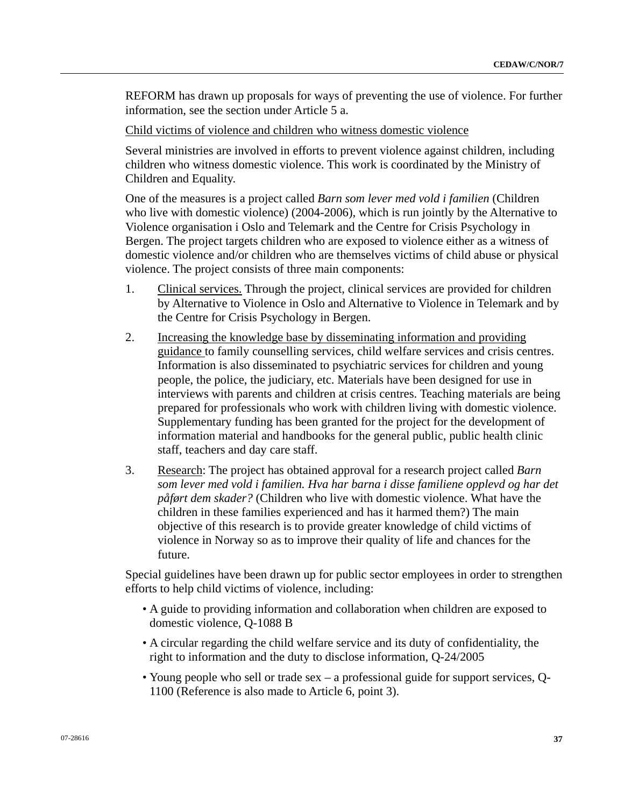REFORM has drawn up proposals for ways of preventing the use of violence. For further information, see the section under Article 5 a.

Child victims of violence and children who witness domestic violence

Several ministries are involved in efforts to prevent violence against children, including children who witness domestic violence. This work is coordinated by the Ministry of Children and Equality.

One of the measures is a project called *Barn som lever med vold i familien* (Children who live with domestic violence) (2004-2006), which is run jointly by the Alternative to Violence organisation i Oslo and Telemark and the Centre for Crisis Psychology in Bergen. The project targets children who are exposed to violence either as a witness of domestic violence and/or children who are themselves victims of child abuse or physical violence. The project consists of three main components:

- 1. Clinical services. Through the project, clinical services are provided for children by Alternative to Violence in Oslo and Alternative to Violence in Telemark and by the Centre for Crisis Psychology in Bergen.
- 2. Increasing the knowledge base by disseminating information and providing guidance to family counselling services, child welfare services and crisis centres. Information is also disseminated to psychiatric services for children and young people, the police, the judiciary, etc. Materials have been designed for use in interviews with parents and children at crisis centres. Teaching materials are being prepared for professionals who work with children living with domestic violence. Supplementary funding has been granted for the project for the development of information material and handbooks for the general public, public health clinic staff, teachers and day care staff.
- 3. Research: The project has obtained approval for a research project called *Barn som lever med vold i familien. Hva har barna i disse familiene opplevd og har det påført dem skader?* (Children who live with domestic violence. What have the children in these families experienced and has it harmed them?) The main objective of this research is to provide greater knowledge of child victims of violence in Norway so as to improve their quality of life and chances for the future.

Special guidelines have been drawn up for public sector employees in order to strengthen efforts to help child victims of violence, including:

- A guide to providing information and collaboration when children are exposed to domestic violence, Q-1088 B
- A circular regarding the child welfare service and its duty of confidentiality, the right to information and the duty to disclose information, Q-24/2005
- Young people who sell or trade sex a professional guide for support services, Q-1100 (Reference is also made to Article 6, point 3).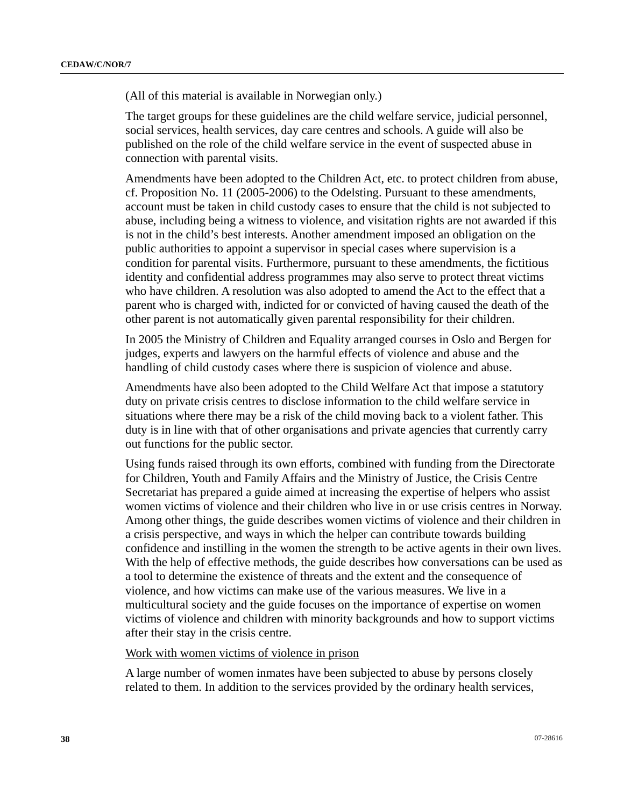(All of this material is available in Norwegian only.)

The target groups for these guidelines are the child welfare service, judicial personnel, social services, health services, day care centres and schools. A guide will also be published on the role of the child welfare service in the event of suspected abuse in connection with parental visits.

Amendments have been adopted to the Children Act, etc. to protect children from abuse, cf. Proposition No. 11 (2005-2006) to the Odelsting. Pursuant to these amendments, account must be taken in child custody cases to ensure that the child is not subjected to abuse, including being a witness to violence, and visitation rights are not awarded if this is not in the child's best interests. Another amendment imposed an obligation on the public authorities to appoint a supervisor in special cases where supervision is a condition for parental visits. Furthermore, pursuant to these amendments, the fictitious identity and confidential address programmes may also serve to protect threat victims who have children. A resolution was also adopted to amend the Act to the effect that a parent who is charged with, indicted for or convicted of having caused the death of the other parent is not automatically given parental responsibility for their children.

In 2005 the Ministry of Children and Equality arranged courses in Oslo and Bergen for judges, experts and lawyers on the harmful effects of violence and abuse and the handling of child custody cases where there is suspicion of violence and abuse.

Amendments have also been adopted to the Child Welfare Act that impose a statutory duty on private crisis centres to disclose information to the child welfare service in situations where there may be a risk of the child moving back to a violent father. This duty is in line with that of other organisations and private agencies that currently carry out functions for the public sector.

Using funds raised through its own efforts, combined with funding from the Directorate for Children, Youth and Family Affairs and the Ministry of Justice, the Crisis Centre Secretariat has prepared a guide aimed at increasing the expertise of helpers who assist women victims of violence and their children who live in or use crisis centres in Norway. Among other things, the guide describes women victims of violence and their children in a crisis perspective, and ways in which the helper can contribute towards building confidence and instilling in the women the strength to be active agents in their own lives. With the help of effective methods, the guide describes how conversations can be used as a tool to determine the existence of threats and the extent and the consequence of violence, and how victims can make use of the various measures. We live in a multicultural society and the guide focuses on the importance of expertise on women victims of violence and children with minority backgrounds and how to support victims after their stay in the crisis centre.

#### Work with women victims of violence in prison

A large number of women inmates have been subjected to abuse by persons closely related to them. In addition to the services provided by the ordinary health services,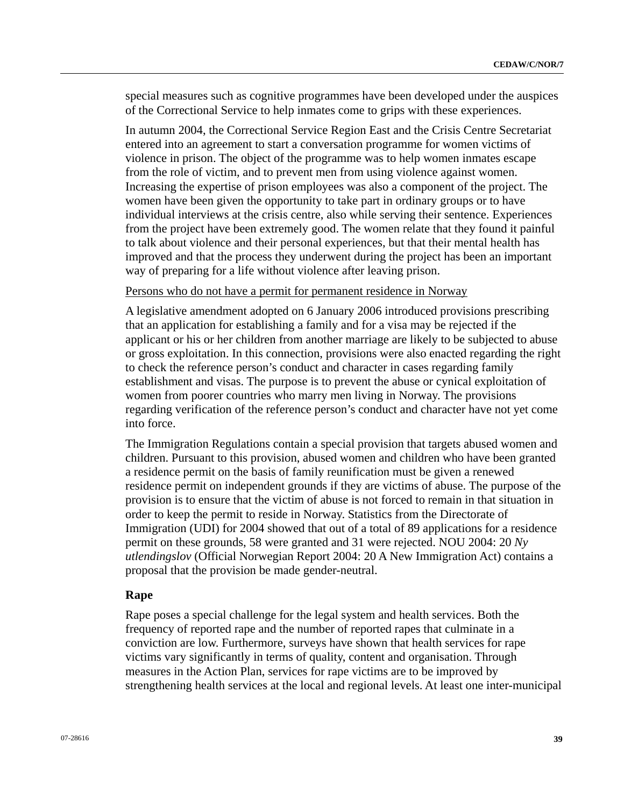special measures such as cognitive programmes have been developed under the auspices of the Correctional Service to help inmates come to grips with these experiences.

In autumn 2004, the Correctional Service Region East and the Crisis Centre Secretariat entered into an agreement to start a conversation programme for women victims of violence in prison. The object of the programme was to help women inmates escape from the role of victim, and to prevent men from using violence against women. Increasing the expertise of prison employees was also a component of the project. The women have been given the opportunity to take part in ordinary groups or to have individual interviews at the crisis centre, also while serving their sentence. Experiences from the project have been extremely good. The women relate that they found it painful to talk about violence and their personal experiences, but that their mental health has improved and that the process they underwent during the project has been an important way of preparing for a life without violence after leaving prison.

# Persons who do not have a permit for permanent residence in Norway

A legislative amendment adopted on 6 January 2006 introduced provisions prescribing that an application for establishing a family and for a visa may be rejected if the applicant or his or her children from another marriage are likely to be subjected to abuse or gross exploitation. In this connection, provisions were also enacted regarding the right to check the reference person's conduct and character in cases regarding family establishment and visas. The purpose is to prevent the abuse or cynical exploitation of women from poorer countries who marry men living in Norway. The provisions regarding verification of the reference person's conduct and character have not yet come into force.

The Immigration Regulations contain a special provision that targets abused women and children. Pursuant to this provision, abused women and children who have been granted a residence permit on the basis of family reunification must be given a renewed residence permit on independent grounds if they are victims of abuse. The purpose of the provision is to ensure that the victim of abuse is not forced to remain in that situation in order to keep the permit to reside in Norway. Statistics from the Directorate of Immigration (UDI) for 2004 showed that out of a total of 89 applications for a residence permit on these grounds, 58 were granted and 31 were rejected. NOU 2004: 20 *Ny utlendingslov* (Official Norwegian Report 2004: 20 A New Immigration Act) contains a proposal that the provision be made gender-neutral.

### **Rape**

Rape poses a special challenge for the legal system and health services. Both the frequency of reported rape and the number of reported rapes that culminate in a conviction are low. Furthermore, surveys have shown that health services for rape victims vary significantly in terms of quality, content and organisation. Through measures in the Action Plan, services for rape victims are to be improved by strengthening health services at the local and regional levels. At least one inter-municipal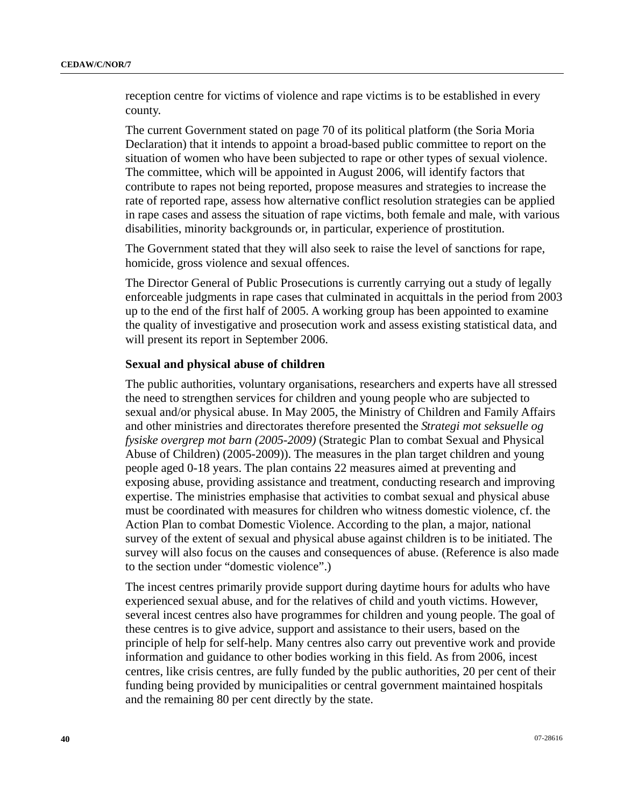reception centre for victims of violence and rape victims is to be established in every county.

The current Government stated on page 70 of its political platform (the Soria Moria Declaration) that it intends to appoint a broad-based public committee to report on the situation of women who have been subjected to rape or other types of sexual violence. The committee, which will be appointed in August 2006, will identify factors that contribute to rapes not being reported, propose measures and strategies to increase the rate of reported rape, assess how alternative conflict resolution strategies can be applied in rape cases and assess the situation of rape victims, both female and male, with various disabilities, minority backgrounds or, in particular, experience of prostitution.

The Government stated that they will also seek to raise the level of sanctions for rape, homicide, gross violence and sexual offences.

The Director General of Public Prosecutions is currently carrying out a study of legally enforceable judgments in rape cases that culminated in acquittals in the period from 2003 up to the end of the first half of 2005. A working group has been appointed to examine the quality of investigative and prosecution work and assess existing statistical data, and will present its report in September 2006.

## **Sexual and physical abuse of children**

The public authorities, voluntary organisations, researchers and experts have all stressed the need to strengthen services for children and young people who are subjected to sexual and/or physical abuse. In May 2005, the Ministry of Children and Family Affairs and other ministries and directorates therefore presented the *Strategi mot seksuelle og fysiske overgrep mot barn (2005-2009)* (Strategic Plan to combat Sexual and Physical Abuse of Children) (2005-2009)). The measures in the plan target children and young people aged 0-18 years. The plan contains 22 measures aimed at preventing and exposing abuse, providing assistance and treatment, conducting research and improving expertise. The ministries emphasise that activities to combat sexual and physical abuse must be coordinated with measures for children who witness domestic violence, cf. the Action Plan to combat Domestic Violence. According to the plan, a major, national survey of the extent of sexual and physical abuse against children is to be initiated. The survey will also focus on the causes and consequences of abuse. (Reference is also made to the section under "domestic violence".)

The incest centres primarily provide support during daytime hours for adults who have experienced sexual abuse, and for the relatives of child and youth victims. However, several incest centres also have programmes for children and young people. The goal of these centres is to give advice, support and assistance to their users, based on the principle of help for self-help. Many centres also carry out preventive work and provide information and guidance to other bodies working in this field. As from 2006, incest centres, like crisis centres, are fully funded by the public authorities, 20 per cent of their funding being provided by municipalities or central government maintained hospitals and the remaining 80 per cent directly by the state.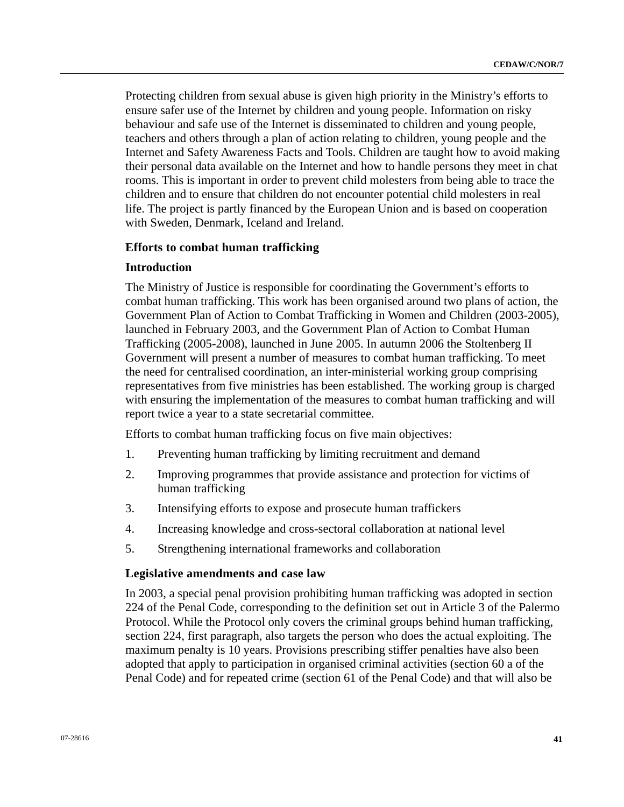Protecting children from sexual abuse is given high priority in the Ministry's efforts to ensure safer use of the Internet by children and young people. Information on risky behaviour and safe use of the Internet is disseminated to children and young people, teachers and others through a plan of action relating to children, young people and the Internet and Safety Awareness Facts and Tools. Children are taught how to avoid making their personal data available on the Internet and how to handle persons they meet in chat rooms. This is important in order to prevent child molesters from being able to trace the children and to ensure that children do not encounter potential child molesters in real life. The project is partly financed by the European Union and is based on cooperation with Sweden, Denmark, Iceland and Ireland.

### **Efforts to combat human trafficking**

### **Introduction**

The Ministry of Justice is responsible for coordinating the Government's efforts to combat human trafficking. This work has been organised around two plans of action, the Government Plan of Action to Combat Trafficking in Women and Children (2003-2005), launched in February 2003, and the Government Plan of Action to Combat Human Trafficking (2005-2008), launched in June 2005. In autumn 2006 the Stoltenberg II Government will present a number of measures to combat human trafficking. To meet the need for centralised coordination, an inter-ministerial working group comprising representatives from five ministries has been established. The working group is charged with ensuring the implementation of the measures to combat human trafficking and will report twice a year to a state secretarial committee.

Efforts to combat human trafficking focus on five main objectives:

- 1. Preventing human trafficking by limiting recruitment and demand
- 2. Improving programmes that provide assistance and protection for victims of human trafficking
- 3. Intensifying efforts to expose and prosecute human traffickers
- 4. Increasing knowledge and cross-sectoral collaboration at national level
- 5. Strengthening international frameworks and collaboration

### **Legislative amendments and case law**

In 2003, a special penal provision prohibiting human trafficking was adopted in section 224 of the Penal Code, corresponding to the definition set out in Article 3 of the Palermo Protocol. While the Protocol only covers the criminal groups behind human trafficking, section 224, first paragraph, also targets the person who does the actual exploiting. The maximum penalty is 10 years. Provisions prescribing stiffer penalties have also been adopted that apply to participation in organised criminal activities (section 60 a of the Penal Code) and for repeated crime (section 61 of the Penal Code) and that will also be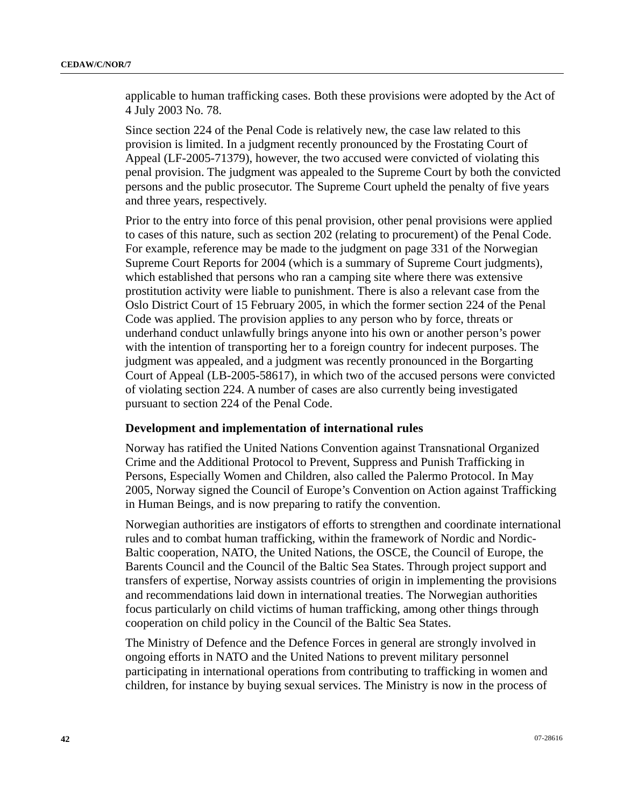applicable to human trafficking cases. Both these provisions were adopted by the Act of 4 July 2003 No. 78.

Since section 224 of the Penal Code is relatively new, the case law related to this provision is limited. In a judgment recently pronounced by the Frostating Court of Appeal (LF-2005-71379), however, the two accused were convicted of violating this penal provision. The judgment was appealed to the Supreme Court by both the convicted persons and the public prosecutor. The Supreme Court upheld the penalty of five years and three years, respectively.

Prior to the entry into force of this penal provision, other penal provisions were applied to cases of this nature, such as section 202 (relating to procurement) of the Penal Code. For example, reference may be made to the judgment on page 331 of the Norwegian Supreme Court Reports for 2004 (which is a summary of Supreme Court judgments), which established that persons who ran a camping site where there was extensive prostitution activity were liable to punishment. There is also a relevant case from the Oslo District Court of 15 February 2005, in which the former section 224 of the Penal Code was applied. The provision applies to any person who by force, threats or underhand conduct unlawfully brings anyone into his own or another person's power with the intention of transporting her to a foreign country for indecent purposes. The judgment was appealed, and a judgment was recently pronounced in the Borgarting Court of Appeal (LB-2005-58617), in which two of the accused persons were convicted of violating section 224. A number of cases are also currently being investigated pursuant to section 224 of the Penal Code.

# **Development and implementation of international rules**

Norway has ratified the United Nations Convention against Transnational Organized Crime and the Additional Protocol to Prevent, Suppress and Punish Trafficking in Persons, Especially Women and Children, also called the Palermo Protocol. In May 2005, Norway signed the Council of Europe's Convention on Action against Trafficking in Human Beings, and is now preparing to ratify the convention.

Norwegian authorities are instigators of efforts to strengthen and coordinate international rules and to combat human trafficking, within the framework of Nordic and Nordic-Baltic cooperation, NATO, the United Nations, the OSCE, the Council of Europe, the Barents Council and the Council of the Baltic Sea States. Through project support and transfers of expertise, Norway assists countries of origin in implementing the provisions and recommendations laid down in international treaties. The Norwegian authorities focus particularly on child victims of human trafficking, among other things through cooperation on child policy in the Council of the Baltic Sea States.

The Ministry of Defence and the Defence Forces in general are strongly involved in ongoing efforts in NATO and the United Nations to prevent military personnel participating in international operations from contributing to trafficking in women and children, for instance by buying sexual services. The Ministry is now in the process of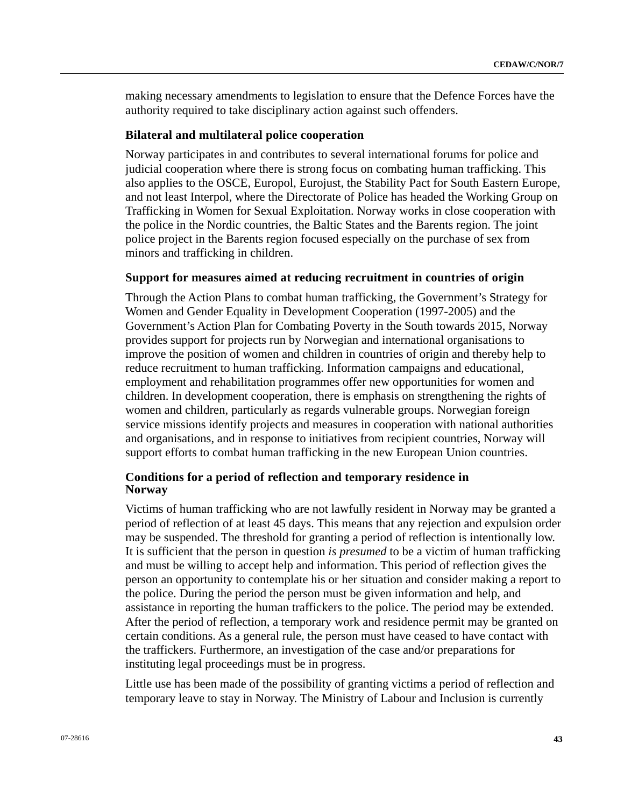making necessary amendments to legislation to ensure that the Defence Forces have the authority required to take disciplinary action against such offenders.

### **Bilateral and multilateral police cooperation**

Norway participates in and contributes to several international forums for police and judicial cooperation where there is strong focus on combating human trafficking. This also applies to the OSCE, Europol, Eurojust, the Stability Pact for South Eastern Europe, and not least Interpol, where the Directorate of Police has headed the Working Group on Trafficking in Women for Sexual Exploitation. Norway works in close cooperation with the police in the Nordic countries, the Baltic States and the Barents region. The joint police project in the Barents region focused especially on the purchase of sex from minors and trafficking in children.

#### **Support for measures aimed at reducing recruitment in countries of origin**

Through the Action Plans to combat human trafficking, the Government's Strategy for Women and Gender Equality in Development Cooperation (1997-2005) and the Government's Action Plan for Combating Poverty in the South towards 2015, Norway provides support for projects run by Norwegian and international organisations to improve the position of women and children in countries of origin and thereby help to reduce recruitment to human trafficking. Information campaigns and educational, employment and rehabilitation programmes offer new opportunities for women and children. In development cooperation, there is emphasis on strengthening the rights of women and children, particularly as regards vulnerable groups. Norwegian foreign service missions identify projects and measures in cooperation with national authorities and organisations, and in response to initiatives from recipient countries, Norway will support efforts to combat human trafficking in the new European Union countries.

# **Conditions for a period of reflection and temporary residence in Norway**

Victims of human trafficking who are not lawfully resident in Norway may be granted a period of reflection of at least 45 days. This means that any rejection and expulsion order may be suspended. The threshold for granting a period of reflection is intentionally low. It is sufficient that the person in question *is presumed* to be a victim of human trafficking and must be willing to accept help and information. This period of reflection gives the person an opportunity to contemplate his or her situation and consider making a report to the police. During the period the person must be given information and help, and assistance in reporting the human traffickers to the police. The period may be extended. After the period of reflection, a temporary work and residence permit may be granted on certain conditions. As a general rule, the person must have ceased to have contact with the traffickers. Furthermore, an investigation of the case and/or preparations for instituting legal proceedings must be in progress.

Little use has been made of the possibility of granting victims a period of reflection and temporary leave to stay in Norway. The Ministry of Labour and Inclusion is currently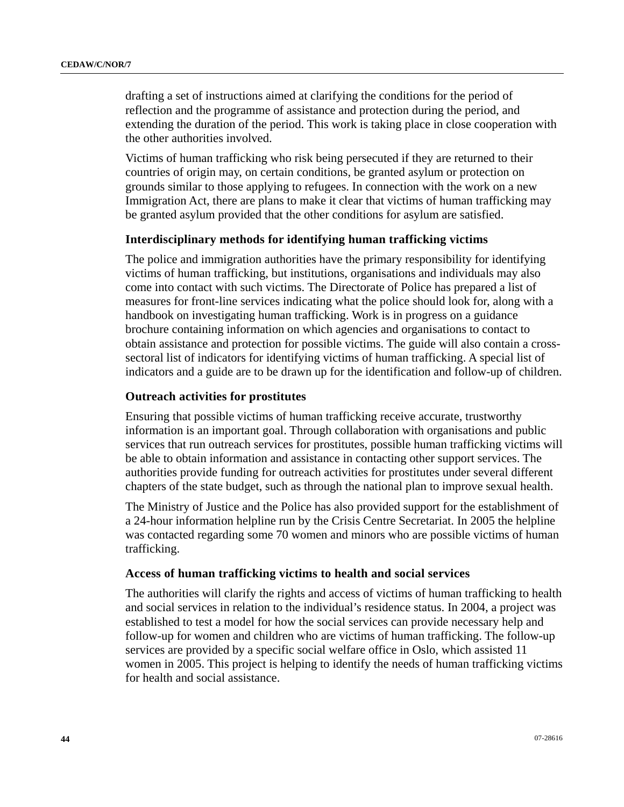drafting a set of instructions aimed at clarifying the conditions for the period of reflection and the programme of assistance and protection during the period, and extending the duration of the period. This work is taking place in close cooperation with the other authorities involved.

Victims of human trafficking who risk being persecuted if they are returned to their countries of origin may, on certain conditions, be granted asylum or protection on grounds similar to those applying to refugees. In connection with the work on a new Immigration Act, there are plans to make it clear that victims of human trafficking may be granted asylum provided that the other conditions for asylum are satisfied.

# **Interdisciplinary methods for identifying human trafficking victims**

The police and immigration authorities have the primary responsibility for identifying victims of human trafficking, but institutions, organisations and individuals may also come into contact with such victims. The Directorate of Police has prepared a list of measures for front-line services indicating what the police should look for, along with a handbook on investigating human trafficking. Work is in progress on a guidance brochure containing information on which agencies and organisations to contact to obtain assistance and protection for possible victims. The guide will also contain a crosssectoral list of indicators for identifying victims of human trafficking. A special list of indicators and a guide are to be drawn up for the identification and follow-up of children.

# **Outreach activities for prostitutes**

Ensuring that possible victims of human trafficking receive accurate, trustworthy information is an important goal. Through collaboration with organisations and public services that run outreach services for prostitutes, possible human trafficking victims will be able to obtain information and assistance in contacting other support services. The authorities provide funding for outreach activities for prostitutes under several different chapters of the state budget, such as through the national plan to improve sexual health.

The Ministry of Justice and the Police has also provided support for the establishment of a 24-hour information helpline run by the Crisis Centre Secretariat. In 2005 the helpline was contacted regarding some 70 women and minors who are possible victims of human trafficking.

# **Access of human trafficking victims to health and social services**

The authorities will clarify the rights and access of victims of human trafficking to health and social services in relation to the individual's residence status. In 2004, a project was established to test a model for how the social services can provide necessary help and follow-up for women and children who are victims of human trafficking. The follow-up services are provided by a specific social welfare office in Oslo, which assisted 11 women in 2005. This project is helping to identify the needs of human trafficking victims for health and social assistance.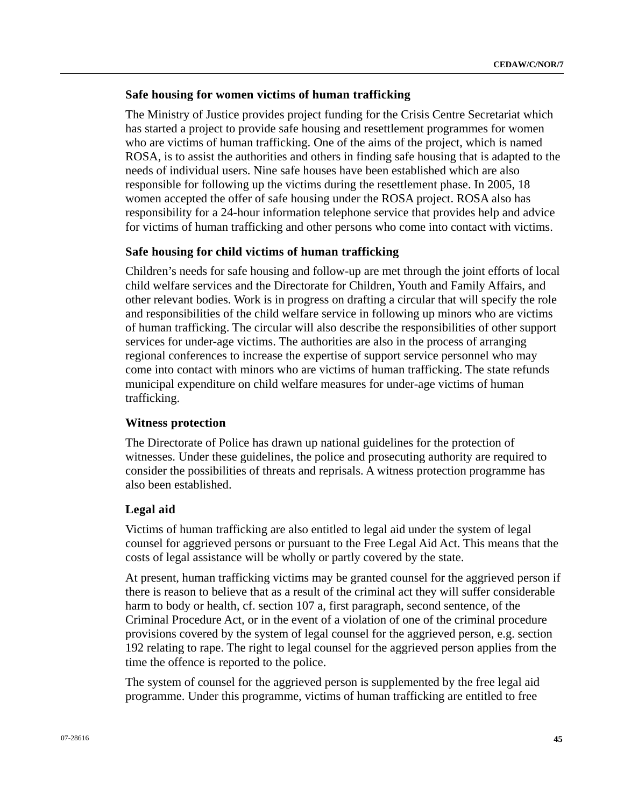# **Safe housing for women victims of human trafficking**

The Ministry of Justice provides project funding for the Crisis Centre Secretariat which has started a project to provide safe housing and resettlement programmes for women who are victims of human trafficking. One of the aims of the project, which is named ROSA, is to assist the authorities and others in finding safe housing that is adapted to the needs of individual users. Nine safe houses have been established which are also responsible for following up the victims during the resettlement phase. In 2005, 18 women accepted the offer of safe housing under the ROSA project. ROSA also has responsibility for a 24-hour information telephone service that provides help and advice for victims of human trafficking and other persons who come into contact with victims.

# **Safe housing for child victims of human trafficking**

Children's needs for safe housing and follow-up are met through the joint efforts of local child welfare services and the Directorate for Children, Youth and Family Affairs, and other relevant bodies. Work is in progress on drafting a circular that will specify the role and responsibilities of the child welfare service in following up minors who are victims of human trafficking. The circular will also describe the responsibilities of other support services for under-age victims. The authorities are also in the process of arranging regional conferences to increase the expertise of support service personnel who may come into contact with minors who are victims of human trafficking. The state refunds municipal expenditure on child welfare measures for under-age victims of human trafficking.

# **Witness protection**

The Directorate of Police has drawn up national guidelines for the protection of witnesses. Under these guidelines, the police and prosecuting authority are required to consider the possibilities of threats and reprisals. A witness protection programme has also been established.

# **Legal aid**

Victims of human trafficking are also entitled to legal aid under the system of legal counsel for aggrieved persons or pursuant to the Free Legal Aid Act. This means that the costs of legal assistance will be wholly or partly covered by the state.

At present, human trafficking victims may be granted counsel for the aggrieved person if there is reason to believe that as a result of the criminal act they will suffer considerable harm to body or health, cf. section 107 a, first paragraph, second sentence, of the Criminal Procedure Act, or in the event of a violation of one of the criminal procedure provisions covered by the system of legal counsel for the aggrieved person, e.g. section 192 relating to rape. The right to legal counsel for the aggrieved person applies from the time the offence is reported to the police.

The system of counsel for the aggrieved person is supplemented by the free legal aid programme. Under this programme, victims of human trafficking are entitled to free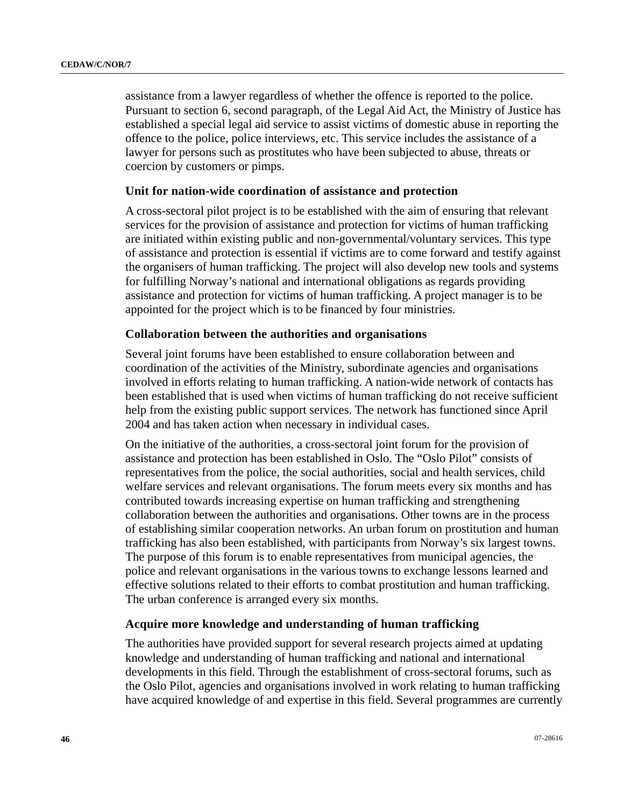assistance from a lawyer regardless of whether the offence is reported to the police. Pursuant to section 6, second paragraph, of the Legal Aid Act, the Ministry of Justice has established a special legal aid service to assist victims of domestic abuse in reporting the offence to the police, police interviews, etc. This service includes the assistance of a lawyer for persons such as prostitutes who have been subjected to abuse, threats or coercion by customers or pimps.

## **Unit for nation-wide coordination of assistance and protection**

A cross-sectoral pilot project is to be established with the aim of ensuring that relevant services for the provision of assistance and protection for victims of human trafficking are initiated within existing public and non-governmental/voluntary services. This type of assistance and protection is essential if victims are to come forward and testify against the organisers of human trafficking. The project will also develop new tools and systems for fulfilling Norway's national and international obligations as regards providing assistance and protection for victims of human trafficking. A project manager is to be appointed for the project which is to be financed by four ministries.

## **Collaboration between the authorities and organisations**

Several joint forums have been established to ensure collaboration between and coordination of the activities of the Ministry, subordinate agencies and organisations involved in efforts relating to human trafficking. A nation-wide network of contacts has been established that is used when victims of human trafficking do not receive sufficient help from the existing public support services. The network has functioned since April 2004 and has taken action when necessary in individual cases.

On the initiative of the authorities, a cross-sectoral joint forum for the provision of assistance and protection has been established in Oslo. The "Oslo Pilot" consists of representatives from the police, the social authorities, social and health services, child welfare services and relevant organisations. The forum meets every six months and has contributed towards increasing expertise on human trafficking and strengthening collaboration between the authorities and organisations. Other towns are in the process of establishing similar cooperation networks. An urban forum on prostitution and human trafficking has also been established, with participants from Norway's six largest towns. The purpose of this forum is to enable representatives from municipal agencies, the police and relevant organisations in the various towns to exchange lessons learned and effective solutions related to their efforts to combat prostitution and human trafficking. The urban conference is arranged every six months.

#### **Acquire more knowledge and understanding of human trafficking**

The authorities have provided support for several research projects aimed at updating knowledge and understanding of human trafficking and national and international developments in this field. Through the establishment of cross-sectoral forums, such as the Oslo Pilot, agencies and organisations involved in work relating to human trafficking have acquired knowledge of and expertise in this field. Several programmes are currently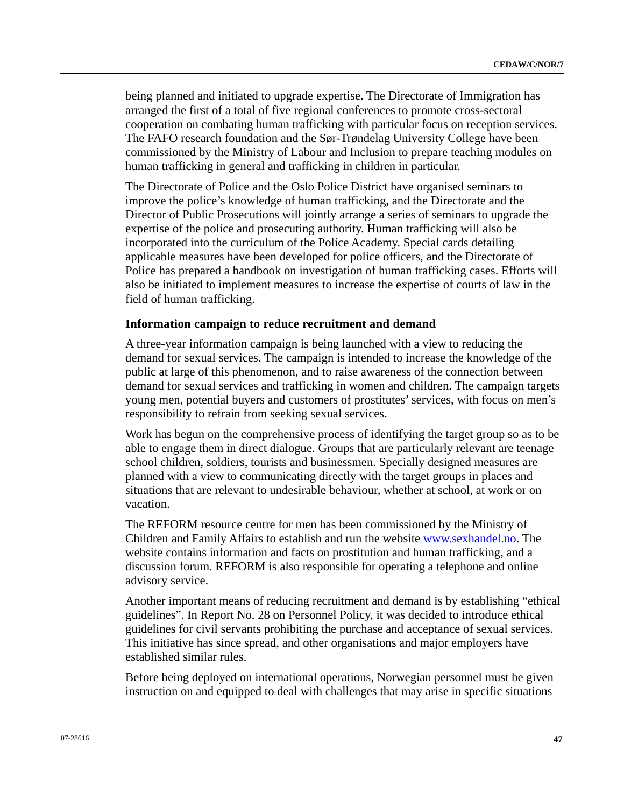being planned and initiated to upgrade expertise. The Directorate of Immigration has arranged the first of a total of five regional conferences to promote cross-sectoral cooperation on combating human trafficking with particular focus on reception services. The FAFO research foundation and the Sør-Trøndelag University College have been commissioned by the Ministry of Labour and Inclusion to prepare teaching modules on human trafficking in general and trafficking in children in particular.

The Directorate of Police and the Oslo Police District have organised seminars to improve the police's knowledge of human trafficking, and the Directorate and the Director of Public Prosecutions will jointly arrange a series of seminars to upgrade the expertise of the police and prosecuting authority. Human trafficking will also be incorporated into the curriculum of the Police Academy. Special cards detailing applicable measures have been developed for police officers, and the Directorate of Police has prepared a handbook on investigation of human trafficking cases. Efforts will also be initiated to implement measures to increase the expertise of courts of law in the field of human trafficking.

### **Information campaign to reduce recruitment and demand**

A three-year information campaign is being launched with a view to reducing the demand for sexual services. The campaign is intended to increase the knowledge of the public at large of this phenomenon, and to raise awareness of the connection between demand for sexual services and trafficking in women and children. The campaign targets young men, potential buyers and customers of prostitutes' services, with focus on men's responsibility to refrain from seeking sexual services.

Work has begun on the comprehensive process of identifying the target group so as to be able to engage them in direct dialogue. Groups that are particularly relevant are teenage school children, soldiers, tourists and businessmen. Specially designed measures are planned with a view to communicating directly with the target groups in places and situations that are relevant to undesirable behaviour, whether at school, at work or on vacation.

The REFORM resource centre for men has been commissioned by the Ministry of Children and Family Affairs to establish and run the website [www.sexhandel.no.](http://www.sexhandel.no/) The website contains information and facts on prostitution and human trafficking, and a discussion forum. REFORM is also responsible for operating a telephone and online advisory service.

Another important means of reducing recruitment and demand is by establishing "ethical guidelines". In Report No. 28 on Personnel Policy, it was decided to introduce ethical guidelines for civil servants prohibiting the purchase and acceptance of sexual services. This initiative has since spread, and other organisations and major employers have established similar rules.

Before being deployed on international operations, Norwegian personnel must be given instruction on and equipped to deal with challenges that may arise in specific situations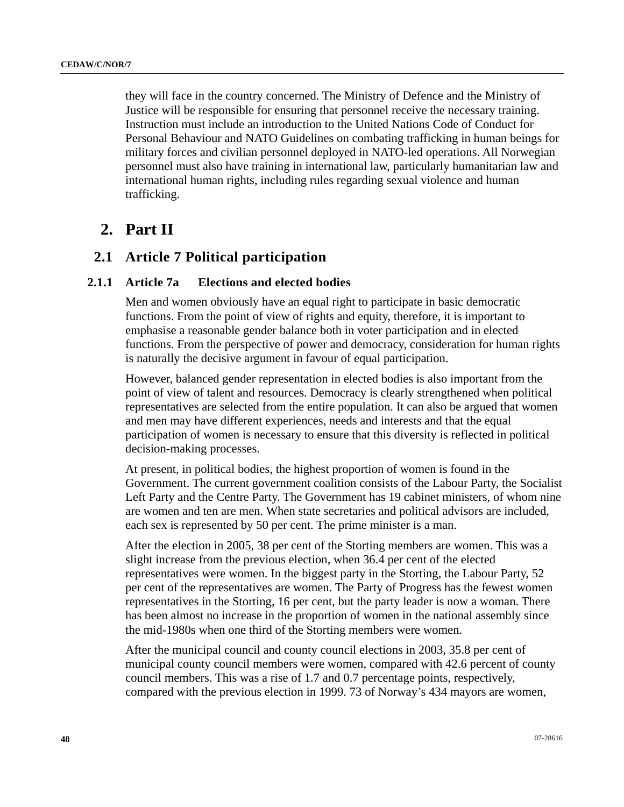they will face in the country concerned. The Ministry of Defence and the Ministry of Justice will be responsible for ensuring that personnel receive the necessary training. Instruction must include an introduction to the United Nations Code of Conduct for Personal Behaviour and NATO Guidelines on combating trafficking in human beings for military forces and civilian personnel deployed in NATO-led operations. All Norwegian personnel must also have training in international law, particularly humanitarian law and international human rights, including rules regarding sexual violence and human trafficking.

# **2. Part II**

# **2.1 Article 7 Political participation**

# **2.1.1 Article 7a Elections and elected bodies**

Men and women obviously have an equal right to participate in basic democratic functions. From the point of view of rights and equity, therefore, it is important to emphasise a reasonable gender balance both in voter participation and in elected functions. From the perspective of power and democracy, consideration for human rights is naturally the decisive argument in favour of equal participation.

However, balanced gender representation in elected bodies is also important from the point of view of talent and resources. Democracy is clearly strengthened when political representatives are selected from the entire population. It can also be argued that women and men may have different experiences, needs and interests and that the equal participation of women is necessary to ensure that this diversity is reflected in political decision-making processes.

At present, in political bodies, the highest proportion of women is found in the Government. The current government coalition consists of the Labour Party, the Socialist Left Party and the Centre Party. The Government has 19 cabinet ministers, of whom nine are women and ten are men. When state secretaries and political advisors are included, each sex is represented by 50 per cent. The prime minister is a man.

After the election in 2005, 38 per cent of the Storting members are women. This was a slight increase from the previous election, when 36.4 per cent of the elected representatives were women. In the biggest party in the Storting, the Labour Party, 52 per cent of the representatives are women. The Party of Progress has the fewest women representatives in the Storting, 16 per cent, but the party leader is now a woman. There has been almost no increase in the proportion of women in the national assembly since the mid-1980s when one third of the Storting members were women.

After the municipal council and county council elections in 2003, 35.8 per cent of municipal county council members were women, compared with 42.6 percent of county council members. This was a rise of 1.7 and 0.7 percentage points, respectively, compared with the previous election in 1999. 73 of Norway's 434 mayors are women,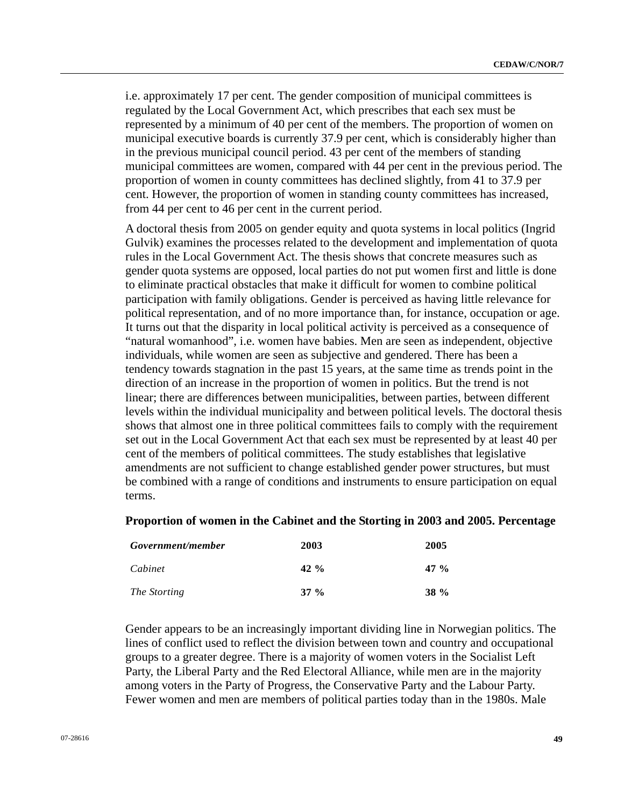i.e. approximately 17 per cent. The gender composition of municipal committees is regulated by the Local Government Act, which prescribes that each sex must be represented by a minimum of 40 per cent of the members. The proportion of women on municipal executive boards is currently 37.9 per cent, which is considerably higher than in the previous municipal council period. 43 per cent of the members of standing municipal committees are women, compared with 44 per cent in the previous period. The proportion of women in county committees has declined slightly, from 41 to 37.9 per cent. However, the proportion of women in standing county committees has increased, from 44 per cent to 46 per cent in the current period.

A doctoral thesis from 2005 on gender equity and quota systems in local politics (Ingrid Gulvik) examines the processes related to the development and implementation of quota rules in the Local Government Act. The thesis shows that concrete measures such as gender quota systems are opposed, local parties do not put women first and little is done to eliminate practical obstacles that make it difficult for women to combine political participation with family obligations. Gender is perceived as having little relevance for political representation, and of no more importance than, for instance, occupation or age. It turns out that the disparity in local political activity is perceived as a consequence of "natural womanhood", i.e. women have babies. Men are seen as independent, objective individuals, while women are seen as subjective and gendered. There has been a tendency towards stagnation in the past 15 years, at the same time as trends point in the direction of an increase in the proportion of women in politics. But the trend is not linear; there are differences between municipalities, between parties, between different levels within the individual municipality and between political levels. The doctoral thesis shows that almost one in three political committees fails to comply with the requirement set out in the Local Government Act that each sex must be represented by at least 40 per cent of the members of political committees. The study establishes that legislative amendments are not sufficient to change established gender power structures, but must be combined with a range of conditions and instruments to ensure participation on equal terms.

### **Proportion of women in the Cabinet and the Storting in 2003 and 2005. Percentage**

| Government/member | 2003   | 2005        |
|-------------------|--------|-------------|
| Cabinet           | 42 %   | 47 %        |
| The Storting      | $37\%$ | <b>38</b> % |

Gender appears to be an increasingly important dividing line in Norwegian politics. The lines of conflict used to reflect the division between town and country and occupational groups to a greater degree. There is a majority of women voters in the Socialist Left Party, the Liberal Party and the Red Electoral Alliance, while men are in the majority among voters in the Party of Progress, the Conservative Party and the Labour Party. Fewer women and men are members of political parties today than in the 1980s. Male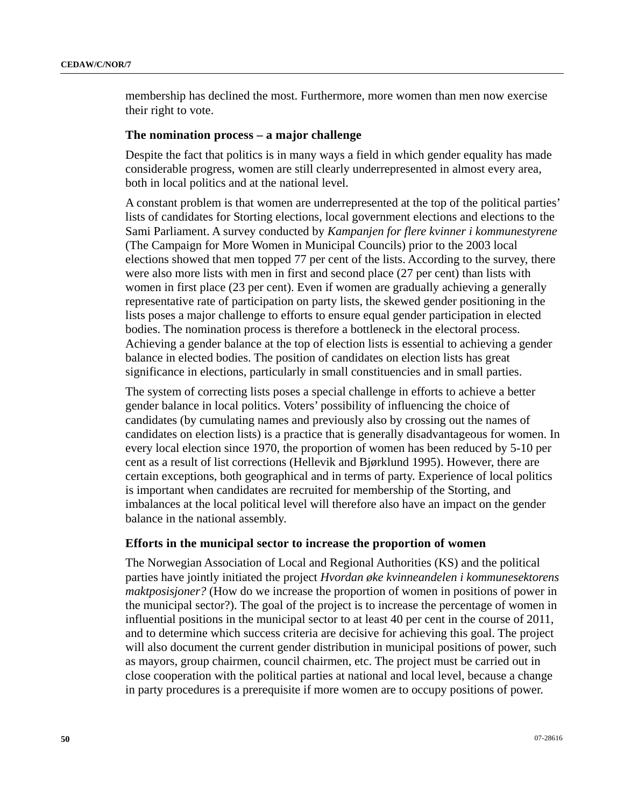membership has declined the most. Furthermore, more women than men now exercise their right to vote.

### **The nomination process – a major challenge**

Despite the fact that politics is in many ways a field in which gender equality has made considerable progress, women are still clearly underrepresented in almost every area, both in local politics and at the national level.

A constant problem is that women are underrepresented at the top of the political parties' lists of candidates for Storting elections, local government elections and elections to the Sami Parliament. A survey conducted by *Kampanjen for flere kvinner i kommunestyrene*  (The Campaign for More Women in Municipal Councils) prior to the 2003 local elections showed that men topped 77 per cent of the lists. According to the survey, there were also more lists with men in first and second place (27 per cent) than lists with women in first place (23 per cent). Even if women are gradually achieving a generally representative rate of participation on party lists, the skewed gender positioning in the lists poses a major challenge to efforts to ensure equal gender participation in elected bodies. The nomination process is therefore a bottleneck in the electoral process. Achieving a gender balance at the top of election lists is essential to achieving a gender balance in elected bodies. The position of candidates on election lists has great significance in elections, particularly in small constituencies and in small parties.

The system of correcting lists poses a special challenge in efforts to achieve a better gender balance in local politics. Voters' possibility of influencing the choice of candidates (by cumulating names and previously also by crossing out the names of candidates on election lists) is a practice that is generally disadvantageous for women. In every local election since 1970, the proportion of women has been reduced by 5-10 per cent as a result of list corrections (Hellevik and Bjørklund 1995). However, there are certain exceptions, both geographical and in terms of party. Experience of local politics is important when candidates are recruited for membership of the Storting, and imbalances at the local political level will therefore also have an impact on the gender balance in the national assembly.

## **Efforts in the municipal sector to increase the proportion of women**

The Norwegian Association of Local and Regional Authorities (KS) and the political parties have jointly initiated the project *Hvordan øke kvinneandelen i kommunesektorens maktposisjoner?* (How do we increase the proportion of women in positions of power in the municipal sector?). The goal of the project is to increase the percentage of women in influential positions in the municipal sector to at least 40 per cent in the course of 2011, and to determine which success criteria are decisive for achieving this goal. The project will also document the current gender distribution in municipal positions of power, such as mayors, group chairmen, council chairmen, etc. The project must be carried out in close cooperation with the political parties at national and local level, because a change in party procedures is a prerequisite if more women are to occupy positions of power.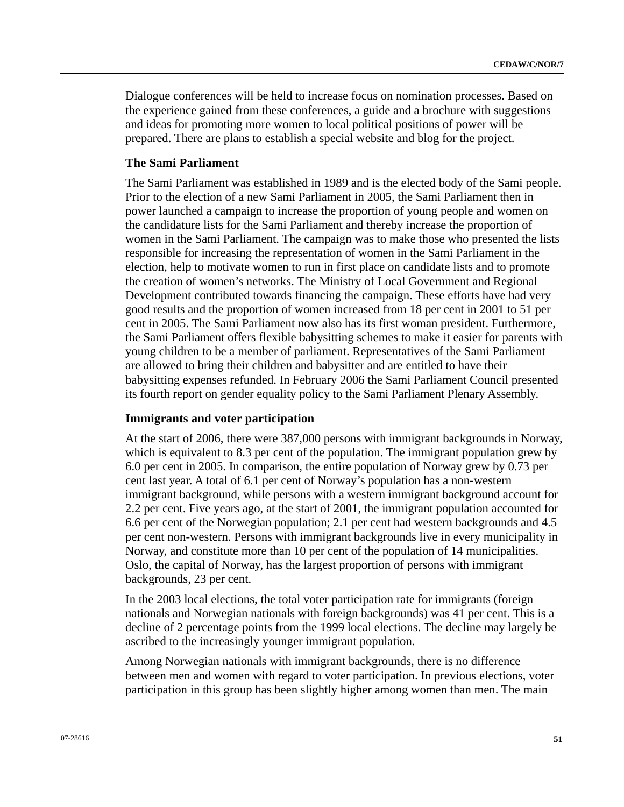Dialogue conferences will be held to increase focus on nomination processes. Based on the experience gained from these conferences, a guide and a brochure with suggestions and ideas for promoting more women to local political positions of power will be prepared. There are plans to establish a special website and blog for the project.

# **The Sami Parliament**

The Sami Parliament was established in 1989 and is the elected body of the Sami people. Prior to the election of a new Sami Parliament in 2005, the Sami Parliament then in power launched a campaign to increase the proportion of young people and women on the candidature lists for the Sami Parliament and thereby increase the proportion of women in the Sami Parliament. The campaign was to make those who presented the lists responsible for increasing the representation of women in the Sami Parliament in the election, help to motivate women to run in first place on candidate lists and to promote the creation of women's networks. The Ministry of Local Government and Regional Development contributed towards financing the campaign. These efforts have had very good results and the proportion of women increased from 18 per cent in 2001 to 51 per cent in 2005. The Sami Parliament now also has its first woman president. Furthermore, the Sami Parliament offers flexible babysitting schemes to make it easier for parents with young children to be a member of parliament. Representatives of the Sami Parliament are allowed to bring their children and babysitter and are entitled to have their babysitting expenses refunded. In February 2006 the Sami Parliament Council presented its fourth report on gender equality policy to the Sami Parliament Plenary Assembly.

# **Immigrants and voter participation**

At the start of 2006, there were 387,000 persons with immigrant backgrounds in Norway, which is equivalent to 8.3 per cent of the population. The immigrant population grew by 6.0 per cent in 2005. In comparison, the entire population of Norway grew by 0.73 per cent last year. A total of 6.1 per cent of Norway's population has a non-western immigrant background, while persons with a western immigrant background account for 2.2 per cent. Five years ago, at the start of 2001, the immigrant population accounted for 6.6 per cent of the Norwegian population; 2.1 per cent had western backgrounds and 4.5 per cent non-western. Persons with immigrant backgrounds live in every municipality in Norway, and constitute more than 10 per cent of the population of 14 municipalities. Oslo, the capital of Norway, has the largest proportion of persons with immigrant backgrounds, 23 per cent.

In the 2003 local elections, the total voter participation rate for immigrants (foreign nationals and Norwegian nationals with foreign backgrounds) was 41 per cent. This is a decline of 2 percentage points from the 1999 local elections. The decline may largely be ascribed to the increasingly younger immigrant population.

Among Norwegian nationals with immigrant backgrounds, there is no difference between men and women with regard to voter participation. In previous elections, voter participation in this group has been slightly higher among women than men. The main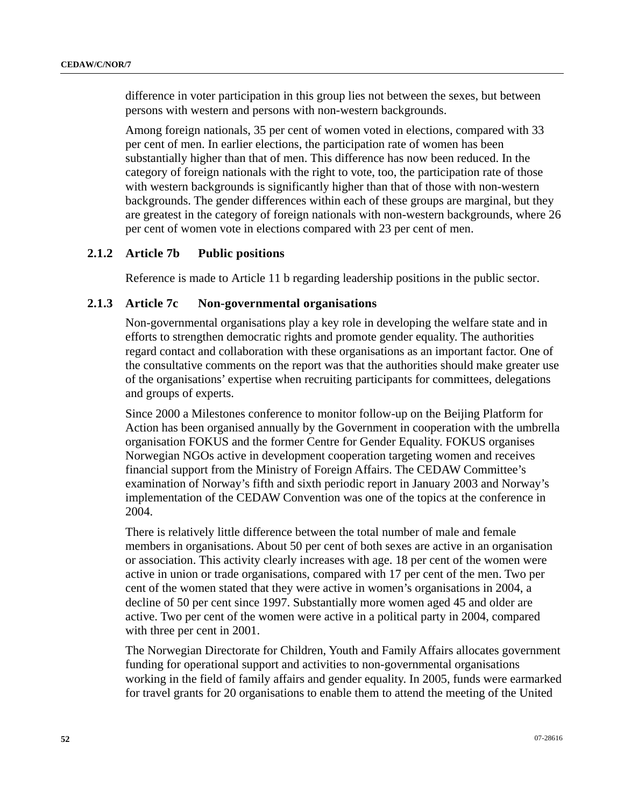difference in voter participation in this group lies not between the sexes, but between persons with western and persons with non-western backgrounds.

Among foreign nationals, 35 per cent of women voted in elections, compared with 33 per cent of men. In earlier elections, the participation rate of women has been substantially higher than that of men. This difference has now been reduced. In the category of foreign nationals with the right to vote, too, the participation rate of those with western backgrounds is significantly higher than that of those with non-western backgrounds. The gender differences within each of these groups are marginal, but they are greatest in the category of foreign nationals with non-western backgrounds, where 26 per cent of women vote in elections compared with 23 per cent of men.

# **2.1.2 Article 7b Public positions**

Reference is made to Article 11 b regarding leadership positions in the public sector.

# **2.1.3 Article 7c Non-governmental organisations**

Non-governmental organisations play a key role in developing the welfare state and in efforts to strengthen democratic rights and promote gender equality. The authorities regard contact and collaboration with these organisations as an important factor. One of the consultative comments on the report was that the authorities should make greater use of the organisations' expertise when recruiting participants for committees, delegations and groups of experts.

Since 2000 a Milestones conference to monitor follow-up on the Beijing Platform for Action has been organised annually by the Government in cooperation with the umbrella organisation FOKUS and the former Centre for Gender Equality. FOKUS organises Norwegian NGOs active in development cooperation targeting women and receives financial support from the Ministry of Foreign Affairs. The CEDAW Committee's examination of Norway's fifth and sixth periodic report in January 2003 and Norway's implementation of the CEDAW Convention was one of the topics at the conference in 2004.

There is relatively little difference between the total number of male and female members in organisations. About 50 per cent of both sexes are active in an organisation or association. This activity clearly increases with age. 18 per cent of the women were active in union or trade organisations, compared with 17 per cent of the men. Two per cent of the women stated that they were active in women's organisations in 2004, a decline of 50 per cent since 1997. Substantially more women aged 45 and older are active. Two per cent of the women were active in a political party in 2004, compared with three per cent in 2001.

The Norwegian Directorate for Children, Youth and Family Affairs allocates government funding for operational support and activities to non-governmental organisations working in the field of family affairs and gender equality. In 2005, funds were earmarked for travel grants for 20 organisations to enable them to attend the meeting of the United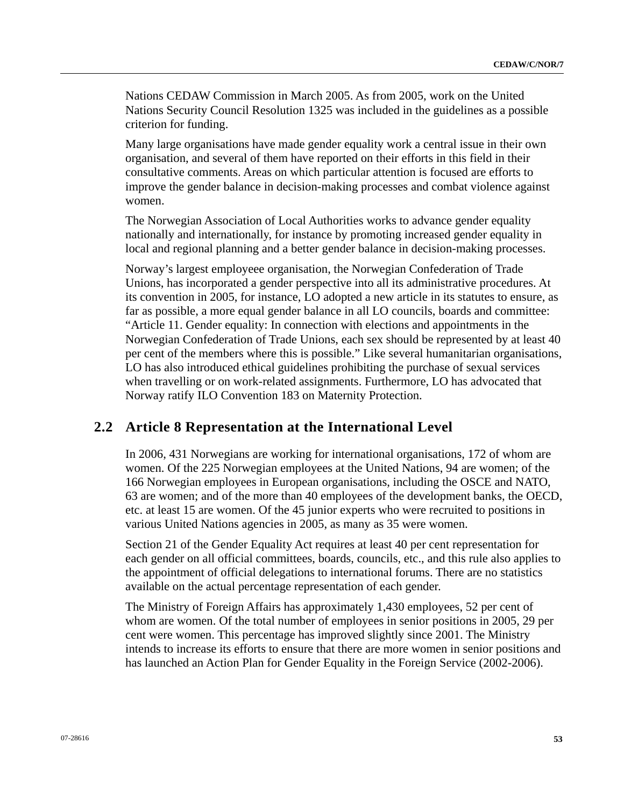Nations CEDAW Commission in March 2005. As from 2005, work on the United Nations Security Council Resolution 1325 was included in the guidelines as a possible criterion for funding.

Many large organisations have made gender equality work a central issue in their own organisation, and several of them have reported on their efforts in this field in their consultative comments. Areas on which particular attention is focused are efforts to improve the gender balance in decision-making processes and combat violence against women.

The Norwegian Association of Local Authorities works to advance gender equality nationally and internationally, for instance by promoting increased gender equality in local and regional planning and a better gender balance in decision-making processes.

Norway's largest employeee organisation, the Norwegian Confederation of Trade Unions, has incorporated a gender perspective into all its administrative procedures. At its convention in 2005, for instance, LO adopted a new article in its statutes to ensure, as far as possible, a more equal gender balance in all LO councils, boards and committee: "Article 11. Gender equality: In connection with elections and appointments in the Norwegian Confederation of Trade Unions, each sex should be represented by at least 40 per cent of the members where this is possible." Like several humanitarian organisations, LO has also introduced ethical guidelines prohibiting the purchase of sexual services when travelling or on work-related assignments. Furthermore, LO has advocated that Norway ratify ILO Convention 183 on Maternity Protection.

# **2.2 Article 8 Representation at the International Level**

In 2006, 431 Norwegians are working for international organisations, 172 of whom are women. Of the 225 Norwegian employees at the United Nations, 94 are women; of the 166 Norwegian employees in European organisations, including the OSCE and NATO, 63 are women; and of the more than 40 employees of the development banks, the OECD, etc. at least 15 are women. Of the 45 junior experts who were recruited to positions in various United Nations agencies in 2005, as many as 35 were women.

Section 21 of the Gender Equality Act requires at least 40 per cent representation for each gender on all official committees, boards, councils, etc., and this rule also applies to the appointment of official delegations to international forums. There are no statistics available on the actual percentage representation of each gender.

The Ministry of Foreign Affairs has approximately 1,430 employees, 52 per cent of whom are women. Of the total number of employees in senior positions in 2005, 29 per cent were women. This percentage has improved slightly since 2001. The Ministry intends to increase its efforts to ensure that there are more women in senior positions and has launched an Action Plan for Gender Equality in the Foreign Service (2002-2006).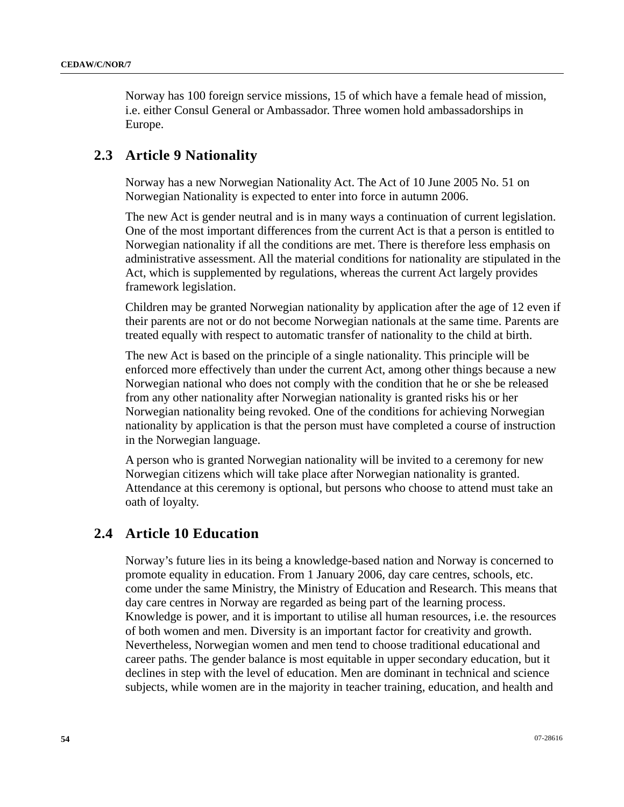Norway has 100 foreign service missions, 15 of which have a female head of mission, i.e. either Consul General or Ambassador. Three women hold ambassadorships in Europe.

# **2.3 Article 9 Nationality**

Norway has a new Norwegian Nationality Act. The Act of 10 June 2005 No. 51 on Norwegian Nationality is expected to enter into force in autumn 2006.

The new Act is gender neutral and is in many ways a continuation of current legislation. One of the most important differences from the current Act is that a person is entitled to Norwegian nationality if all the conditions are met. There is therefore less emphasis on administrative assessment. All the material conditions for nationality are stipulated in the Act, which is supplemented by regulations, whereas the current Act largely provides framework legislation.

Children may be granted Norwegian nationality by application after the age of 12 even if their parents are not or do not become Norwegian nationals at the same time. Parents are treated equally with respect to automatic transfer of nationality to the child at birth.

The new Act is based on the principle of a single nationality. This principle will be enforced more effectively than under the current Act, among other things because a new Norwegian national who does not comply with the condition that he or she be released from any other nationality after Norwegian nationality is granted risks his or her Norwegian nationality being revoked. One of the conditions for achieving Norwegian nationality by application is that the person must have completed a course of instruction in the Norwegian language.

A person who is granted Norwegian nationality will be invited to a ceremony for new Norwegian citizens which will take place after Norwegian nationality is granted. Attendance at this ceremony is optional, but persons who choose to attend must take an oath of loyalty.

# **2.4 Article 10 Education**

Norway's future lies in its being a knowledge-based nation and Norway is concerned to promote equality in education. From 1 January 2006, day care centres, schools, etc. come under the same Ministry, the Ministry of Education and Research. This means that day care centres in Norway are regarded as being part of the learning process. Knowledge is power, and it is important to utilise all human resources, i.e. the resources of both women and men. Diversity is an important factor for creativity and growth. Nevertheless, Norwegian women and men tend to choose traditional educational and career paths. The gender balance is most equitable in upper secondary education, but it declines in step with the level of education. Men are dominant in technical and science subjects, while women are in the majority in teacher training, education, and health and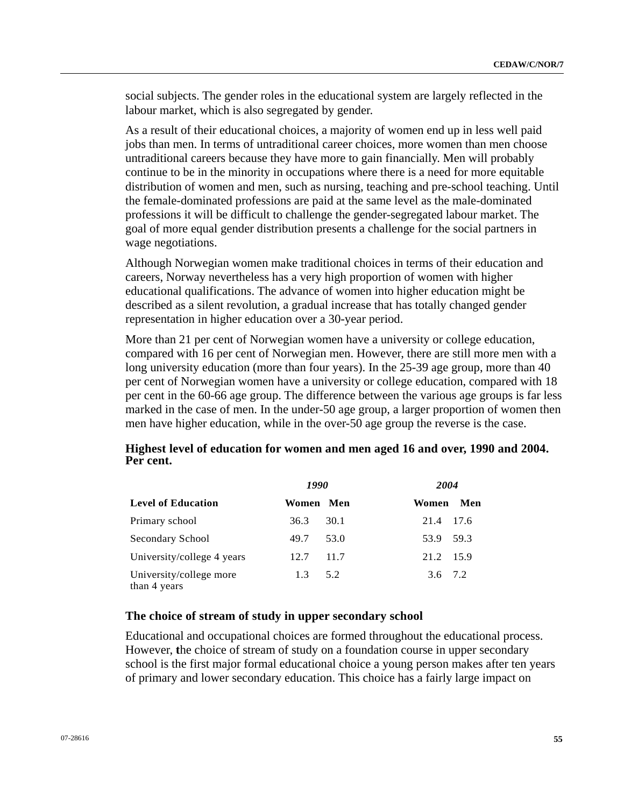social subjects. The gender roles in the educational system are largely reflected in the labour market, which is also segregated by gender.

As a result of their educational choices, a majority of women end up in less well paid jobs than men. In terms of untraditional career choices, more women than men choose untraditional careers because they have more to gain financially. Men will probably continue to be in the minority in occupations where there is a need for more equitable distribution of women and men, such as nursing, teaching and pre-school teaching. Until the female-dominated professions are paid at the same level as the male-dominated professions it will be difficult to challenge the gender-segregated labour market. The goal of more equal gender distribution presents a challenge for the social partners in wage negotiations.

Although Norwegian women make traditional choices in terms of their education and careers, Norway nevertheless has a very high proportion of women with higher educational qualifications. The advance of women into higher education might be described as a silent revolution, a gradual increase that has totally changed gender representation in higher education over a 30-year period.

More than 21 per cent of Norwegian women have a university or college education, compared with 16 per cent of Norwegian men. However, there are still more men with a long university education (more than four years). In the 25-39 age group, more than 40 per cent of Norwegian women have a university or college education, compared with 18 per cent in the 60-66 age group. The difference between the various age groups is far less marked in the case of men. In the under-50 age group, a larger proportion of women then men have higher education, while in the over-50 age group the reverse is the case.

|                                         | 1990      |      | 2004      |        |
|-----------------------------------------|-----------|------|-----------|--------|
| <b>Level of Education</b>               | Women Men |      | Women Men |        |
| Primary school                          | 36.3      | 30.1 | 21.4      | - 17.6 |
| Secondary School                        | 49.7      | 53.0 | 53.9 59.3 |        |
| University/college 4 years              | 12.7      | 11.7 | 21.2 15.9 |        |
| University/college more<br>than 4 years | 1.3       | 5.2  | 3.6 7.2   |        |

# **Highest level of education for women and men aged 16 and over, 1990 and 2004. Per cent.**

# **The choice of stream of study in upper secondary school**

Educational and occupational choices are formed throughout the educational process. However, **t**he choice of stream of study on a foundation course in upper secondary school is the first major formal educational choice a young person makes after ten years of primary and lower secondary education. This choice has a fairly large impact on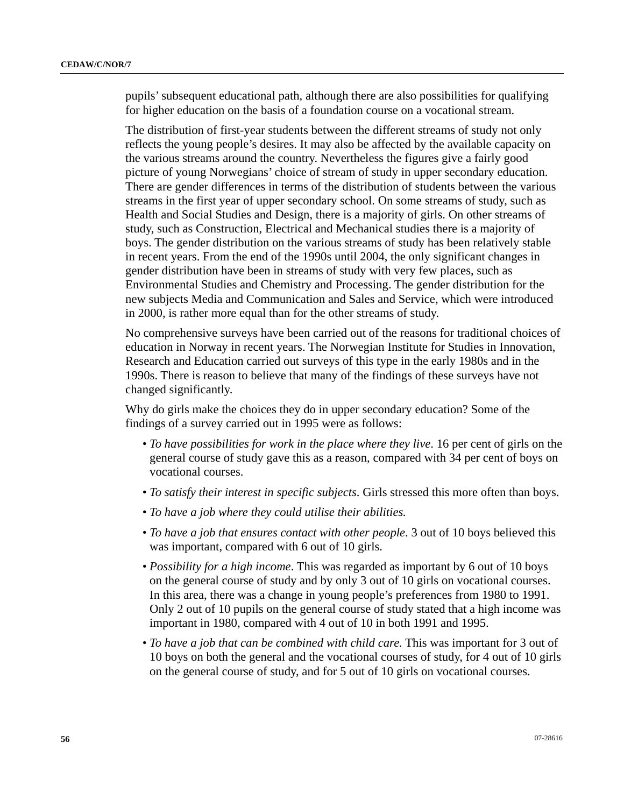pupils' subsequent educational path, although there are also possibilities for qualifying for higher education on the basis of a foundation course on a vocational stream.

The distribution of first-year students between the different streams of study not only reflects the young people's desires. It may also be affected by the available capacity on the various streams around the country. Nevertheless the figures give a fairly good picture of young Norwegians' choice of stream of study in upper secondary education. There are gender differences in terms of the distribution of students between the various streams in the first year of upper secondary school. On some streams of study, such as Health and Social Studies and Design, there is a majority of girls. On other streams of study, such as Construction, Electrical and Mechanical studies there is a majority of boys. The gender distribution on the various streams of study has been relatively stable in recent years. From the end of the 1990s until 2004, the only significant changes in gender distribution have been in streams of study with very few places, such as Environmental Studies and Chemistry and Processing. The gender distribution for the new subjects Media and Communication and Sales and Service, which were introduced in 2000, is rather more equal than for the other streams of study.

No comprehensive surveys have been carried out of the reasons for traditional choices of education in Norway in recent years. The Norwegian Institute for Studies in Innovation, Research and Education carried out surveys of this type in the early 1980s and in the 1990s. There is reason to believe that many of the findings of these surveys have not changed significantly.

Why do girls make the choices they do in upper secondary education? Some of the findings of a survey carried out in 1995 were as follows:

- *To have possibilities for work in the place where they live*. 16 per cent of girls on the general course of study gave this as a reason, compared with 34 per cent of boys on vocational courses.
- *To satisfy their interest in specific subjects*. Girls stressed this more often than boys.
- *To have a job where they could utilise their abilities.*
- *To have a job that ensures contact with other people*. 3 out of 10 boys believed this was important, compared with 6 out of 10 girls.
- *Possibility for a high income*. This was regarded as important by 6 out of 10 boys on the general course of study and by only 3 out of 10 girls on vocational courses. In this area, there was a change in young people's preferences from 1980 to 1991. Only 2 out of 10 pupils on the general course of study stated that a high income was important in 1980, compared with 4 out of 10 in both 1991 and 1995.
- *To have a job that can be combined with child care.* This was important for 3 out of 10 boys on both the general and the vocational courses of study, for 4 out of 10 girls on the general course of study, and for 5 out of 10 girls on vocational courses.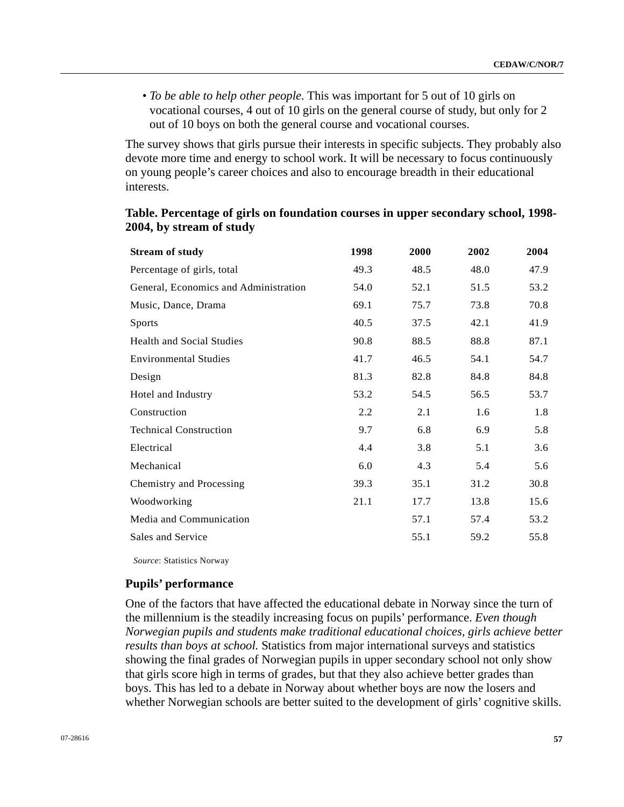• *To be able to help other people.* This was important for 5 out of 10 girls on vocational courses, 4 out of 10 girls on the general course of study, but only for 2 out of 10 boys on both the general course and vocational courses.

The survey shows that girls pursue their interests in specific subjects. They probably also devote more time and energy to school work. It will be necessary to focus continuously on young people's career choices and also to encourage breadth in their educational interests.

| <b>Stream of study</b>                | 1998 | 2000 | 2002 | 2004 |
|---------------------------------------|------|------|------|------|
| Percentage of girls, total            | 49.3 | 48.5 | 48.0 | 47.9 |
| General, Economics and Administration | 54.0 | 52.1 | 51.5 | 53.2 |
| Music, Dance, Drama                   | 69.1 | 75.7 | 73.8 | 70.8 |
| <b>Sports</b>                         | 40.5 | 37.5 | 42.1 | 41.9 |
| <b>Health and Social Studies</b>      | 90.8 | 88.5 | 88.8 | 87.1 |
| <b>Environmental Studies</b>          | 41.7 | 46.5 | 54.1 | 54.7 |
| Design                                | 81.3 | 82.8 | 84.8 | 84.8 |
| Hotel and Industry                    | 53.2 | 54.5 | 56.5 | 53.7 |
| Construction                          | 2.2  | 2.1  | 1.6  | 1.8  |
| <b>Technical Construction</b>         | 9.7  | 6.8  | 6.9  | 5.8  |
| Electrical                            | 4.4  | 3.8  | 5.1  | 3.6  |
| Mechanical                            | 6.0  | 4.3  | 5.4  | 5.6  |
| Chemistry and Processing              | 39.3 | 35.1 | 31.2 | 30.8 |
| Woodworking                           | 21.1 | 17.7 | 13.8 | 15.6 |
| Media and Communication               |      | 57.1 | 57.4 | 53.2 |
| Sales and Service                     |      | 55.1 | 59.2 | 55.8 |

# **Table. Percentage of girls on foundation courses in upper secondary school, 1998- 2004, by stream of study**

*Source*: Statistics Norway

#### **Pupils' performance**

One of the factors that have affected the educational debate in Norway since the turn of the millennium is the steadily increasing focus on pupils' performance. *Even though Norwegian pupils and students make traditional educational choices, girls achieve better results than boys at school.* Statistics from major international surveys and statistics showing the final grades of Norwegian pupils in upper secondary school not only show that girls score high in terms of grades, but that they also achieve better grades than boys. This has led to a debate in Norway about whether boys are now the losers and whether Norwegian schools are better suited to the development of girls' cognitive skills.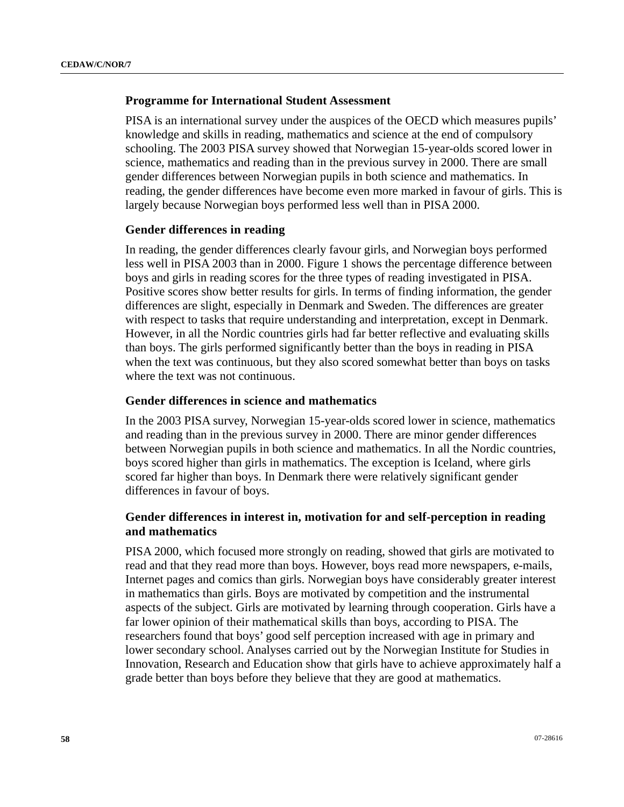# **Programme for International Student Assessment**

PISA is an international survey under the auspices of the OECD which measures pupils' knowledge and skills in reading, mathematics and science at the end of compulsory schooling. The 2003 PISA survey showed that Norwegian 15-year-olds scored lower in science, mathematics and reading than in the previous survey in 2000. There are small gender differences between Norwegian pupils in both science and mathematics. In reading, the gender differences have become even more marked in favour of girls. This is largely because Norwegian boys performed less well than in PISA 2000.

### **Gender differences in reading**

In reading, the gender differences clearly favour girls, and Norwegian boys performed less well in PISA 2003 than in 2000. Figure 1 shows the percentage difference between boys and girls in reading scores for the three types of reading investigated in PISA. Positive scores show better results for girls. In terms of finding information, the gender differences are slight, especially in Denmark and Sweden. The differences are greater with respect to tasks that require understanding and interpretation, except in Denmark. However, in all the Nordic countries girls had far better reflective and evaluating skills than boys. The girls performed significantly better than the boys in reading in PISA when the text was continuous, but they also scored somewhat better than boys on tasks where the text was not continuous.

### **Gender differences in science and mathematics**

In the 2003 PISA survey, Norwegian 15-year-olds scored lower in science, mathematics and reading than in the previous survey in 2000. There are minor gender differences between Norwegian pupils in both science and mathematics. In all the Nordic countries, boys scored higher than girls in mathematics. The exception is Iceland, where girls scored far higher than boys. In Denmark there were relatively significant gender differences in favour of boys.

# **Gender differences in interest in, motivation for and self-perception in reading and mathematics**

PISA 2000, which focused more strongly on reading, showed that girls are motivated to read and that they read more than boys. However, boys read more newspapers, e-mails, Internet pages and comics than girls. Norwegian boys have considerably greater interest in mathematics than girls. Boys are motivated by competition and the instrumental aspects of the subject. Girls are motivated by learning through cooperation. Girls have a far lower opinion of their mathematical skills than boys, according to PISA. The researchers found that boys' good self perception increased with age in primary and lower secondary school. Analyses carried out by the Norwegian Institute for Studies in Innovation, Research and Education show that girls have to achieve approximately half a grade better than boys before they believe that they are good at mathematics.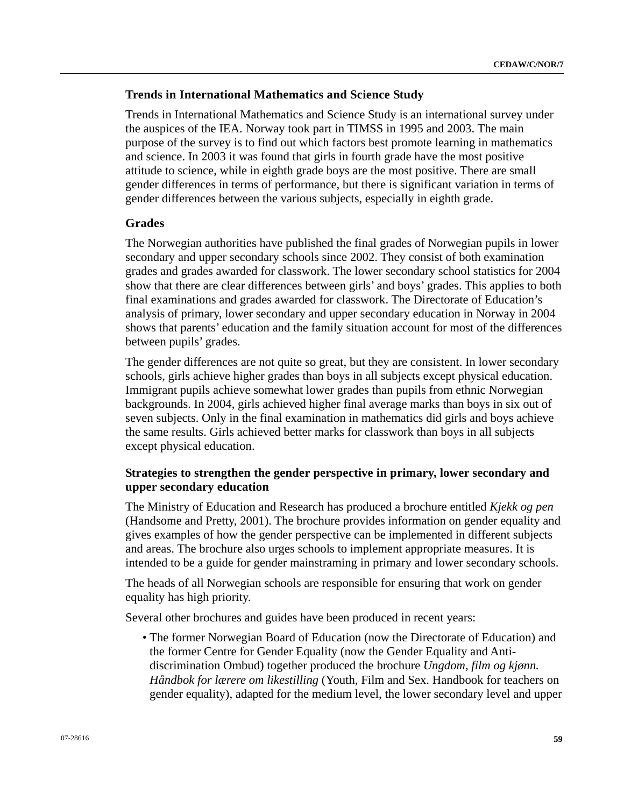# **Trends in International Mathematics and Science Study**

Trends in International Mathematics and Science Study is an international survey under the auspices of the IEA. Norway took part in TIMSS in 1995 and 2003. The main purpose of the survey is to find out which factors best promote learning in mathematics and science. In 2003 it was found that girls in fourth grade have the most positive attitude to science, while in eighth grade boys are the most positive. There are small gender differences in terms of performance, but there is significant variation in terms of gender differences between the various subjects, especially in eighth grade.

# **Grades**

The Norwegian authorities have published the final grades of Norwegian pupils in lower secondary and upper secondary schools since 2002. They consist of both examination grades and grades awarded for classwork. The lower secondary school statistics for 2004 show that there are clear differences between girls' and boys' grades. This applies to both final examinations and grades awarded for classwork. The Directorate of Education's analysis of primary, lower secondary and upper secondary education in Norway in 2004 shows that parents' education and the family situation account for most of the differences between pupils' grades.

The gender differences are not quite so great, but they are consistent. In lower secondary schools, girls achieve higher grades than boys in all subjects except physical education. Immigrant pupils achieve somewhat lower grades than pupils from ethnic Norwegian backgrounds. In 2004, girls achieved higher final average marks than boys in six out of seven subjects. Only in the final examination in mathematics did girls and boys achieve the same results. Girls achieved better marks for classwork than boys in all subjects except physical education.

# **Strategies to strengthen the gender perspective in primary, lower secondary and upper secondary education**

The Ministry of Education and Research has produced a brochure entitled *Kjekk og pen* (Handsome and Pretty, 2001). The brochure provides information on gender equality and gives examples of how the gender perspective can be implemented in different subjects and areas. The brochure also urges schools to implement appropriate measures. It is intended to be a guide for gender mainstraming in primary and lower secondary schools.

The heads of all Norwegian schools are responsible for ensuring that work on gender equality has high priority.

Several other brochures and guides have been produced in recent years:

 • The former Norwegian Board of Education (now the Directorate of Education) and the former Centre for Gender Equality (now the Gender Equality and Antidiscrimination Ombud) together produced the brochure *Ungdom, film og kjønn. Håndbok for lærere om likestilling* (Youth, Film and Sex. Handbook for teachers on gender equality), adapted for the medium level, the lower secondary level and upper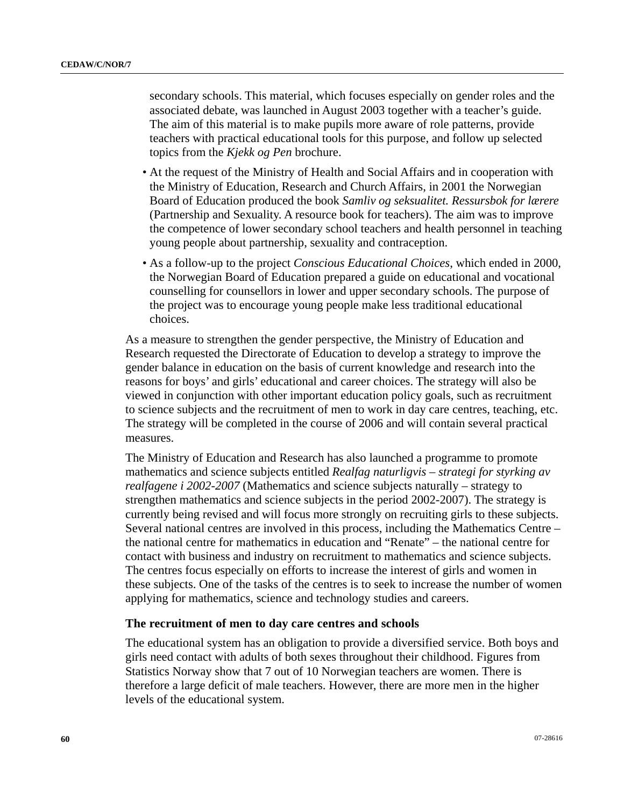secondary schools. This material, which focuses especially on gender roles and the associated debate, was launched in August 2003 together with a teacher's guide. The aim of this material is to make pupils more aware of role patterns, provide teachers with practical educational tools for this purpose, and follow up selected topics from the *Kjekk og Pen* brochure.

- At the request of the Ministry of Health and Social Affairs and in cooperation with the Ministry of Education, Research and Church Affairs, in 2001 the Norwegian Board of Education produced the book *Samliv og seksualitet. Ressursbok for lærere* (Partnership and Sexuality. A resource book for teachers). The aim was to improve the competence of lower secondary school teachers and health personnel in teaching young people about partnership, sexuality and contraception.
- As a follow-up to the project *Conscious Educational Choices*, which ended in 2000, the Norwegian Board of Education prepared a guide on educational and vocational counselling for counsellors in lower and upper secondary schools. The purpose of the project was to encourage young people make less traditional educational choices.

As a measure to strengthen the gender perspective, the Ministry of Education and Research requested the Directorate of Education to develop a strategy to improve the gender balance in education on the basis of current knowledge and research into the reasons for boys' and girls' educational and career choices. The strategy will also be viewed in conjunction with other important education policy goals, such as recruitment to science subjects and the recruitment of men to work in day care centres, teaching, etc. The strategy will be completed in the course of 2006 and will contain several practical measures.

The Ministry of Education and Research has also launched a programme to promote mathematics and science subjects entitled *Realfag naturligvis – strategi for styrking av realfagene i 2002-2007* (Mathematics and science subjects naturally – strategy to strengthen mathematics and science subjects in the period 2002-2007). The strategy is currently being revised and will focus more strongly on recruiting girls to these subjects. Several national centres are involved in this process, including the Mathematics Centre – the national centre for mathematics in education and "Renate" – the national centre for contact with business and industry on recruitment to mathematics and science subjects. The centres focus especially on efforts to increase the interest of girls and women in these subjects. One of the tasks of the centres is to seek to increase the number of women applying for mathematics, science and technology studies and careers.

#### **The recruitment of men to day care centres and schools**

The educational system has an obligation to provide a diversified service. Both boys and girls need contact with adults of both sexes throughout their childhood. Figures from Statistics Norway show that 7 out of 10 Norwegian teachers are women. There is therefore a large deficit of male teachers. However, there are more men in the higher levels of the educational system.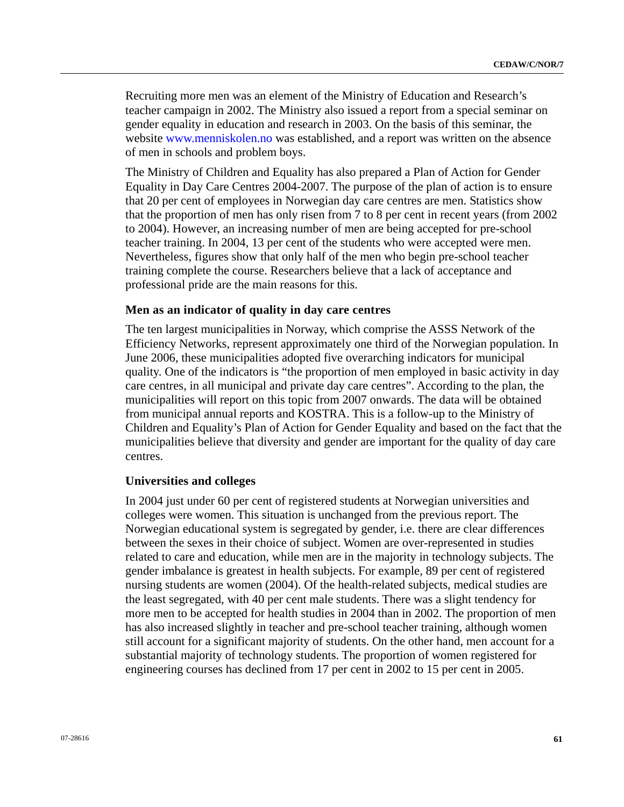Recruiting more men was an element of the Ministry of Education and Research's teacher campaign in 2002. The Ministry also issued a report from a special seminar on gender equality in education and research in 2003. On the basis of this seminar, the website [www.menniskolen.no](http://www.menniskolen.no/) was established, and a report was written on the absence of men in schools and problem boys.

The Ministry of Children and Equality has also prepared a Plan of Action for Gender Equality in Day Care Centres 2004-2007. The purpose of the plan of action is to ensure that 20 per cent of employees in Norwegian day care centres are men. Statistics show that the proportion of men has only risen from 7 to 8 per cent in recent years (from 2002 to 2004). However, an increasing number of men are being accepted for pre-school teacher training. In 2004, 13 per cent of the students who were accepted were men. Nevertheless, figures show that only half of the men who begin pre-school teacher training complete the course. Researchers believe that a lack of acceptance and professional pride are the main reasons for this.

### **Men as an indicator of quality in day care centres**

The ten largest municipalities in Norway, which comprise the ASSS Network of the Efficiency Networks, represent approximately one third of the Norwegian population. In June 2006, these municipalities adopted five overarching indicators for municipal quality. One of the indicators is "the proportion of men employed in basic activity in day care centres, in all municipal and private day care centres". According to the plan, the municipalities will report on this topic from 2007 onwards. The data will be obtained from municipal annual reports and KOSTRA. This is a follow-up to the Ministry of Children and Equality's Plan of Action for Gender Equality and based on the fact that the municipalities believe that diversity and gender are important for the quality of day care centres.

#### **Universities and colleges**

In 2004 just under 60 per cent of registered students at Norwegian universities and colleges were women. This situation is unchanged from the previous report. The Norwegian educational system is segregated by gender, i.e. there are clear differences between the sexes in their choice of subject. Women are over-represented in studies related to care and education, while men are in the majority in technology subjects. The gender imbalance is greatest in health subjects. For example, 89 per cent of registered nursing students are women (2004). Of the health-related subjects, medical studies are the least segregated, with 40 per cent male students. There was a slight tendency for more men to be accepted for health studies in 2004 than in 2002. The proportion of men has also increased slightly in teacher and pre-school teacher training, although women still account for a significant majority of students. On the other hand, men account for a substantial majority of technology students. The proportion of women registered for engineering courses has declined from 17 per cent in 2002 to 15 per cent in 2005.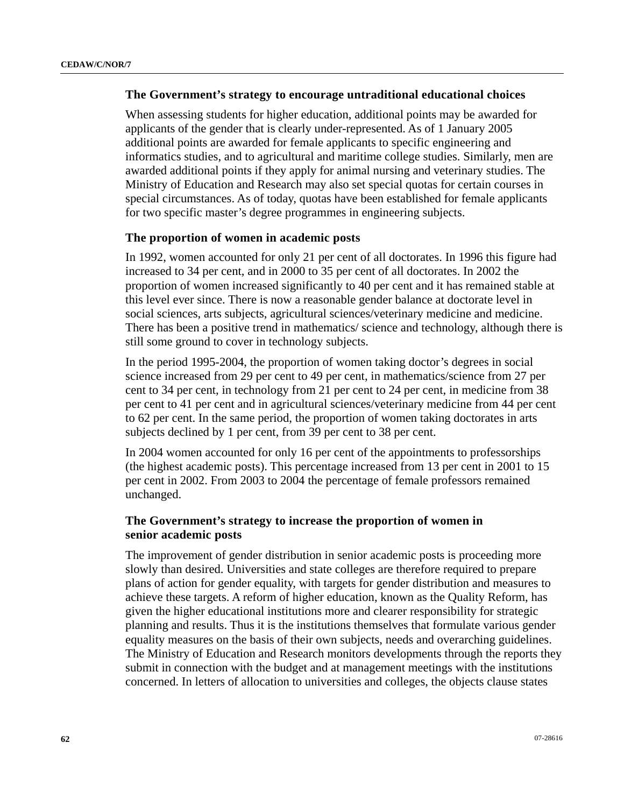## **The Government's strategy to encourage untraditional educational choices**

When assessing students for higher education, additional points may be awarded for applicants of the gender that is clearly under-represented. As of 1 January 2005 additional points are awarded for female applicants to specific engineering and informatics studies, and to agricultural and maritime college studies. Similarly, men are awarded additional points if they apply for animal nursing and veterinary studies. The Ministry of Education and Research may also set special quotas for certain courses in special circumstances. As of today, quotas have been established for female applicants for two specific master's degree programmes in engineering subjects.

## **The proportion of women in academic posts**

In 1992, women accounted for only 21 per cent of all doctorates. In 1996 this figure had increased to 34 per cent, and in 2000 to 35 per cent of all doctorates. In 2002 the proportion of women increased significantly to 40 per cent and it has remained stable at this level ever since. There is now a reasonable gender balance at doctorate level in social sciences, arts subjects, agricultural sciences/veterinary medicine and medicine. There has been a positive trend in mathematics/ science and technology, although there is still some ground to cover in technology subjects.

In the period 1995-2004, the proportion of women taking doctor's degrees in social science increased from 29 per cent to 49 per cent, in mathematics/science from 27 per cent to 34 per cent, in technology from 21 per cent to 24 per cent, in medicine from 38 per cent to 41 per cent and in agricultural sciences/veterinary medicine from 44 per cent to 62 per cent. In the same period, the proportion of women taking doctorates in arts subjects declined by 1 per cent, from 39 per cent to 38 per cent.

In 2004 women accounted for only 16 per cent of the appointments to professorships (the highest academic posts). This percentage increased from 13 per cent in 2001 to 15 per cent in 2002. From 2003 to 2004 the percentage of female professors remained unchanged.

# **The Government's strategy to increase the proportion of women in senior academic posts**

The improvement of gender distribution in senior academic posts is proceeding more slowly than desired. Universities and state colleges are therefore required to prepare plans of action for gender equality, with targets for gender distribution and measures to achieve these targets. A reform of higher education, known as the Quality Reform, has given the higher educational institutions more and clearer responsibility for strategic planning and results. Thus it is the institutions themselves that formulate various gender equality measures on the basis of their own subjects, needs and overarching guidelines. The Ministry of Education and Research monitors developments through the reports they submit in connection with the budget and at management meetings with the institutions concerned. In letters of allocation to universities and colleges, the objects clause states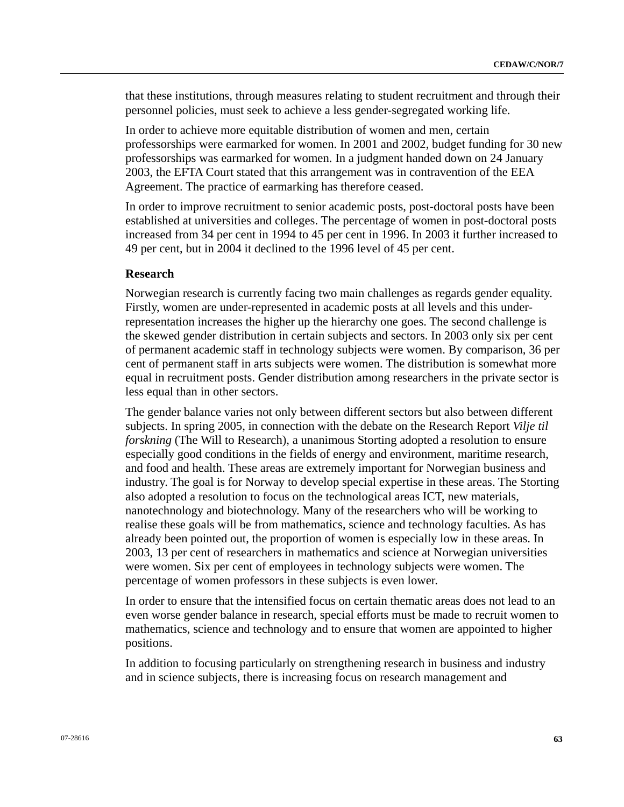that these institutions, through measures relating to student recruitment and through their personnel policies, must seek to achieve a less gender-segregated working life.

In order to achieve more equitable distribution of women and men, certain professorships were earmarked for women. In 2001 and 2002, budget funding for 30 new professorships was earmarked for women. In a judgment handed down on 24 January 2003, the EFTA Court stated that this arrangement was in contravention of the EEA Agreement. The practice of earmarking has therefore ceased.

In order to improve recruitment to senior academic posts, post-doctoral posts have been established at universities and colleges. The percentage of women in post-doctoral posts increased from 34 per cent in 1994 to 45 per cent in 1996. In 2003 it further increased to 49 per cent, but in 2004 it declined to the 1996 level of 45 per cent.

#### **Research**

Norwegian research is currently facing two main challenges as regards gender equality. Firstly, women are under-represented in academic posts at all levels and this underrepresentation increases the higher up the hierarchy one goes. The second challenge is the skewed gender distribution in certain subjects and sectors. In 2003 only six per cent of permanent academic staff in technology subjects were women. By comparison, 36 per cent of permanent staff in arts subjects were women. The distribution is somewhat more equal in recruitment posts. Gender distribution among researchers in the private sector is less equal than in other sectors.

The gender balance varies not only between different sectors but also between different subjects. In spring 2005, in connection with the debate on the Research Report *Vilje til forskning* (The Will to Research), a unanimous Storting adopted a resolution to ensure especially good conditions in the fields of energy and environment, maritime research, and food and health. These areas are extremely important for Norwegian business and industry. The goal is for Norway to develop special expertise in these areas. The Storting also adopted a resolution to focus on the technological areas ICT, new materials, nanotechnology and biotechnology. Many of the researchers who will be working to realise these goals will be from mathematics, science and technology faculties. As has already been pointed out, the proportion of women is especially low in these areas. In 2003, 13 per cent of researchers in mathematics and science at Norwegian universities were women. Six per cent of employees in technology subjects were women. The percentage of women professors in these subjects is even lower.

In order to ensure that the intensified focus on certain thematic areas does not lead to an even worse gender balance in research, special efforts must be made to recruit women to mathematics, science and technology and to ensure that women are appointed to higher positions.

In addition to focusing particularly on strengthening research in business and industry and in science subjects, there is increasing focus on research management and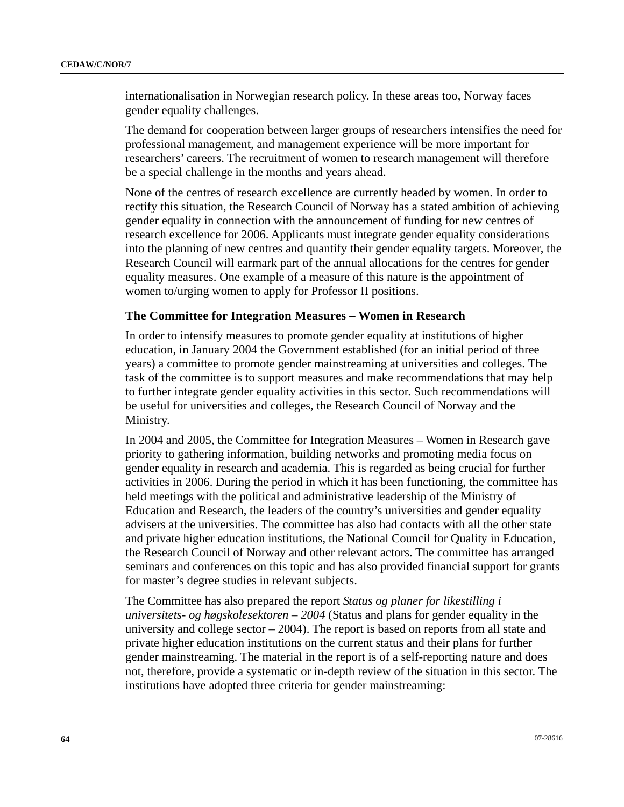internationalisation in Norwegian research policy. In these areas too, Norway faces gender equality challenges.

The demand for cooperation between larger groups of researchers intensifies the need for professional management, and management experience will be more important for researchers' careers. The recruitment of women to research management will therefore be a special challenge in the months and years ahead.

None of the centres of research excellence are currently headed by women. In order to rectify this situation, the Research Council of Norway has a stated ambition of achieving gender equality in connection with the announcement of funding for new centres of research excellence for 2006. Applicants must integrate gender equality considerations into the planning of new centres and quantify their gender equality targets. Moreover, the Research Council will earmark part of the annual allocations for the centres for gender equality measures. One example of a measure of this nature is the appointment of women to/urging women to apply for Professor II positions.

### **The Committee for Integration Measures – Women in Research**

In order to intensify measures to promote gender equality at institutions of higher education, in January 2004 the Government established (for an initial period of three years) a committee to promote gender mainstreaming at universities and colleges. The task of the committee is to support measures and make recommendations that may help to further integrate gender equality activities in this sector. Such recommendations will be useful for universities and colleges, the Research Council of Norway and the Ministry.

In 2004 and 2005, the Committee for Integration Measures – Women in Research gave priority to gathering information, building networks and promoting media focus on gender equality in research and academia. This is regarded as being crucial for further activities in 2006. During the period in which it has been functioning, the committee has held meetings with the political and administrative leadership of the Ministry of Education and Research, the leaders of the country's universities and gender equality advisers at the universities. The committee has also had contacts with all the other state and private higher education institutions, the National Council for Quality in Education, the Research Council of Norway and other relevant actors. The committee has arranged seminars and conferences on this topic and has also provided financial support for grants for master's degree studies in relevant subjects.

The Committee has also prepared the report *Status og planer for likestilling i universitets- og høgskolesektoren – 2004* (Status and plans for gender equality in the university and college sector – 2004). The report is based on reports from all state and private higher education institutions on the current status and their plans for further gender mainstreaming. The material in the report is of a self-reporting nature and does not, therefore, provide a systematic or in-depth review of the situation in this sector. The institutions have adopted three criteria for gender mainstreaming: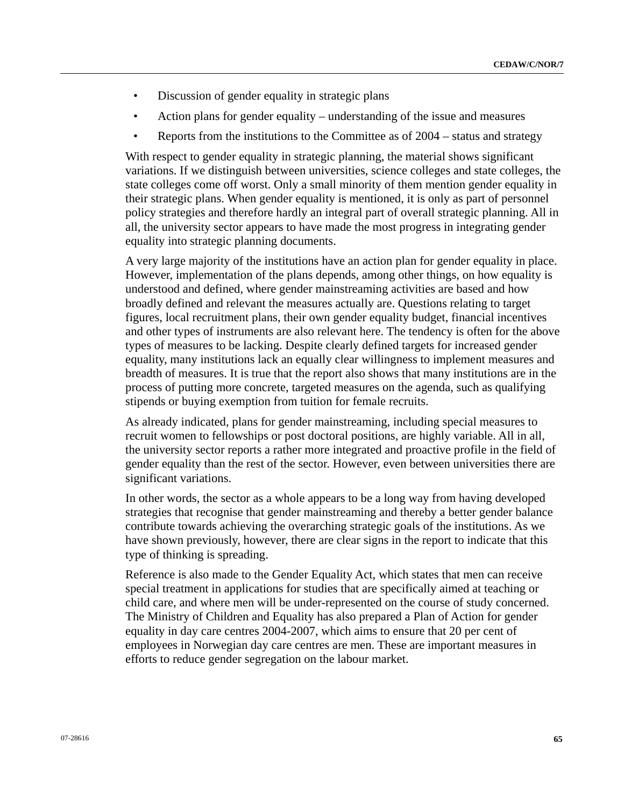- Discussion of gender equality in strategic plans
- Action plans for gender equality understanding of the issue and measures
- Reports from the institutions to the Committee as of 2004 status and strategy

With respect to gender equality in strategic planning, the material shows significant variations. If we distinguish between universities, science colleges and state colleges, the state colleges come off worst. Only a small minority of them mention gender equality in their strategic plans. When gender equality is mentioned, it is only as part of personnel policy strategies and therefore hardly an integral part of overall strategic planning. All in all, the university sector appears to have made the most progress in integrating gender equality into strategic planning documents.

A very large majority of the institutions have an action plan for gender equality in place. However, implementation of the plans depends, among other things, on how equality is understood and defined, where gender mainstreaming activities are based and how broadly defined and relevant the measures actually are. Questions relating to target figures, local recruitment plans, their own gender equality budget, financial incentives and other types of instruments are also relevant here. The tendency is often for the above types of measures to be lacking. Despite clearly defined targets for increased gender equality, many institutions lack an equally clear willingness to implement measures and breadth of measures. It is true that the report also shows that many institutions are in the process of putting more concrete, targeted measures on the agenda, such as qualifying stipends or buying exemption from tuition for female recruits.

As already indicated, plans for gender mainstreaming, including special measures to recruit women to fellowships or post doctoral positions, are highly variable. All in all, the university sector reports a rather more integrated and proactive profile in the field of gender equality than the rest of the sector. However, even between universities there are significant variations.

In other words, the sector as a whole appears to be a long way from having developed strategies that recognise that gender mainstreaming and thereby a better gender balance contribute towards achieving the overarching strategic goals of the institutions. As we have shown previously, however, there are clear signs in the report to indicate that this type of thinking is spreading.

Reference is also made to the Gender Equality Act, which states that men can receive special treatment in applications for studies that are specifically aimed at teaching or child care, and where men will be under-represented on the course of study concerned. The Ministry of Children and Equality has also prepared a Plan of Action for gender equality in day care centres 2004-2007, which aims to ensure that 20 per cent of employees in Norwegian day care centres are men. These are important measures in efforts to reduce gender segregation on the labour market.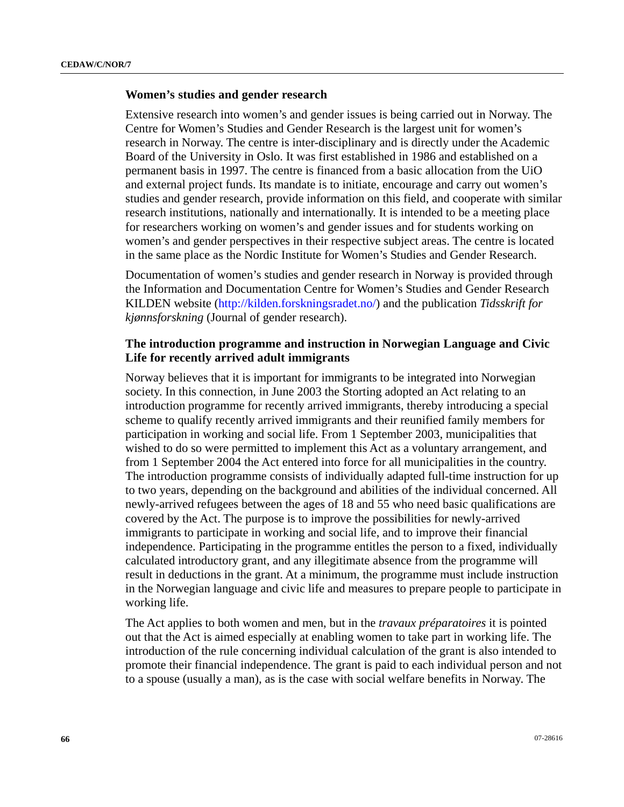## **Women's studies and gender research**

Extensive research into women's and gender issues is being carried out in Norway. The Centre for Women's Studies and Gender Research is the largest unit for women's research in Norway. The centre is inter-disciplinary and is directly under the Academic Board of the University in Oslo. It was first established in 1986 and established on a permanent basis in 1997. The centre is financed from a basic allocation from the UiO and external project funds. Its mandate is to initiate, encourage and carry out women's studies and gender research, provide information on this field, and cooperate with similar research institutions, nationally and internationally. It is intended to be a meeting place for researchers working on women's and gender issues and for students working on women's and gender perspectives in their respective subject areas. The centre is located in the same place as the Nordic Institute for Women's Studies and Gender Research.

Documentation of women's studies and gender research in Norway is provided through the Information and Documentation Centre for Women's Studies and Gender Research KILDEN website [\(http://kilden.forskningsradet.no/](http://kilden.forskningsradet.no/)) and the publication *Tidsskrift for kjønnsforskning* (Journal of gender research).

# **The introduction programme and instruction in Norwegian Language and Civic Life for recently arrived adult immigrants**

Norway believes that it is important for immigrants to be integrated into Norwegian society. In this connection, in June 2003 the Storting adopted an Act relating to an introduction programme for recently arrived immigrants, thereby introducing a special scheme to qualify recently arrived immigrants and their reunified family members for participation in working and social life. From 1 September 2003, municipalities that wished to do so were permitted to implement this Act as a voluntary arrangement, and from 1 September 2004 the Act entered into force for all municipalities in the country. The introduction programme consists of individually adapted full-time instruction for up to two years, depending on the background and abilities of the individual concerned. All newly-arrived refugees between the ages of 18 and 55 who need basic qualifications are covered by the Act. The purpose is to improve the possibilities for newly-arrived immigrants to participate in working and social life, and to improve their financial independence. Participating in the programme entitles the person to a fixed, individually calculated introductory grant, and any illegitimate absence from the programme will result in deductions in the grant. At a minimum, the programme must include instruction in the Norwegian language and civic life and measures to prepare people to participate in working life.

The Act applies to both women and men, but in the *travaux préparatoires* it is pointed out that the Act is aimed especially at enabling women to take part in working life. The introduction of the rule concerning individual calculation of the grant is also intended to promote their financial independence. The grant is paid to each individual person and not to a spouse (usually a man), as is the case with social welfare benefits in Norway. The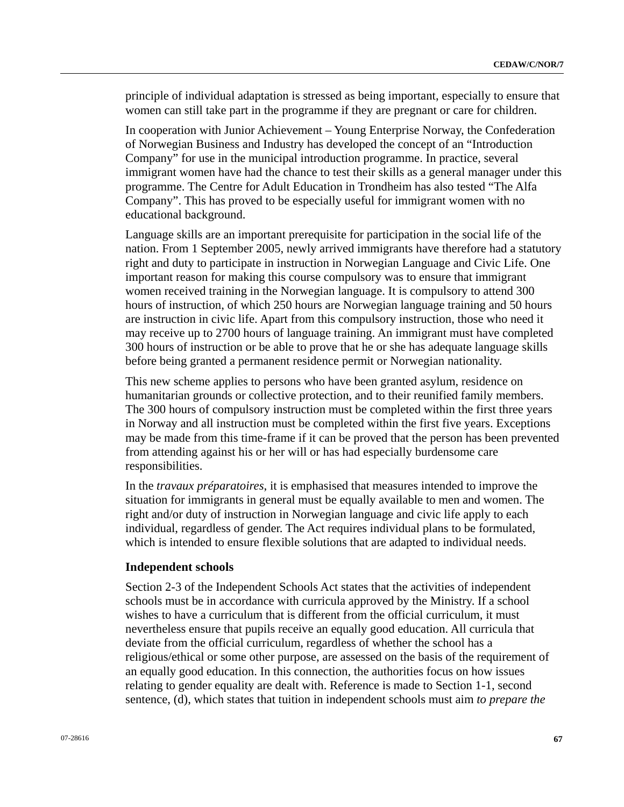principle of individual adaptation is stressed as being important, especially to ensure that women can still take part in the programme if they are pregnant or care for children.

In cooperation with Junior Achievement – Young Enterprise Norway, the Confederation of Norwegian Business and Industry has developed the concept of an "Introduction Company" for use in the municipal introduction programme. In practice, several immigrant women have had the chance to test their skills as a general manager under this programme. The Centre for Adult Education in Trondheim has also tested "The Alfa Company". This has proved to be especially useful for immigrant women with no educational background.

Language skills are an important prerequisite for participation in the social life of the nation. From 1 September 2005, newly arrived immigrants have therefore had a statutory right and duty to participate in instruction in Norwegian Language and Civic Life. One important reason for making this course compulsory was to ensure that immigrant women received training in the Norwegian language. It is compulsory to attend 300 hours of instruction, of which 250 hours are Norwegian language training and 50 hours are instruction in civic life. Apart from this compulsory instruction, those who need it may receive up to 2700 hours of language training. An immigrant must have completed 300 hours of instruction or be able to prove that he or she has adequate language skills before being granted a permanent residence permit or Norwegian nationality.

This new scheme applies to persons who have been granted asylum, residence on humanitarian grounds or collective protection, and to their reunified family members. The 300 hours of compulsory instruction must be completed within the first three years in Norway and all instruction must be completed within the first five years. Exceptions may be made from this time-frame if it can be proved that the person has been prevented from attending against his or her will or has had especially burdensome care responsibilities.

In the *travaux préparatoires*, it is emphasised that measures intended to improve the situation for immigrants in general must be equally available to men and women. The right and/or duty of instruction in Norwegian language and civic life apply to each individual, regardless of gender. The Act requires individual plans to be formulated, which is intended to ensure flexible solutions that are adapted to individual needs.

#### **Independent schools**

Section 2-3 of the Independent Schools Act states that the activities of independent schools must be in accordance with curricula approved by the Ministry. If a school wishes to have a curriculum that is different from the official curriculum, it must nevertheless ensure that pupils receive an equally good education. All curricula that deviate from the official curriculum, regardless of whether the school has a religious/ethical or some other purpose, are assessed on the basis of the requirement of an equally good education. In this connection, the authorities focus on how issues relating to gender equality are dealt with. Reference is made to Section 1-1, second sentence, (d), which states that tuition in independent schools must aim *to prepare the*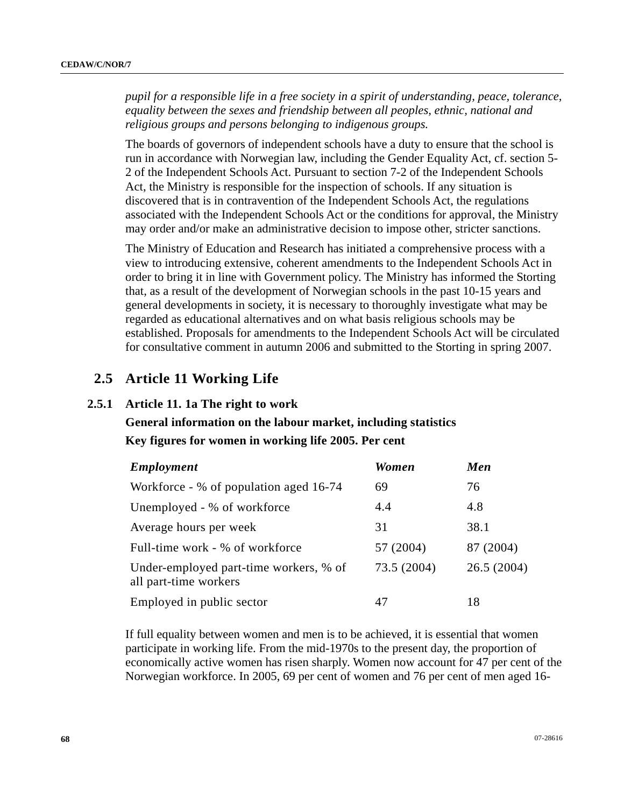*pupil for a responsible life in a free society in a spirit of understanding, peace, tolerance, equality between the sexes and friendship between all peoples, ethnic, national and religious groups and persons belonging to indigenous groups.* 

The boards of governors of independent schools have a duty to ensure that the school is run in accordance with Norwegian law, including the Gender Equality Act, cf. section 5- 2 of the Independent Schools Act. Pursuant to section 7-2 of the Independent Schools Act, the Ministry is responsible for the inspection of schools. If any situation is discovered that is in contravention of the Independent Schools Act, the regulations associated with the Independent Schools Act or the conditions for approval, the Ministry may order and/or make an administrative decision to impose other, stricter sanctions.

The Ministry of Education and Research has initiated a comprehensive process with a view to introducing extensive, coherent amendments to the Independent Schools Act in order to bring it in line with Government policy. The Ministry has informed the Storting that, as a result of the development of Norwegian schools in the past 10-15 years and general developments in society, it is necessary to thoroughly investigate what may be regarded as educational alternatives and on what basis religious schools may be established. Proposals for amendments to the Independent Schools Act will be circulated for consultative comment in autumn 2006 and submitted to the Storting in spring 2007.

# **2.5 Article 11 Working Life**

# **2.5.1 Article 11. 1a The right to work**

# **General information on the labour market, including statistics Key figures for women in working life 2005. Per cent**

| <b>Employment</b>                                               | <b>Women</b> | Men        |
|-----------------------------------------------------------------|--------------|------------|
| Workforce - % of population aged 16-74                          | 69           | 76         |
| Unemployed - % of workforce                                     | 4.4          | 4.8        |
| Average hours per week                                          | 31           | 38.1       |
| Full-time work - % of workforce                                 | 57 (2004)    | 87 (2004)  |
| Under-employed part-time workers, % of<br>all part-time workers | 73.5 (2004)  | 26.5(2004) |
| Employed in public sector                                       | 47           | 18         |

If full equality between women and men is to be achieved, it is essential that women participate in working life. From the mid-1970s to the present day, the proportion of economically active women has risen sharply. Women now account for 47 per cent of the Norwegian workforce. In 2005, 69 per cent of women and 76 per cent of men aged 16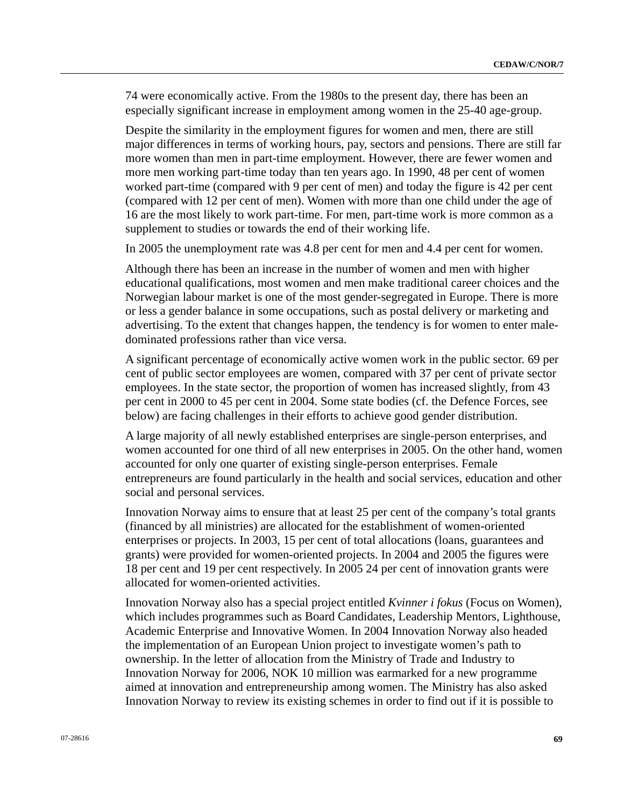74 were economically active. From the 1980s to the present day, there has been an especially significant increase in employment among women in the 25-40 age-group.

Despite the similarity in the employment figures for women and men, there are still major differences in terms of working hours, pay, sectors and pensions. There are still far more women than men in part-time employment. However, there are fewer women and more men working part-time today than ten years ago. In 1990, 48 per cent of women worked part-time (compared with 9 per cent of men) and today the figure is 42 per cent (compared with 12 per cent of men). Women with more than one child under the age of 16 are the most likely to work part-time. For men, part-time work is more common as a supplement to studies or towards the end of their working life.

In 2005 the unemployment rate was 4.8 per cent for men and 4.4 per cent for women.

Although there has been an increase in the number of women and men with higher educational qualifications, most women and men make traditional career choices and the Norwegian labour market is one of the most gender-segregated in Europe. There is more or less a gender balance in some occupations, such as postal delivery or marketing and advertising. To the extent that changes happen, the tendency is for women to enter maledominated professions rather than vice versa.

A significant percentage of economically active women work in the public sector. 69 per cent of public sector employees are women, compared with 37 per cent of private sector employees. In the state sector, the proportion of women has increased slightly, from 43 per cent in 2000 to 45 per cent in 2004. Some state bodies (cf. the Defence Forces, see below) are facing challenges in their efforts to achieve good gender distribution.

A large majority of all newly established enterprises are single-person enterprises, and women accounted for one third of all new enterprises in 2005. On the other hand, women accounted for only one quarter of existing single-person enterprises. Female entrepreneurs are found particularly in the health and social services, education and other social and personal services.

Innovation Norway aims to ensure that at least 25 per cent of the company's total grants (financed by all ministries) are allocated for the establishment of women-oriented enterprises or projects. In 2003, 15 per cent of total allocations (loans, guarantees and grants) were provided for women-oriented projects. In 2004 and 2005 the figures were 18 per cent and 19 per cent respectively. In 2005 24 per cent of innovation grants were allocated for women-oriented activities.

Innovation Norway also has a special project entitled *Kvinner i fokus* (Focus on Women), which includes programmes such as Board Candidates, Leadership Mentors, Lighthouse, Academic Enterprise and Innovative Women. In 2004 Innovation Norway also headed the implementation of an European Union project to investigate women's path to ownership. In the letter of allocation from the Ministry of Trade and Industry to Innovation Norway for 2006, NOK 10 million was earmarked for a new programme aimed at innovation and entrepreneurship among women. The Ministry has also asked Innovation Norway to review its existing schemes in order to find out if it is possible to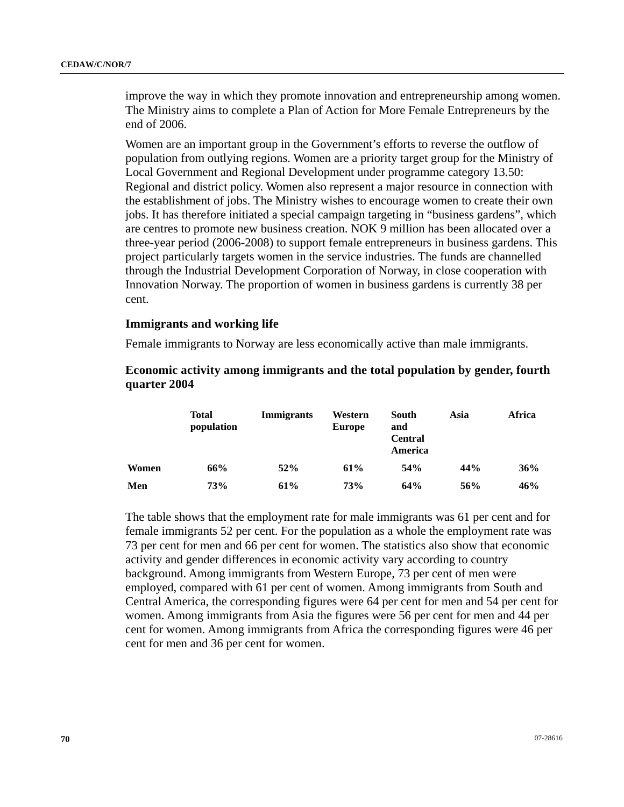improve the way in which they promote innovation and entrepreneurship among women. The Ministry aims to complete a Plan of Action for More Female Entrepreneurs by the end of 2006.

Women are an important group in the Government's efforts to reverse the outflow of population from outlying regions. Women are a priority target group for the Ministry of Local Government and Regional Development under programme category 13.50: Regional and district policy. Women also represent a major resource in connection with the establishment of jobs. The Ministry wishes to encourage women to create their own jobs. It has therefore initiated a special campaign targeting in "business gardens", which are centres to promote new business creation. NOK 9 million has been allocated over a three-year period (2006-2008) to support female entrepreneurs in business gardens. This project particularly targets women in the service industries. The funds are channelled through the Industrial Development Corporation of Norway, in close cooperation with Innovation Norway. The proportion of women in business gardens is currently 38 per cent.

### **Immigrants and working life**

Female immigrants to Norway are less economically active than male immigrants.

# **Economic activity among immigrants and the total population by gender, fourth quarter 2004**

|       | <b>Total</b><br>population | Immigrants | Western<br>Europe | South<br>and<br><b>Central</b><br>America | Asia | Africa |
|-------|----------------------------|------------|-------------------|-------------------------------------------|------|--------|
| Women | 66%                        | 52%        | 61%               | 54%                                       | 44%  | 36%    |
| Men   | <b>73%</b>                 | 61%        | 73%               | 64%                                       | 56%  | 46%    |

The table shows that the employment rate for male immigrants was 61 per cent and for female immigrants 52 per cent. For the population as a whole the employment rate was 73 per cent for men and 66 per cent for women. The statistics also show that economic activity and gender differences in economic activity vary according to country background. Among immigrants from Western Europe, 73 per cent of men were employed, compared with 61 per cent of women. Among immigrants from South and Central America, the corresponding figures were 64 per cent for men and 54 per cent for women. Among immigrants from Asia the figures were 56 per cent for men and 44 per cent for women. Among immigrants from Africa the corresponding figures were 46 per cent for men and 36 per cent for women.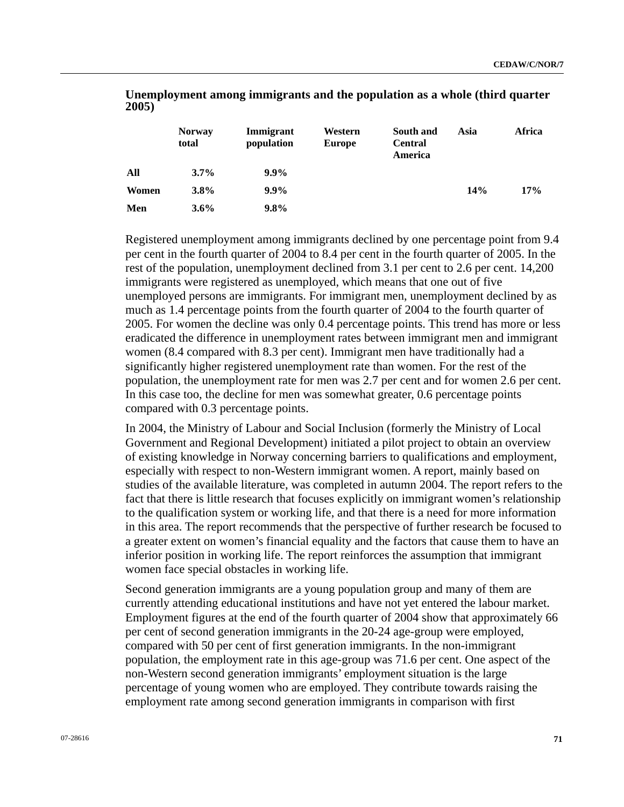|       | <b>Norway</b><br>total | Immigrant<br>population | Western<br><b>Europe</b> | South and<br><b>Central</b><br>America | Asia | Africa |
|-------|------------------------|-------------------------|--------------------------|----------------------------------------|------|--------|
| All   | $3.7\%$                | $9.9\%$                 |                          |                                        |      |        |
| Women | 3.8%                   | $9.9\%$                 |                          |                                        | 14%  | 17%    |
| Men   | $3.6\%$                | $9.8\%$                 |                          |                                        |      |        |

 **Unemployment among immigrants and the population as a whole (third quarter 2005)** 

Registered unemployment among immigrants declined by one percentage point from 9.4 per cent in the fourth quarter of 2004 to 8.4 per cent in the fourth quarter of 2005. In the rest of the population, unemployment declined from 3.1 per cent to 2.6 per cent. 14,200 immigrants were registered as unemployed, which means that one out of five unemployed persons are immigrants. For immigrant men, unemployment declined by as much as 1.4 percentage points from the fourth quarter of 2004 to the fourth quarter of 2005. For women the decline was only 0.4 percentage points. This trend has more or less eradicated the difference in unemployment rates between immigrant men and immigrant women (8.4 compared with 8.3 per cent). Immigrant men have traditionally had a significantly higher registered unemployment rate than women. For the rest of the population, the unemployment rate for men was 2.7 per cent and for women 2.6 per cent. In this case too, the decline for men was somewhat greater, 0.6 percentage points compared with 0.3 percentage points.

In 2004, the Ministry of Labour and Social Inclusion (formerly the Ministry of Local Government and Regional Development) initiated a pilot project to obtain an overview of existing knowledge in Norway concerning barriers to qualifications and employment, especially with respect to non-Western immigrant women. A report, mainly based on studies of the available literature, was completed in autumn 2004. The report refers to the fact that there is little research that focuses explicitly on immigrant women's relationship to the qualification system or working life, and that there is a need for more information in this area. The report recommends that the perspective of further research be focused to a greater extent on women's financial equality and the factors that cause them to have an inferior position in working life. The report reinforces the assumption that immigrant women face special obstacles in working life.

Second generation immigrants are a young population group and many of them are currently attending educational institutions and have not yet entered the labour market. Employment figures at the end of the fourth quarter of 2004 show that approximately 66 per cent of second generation immigrants in the 20-24 age-group were employed, compared with 50 per cent of first generation immigrants. In the non-immigrant population, the employment rate in this age-group was 71.6 per cent. One aspect of the non-Western second generation immigrants' employment situation is the large percentage of young women who are employed. They contribute towards raising the employment rate among second generation immigrants in comparison with first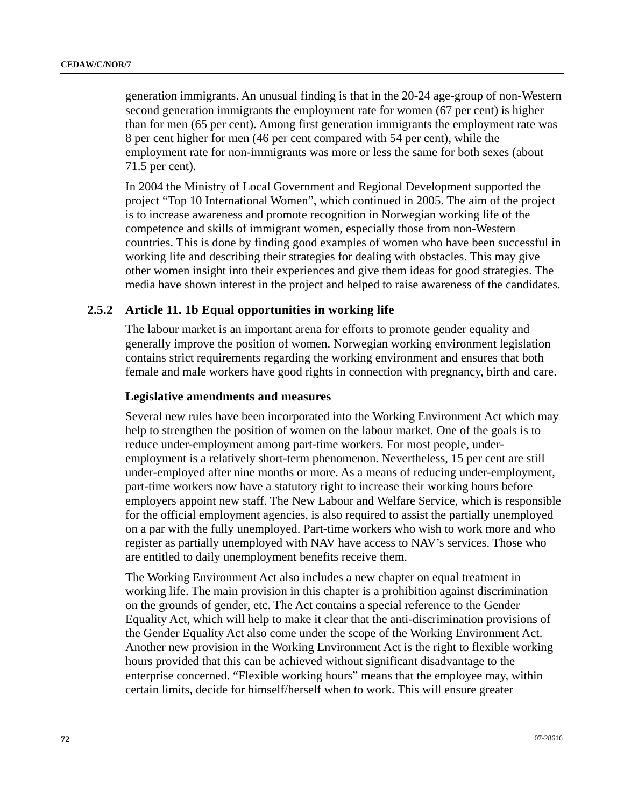generation immigrants. An unusual finding is that in the 20-24 age-group of non-Western second generation immigrants the employment rate for women (67 per cent) is higher than for men (65 per cent). Among first generation immigrants the employment rate was 8 per cent higher for men (46 per cent compared with 54 per cent), while the employment rate for non-immigrants was more or less the same for both sexes (about 71.5 per cent).

In 2004 the Ministry of Local Government and Regional Development supported the project "Top 10 International Women", which continued in 2005. The aim of the project is to increase awareness and promote recognition in Norwegian working life of the competence and skills of immigrant women, especially those from non-Western countries. This is done by finding good examples of women who have been successful in working life and describing their strategies for dealing with obstacles. This may give other women insight into their experiences and give them ideas for good strategies. The media have shown interest in the project and helped to raise awareness of the candidates.

# **2.5.2 Article 11. 1b Equal opportunities in working life**

The labour market is an important arena for efforts to promote gender equality and generally improve the position of women. Norwegian working environment legislation contains strict requirements regarding the working environment and ensures that both female and male workers have good rights in connection with pregnancy, birth and care.

### **Legislative amendments and measures**

Several new rules have been incorporated into the Working Environment Act which may help to strengthen the position of women on the labour market. One of the goals is to reduce under-employment among part-time workers. For most people, underemployment is a relatively short-term phenomenon. Nevertheless, 15 per cent are still under-employed after nine months or more. As a means of reducing under-employment, part-time workers now have a statutory right to increase their working hours before employers appoint new staff. The New Labour and Welfare Service, which is responsible for the official employment agencies, is also required to assist the partially unemployed on a par with the fully unemployed. Part-time workers who wish to work more and who register as partially unemployed with NAV have access to NAV's services. Those who are entitled to daily unemployment benefits receive them.

The Working Environment Act also includes a new chapter on equal treatment in working life. The main provision in this chapter is a prohibition against discrimination on the grounds of gender, etc. The Act contains a special reference to the Gender Equality Act, which will help to make it clear that the anti-discrimination provisions of the Gender Equality Act also come under the scope of the Working Environment Act. Another new provision in the Working Environment Act is the right to flexible working hours provided that this can be achieved without significant disadvantage to the enterprise concerned. "Flexible working hours" means that the employee may, within certain limits, decide for himself/herself when to work. This will ensure greater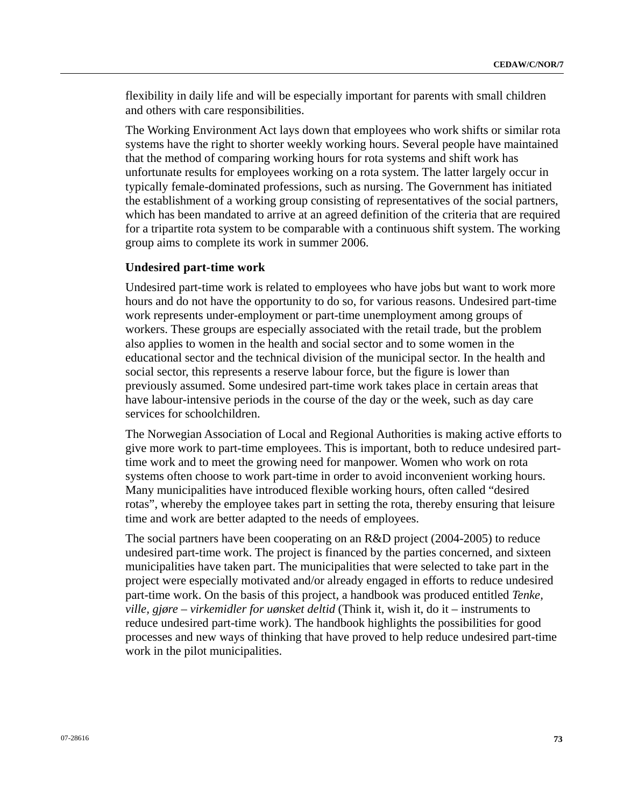flexibility in daily life and will be especially important for parents with small children and others with care responsibilities.

The Working Environment Act lays down that employees who work shifts or similar rota systems have the right to shorter weekly working hours. Several people have maintained that the method of comparing working hours for rota systems and shift work has unfortunate results for employees working on a rota system. The latter largely occur in typically female-dominated professions, such as nursing. The Government has initiated the establishment of a working group consisting of representatives of the social partners, which has been mandated to arrive at an agreed definition of the criteria that are required for a tripartite rota system to be comparable with a continuous shift system. The working group aims to complete its work in summer 2006.

# **Undesired part-time work**

Undesired part-time work is related to employees who have jobs but want to work more hours and do not have the opportunity to do so, for various reasons. Undesired part-time work represents under-employment or part-time unemployment among groups of workers. These groups are especially associated with the retail trade, but the problem also applies to women in the health and social sector and to some women in the educational sector and the technical division of the municipal sector. In the health and social sector, this represents a reserve labour force, but the figure is lower than previously assumed. Some undesired part-time work takes place in certain areas that have labour-intensive periods in the course of the day or the week, such as day care services for schoolchildren.

The Norwegian Association of Local and Regional Authorities is making active efforts to give more work to part-time employees. This is important, both to reduce undesired parttime work and to meet the growing need for manpower. Women who work on rota systems often choose to work part-time in order to avoid inconvenient working hours. Many municipalities have introduced flexible working hours, often called "desired rotas", whereby the employee takes part in setting the rota, thereby ensuring that leisure time and work are better adapted to the needs of employees.

The social partners have been cooperating on an R&D project (2004-2005) to reduce undesired part-time work. The project is financed by the parties concerned, and sixteen municipalities have taken part. The municipalities that were selected to take part in the project were especially motivated and/or already engaged in efforts to reduce undesired part-time work. On the basis of this project, a handbook was produced entitled *Tenke, ville, gjøre – virkemidler for uønsket deltid* (Think it, wish it, do it – instruments to reduce undesired part-time work). The handbook highlights the possibilities for good processes and new ways of thinking that have proved to help reduce undesired part-time work in the pilot municipalities.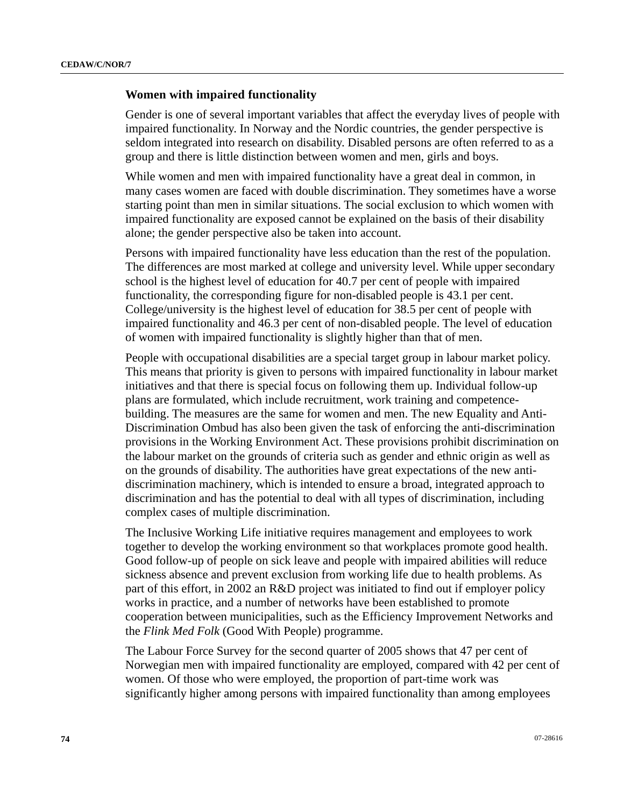## **Women with impaired functionality**

Gender is one of several important variables that affect the everyday lives of people with impaired functionality. In Norway and the Nordic countries, the gender perspective is seldom integrated into research on disability. Disabled persons are often referred to as a group and there is little distinction between women and men, girls and boys.

While women and men with impaired functionality have a great deal in common, in many cases women are faced with double discrimination. They sometimes have a worse starting point than men in similar situations. The social exclusion to which women with impaired functionality are exposed cannot be explained on the basis of their disability alone; the gender perspective also be taken into account.

Persons with impaired functionality have less education than the rest of the population. The differences are most marked at college and university level. While upper secondary school is the highest level of education for 40.7 per cent of people with impaired functionality, the corresponding figure for non-disabled people is 43.1 per cent. College/university is the highest level of education for 38.5 per cent of people with impaired functionality and 46.3 per cent of non-disabled people. The level of education of women with impaired functionality is slightly higher than that of men.

People with occupational disabilities are a special target group in labour market policy. This means that priority is given to persons with impaired functionality in labour market initiatives and that there is special focus on following them up. Individual follow-up plans are formulated, which include recruitment, work training and competencebuilding. The measures are the same for women and men. The new Equality and Anti-Discrimination Ombud has also been given the task of enforcing the anti-discrimination provisions in the Working Environment Act. These provisions prohibit discrimination on the labour market on the grounds of criteria such as gender and ethnic origin as well as on the grounds of disability. The authorities have great expectations of the new antidiscrimination machinery, which is intended to ensure a broad, integrated approach to discrimination and has the potential to deal with all types of discrimination, including complex cases of multiple discrimination.

The Inclusive Working Life initiative requires management and employees to work together to develop the working environment so that workplaces promote good health. Good follow-up of people on sick leave and people with impaired abilities will reduce sickness absence and prevent exclusion from working life due to health problems. As part of this effort, in 2002 an R&D project was initiated to find out if employer policy works in practice, and a number of networks have been established to promote cooperation between municipalities, such as the Efficiency Improvement Networks and the *Flink Med Folk* (Good With People) programme.

The Labour Force Survey for the second quarter of 2005 shows that 47 per cent of Norwegian men with impaired functionality are employed, compared with 42 per cent of women. Of those who were employed, the proportion of part-time work was significantly higher among persons with impaired functionality than among employees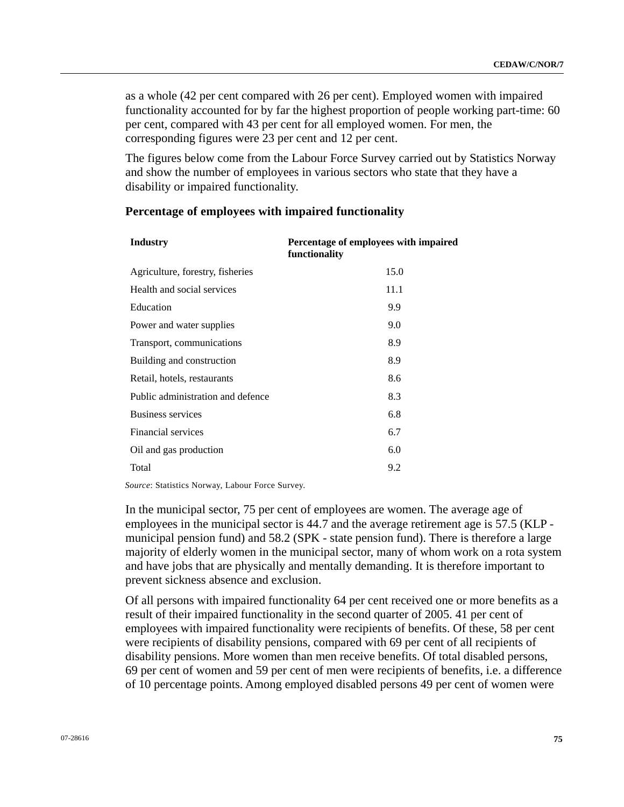as a whole (42 per cent compared with 26 per cent). Employed women with impaired functionality accounted for by far the highest proportion of people working part-time: 60 per cent, compared with 43 per cent for all employed women. For men, the corresponding figures were 23 per cent and 12 per cent.

The figures below come from the Labour Force Survey carried out by Statistics Norway and show the number of employees in various sectors who state that they have a disability or impaired functionality.

#### **Percentage of employees with impaired functionality**

| <b>Industry</b>                   | Percentage of employees with impaired<br>functionality |  |
|-----------------------------------|--------------------------------------------------------|--|
| Agriculture, forestry, fisheries  | 15.0                                                   |  |
| Health and social services        | 11.1                                                   |  |
| Education                         | 9.9                                                    |  |
| Power and water supplies          | 9.0                                                    |  |
| Transport, communications         | 8.9                                                    |  |
| Building and construction         | 8.9                                                    |  |
| Retail, hotels, restaurants       | 8.6                                                    |  |
| Public administration and defence | 8.3                                                    |  |
| <b>Business services</b>          | 6.8                                                    |  |
| <b>Financial services</b>         | 6.7                                                    |  |
| Oil and gas production            | 6.0                                                    |  |
| Total                             | 9.2                                                    |  |

*Source*: Statistics Norway, Labour Force Survey.

In the municipal sector, 75 per cent of employees are women. The average age of employees in the municipal sector is 44.7 and the average retirement age is 57.5 (KLP municipal pension fund) and 58.2 (SPK - state pension fund). There is therefore a large majority of elderly women in the municipal sector, many of whom work on a rota system and have jobs that are physically and mentally demanding. It is therefore important to prevent sickness absence and exclusion.

Of all persons with impaired functionality 64 per cent received one or more benefits as a result of their impaired functionality in the second quarter of 2005. 41 per cent of employees with impaired functionality were recipients of benefits. Of these, 58 per cent were recipients of disability pensions, compared with 69 per cent of all recipients of disability pensions. More women than men receive benefits. Of total disabled persons, 69 per cent of women and 59 per cent of men were recipients of benefits, i.e. a difference of 10 percentage points. Among employed disabled persons 49 per cent of women were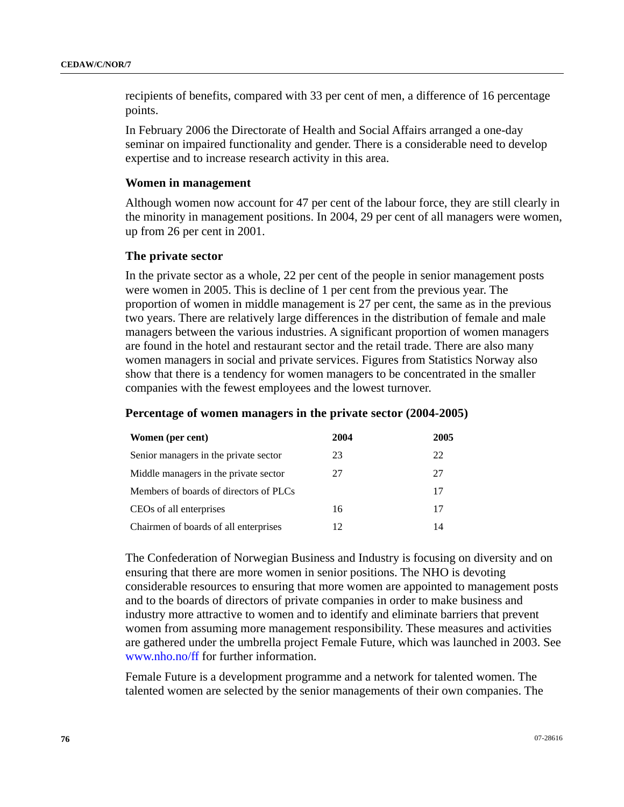recipients of benefits, compared with 33 per cent of men, a difference of 16 percentage points.

In February 2006 the Directorate of Health and Social Affairs arranged a one-day seminar on impaired functionality and gender. There is a considerable need to develop expertise and to increase research activity in this area.

#### **Women in management**

Although women now account for 47 per cent of the labour force, they are still clearly in the minority in management positions. In 2004, 29 per cent of all managers were women, up from 26 per cent in 2001.

#### **The private sector**

In the private sector as a whole, 22 per cent of the people in senior management posts were women in 2005. This is decline of 1 per cent from the previous year. The proportion of women in middle management is 27 per cent, the same as in the previous two years. There are relatively large differences in the distribution of female and male managers between the various industries. A significant proportion of women managers are found in the hotel and restaurant sector and the retail trade. There are also many women managers in social and private services. Figures from Statistics Norway also show that there is a tendency for women managers to be concentrated in the smaller companies with the fewest employees and the lowest turnover.

#### **Percentage of women managers in the private sector (2004-2005)**

| Women (per cent)                       | 2004 | 2005 |
|----------------------------------------|------|------|
| Senior managers in the private sector  | 23   | 22   |
| Middle managers in the private sector  | 27   | 27   |
| Members of boards of directors of PLCs |      | 17   |
| CEOs of all enterprises                | 16   | 17   |
| Chairmen of boards of all enterprises  | 12.  | 14   |

The Confederation of Norwegian Business and Industry is focusing on diversity and on ensuring that there are more women in senior positions. The NHO is devoting considerable resources to ensuring that more women are appointed to management posts and to the boards of directors of private companies in order to make business and industry more attractive to women and to identify and eliminate barriers that prevent women from assuming more management responsibility. These measures and activities are gathered under the umbrella project Female Future, which was launched in 2003. See [www.nho.no/ff](http://www.nho.no/ff) for further information.

Female Future is a development programme and a network for talented women. The talented women are selected by the senior managements of their own companies. The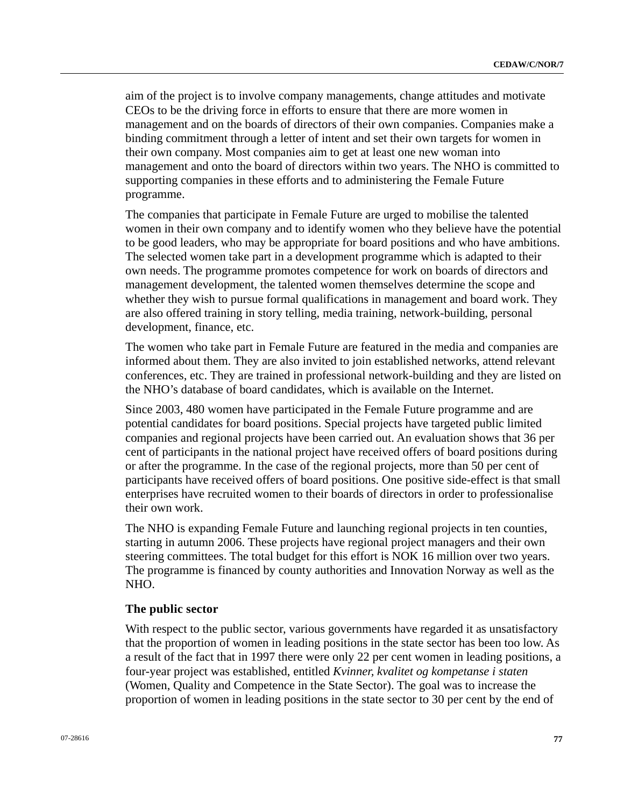aim of the project is to involve company managements, change attitudes and motivate CEOs to be the driving force in efforts to ensure that there are more women in management and on the boards of directors of their own companies. Companies make a binding commitment through a letter of intent and set their own targets for women in their own company. Most companies aim to get at least one new woman into management and onto the board of directors within two years. The NHO is committed to supporting companies in these efforts and to administering the Female Future programme.

The companies that participate in Female Future are urged to mobilise the talented women in their own company and to identify women who they believe have the potential to be good leaders, who may be appropriate for board positions and who have ambitions. The selected women take part in a development programme which is adapted to their own needs. The programme promotes competence for work on boards of directors and management development, the talented women themselves determine the scope and whether they wish to pursue formal qualifications in management and board work. They are also offered training in story telling, media training, network-building, personal development, finance, etc.

The women who take part in Female Future are featured in the media and companies are informed about them. They are also invited to join established networks, attend relevant conferences, etc. They are trained in professional network-building and they are listed on the NHO's database of board candidates, which is available on the Internet.

Since 2003, 480 women have participated in the Female Future programme and are potential candidates for board positions. Special projects have targeted public limited companies and regional projects have been carried out. An evaluation shows that 36 per cent of participants in the national project have received offers of board positions during or after the programme. In the case of the regional projects, more than 50 per cent of participants have received offers of board positions. One positive side-effect is that small enterprises have recruited women to their boards of directors in order to professionalise their own work.

The NHO is expanding Female Future and launching regional projects in ten counties, starting in autumn 2006. These projects have regional project managers and their own steering committees. The total budget for this effort is NOK 16 million over two years. The programme is financed by county authorities and Innovation Norway as well as the NHO.

#### **The public sector**

With respect to the public sector, various governments have regarded it as unsatisfactory that the proportion of women in leading positions in the state sector has been too low. As a result of the fact that in 1997 there were only 22 per cent women in leading positions, a four-year project was established, entitled *Kvinner, kvalitet og kompetanse i staten* (Women, Quality and Competence in the State Sector). The goal was to increase the proportion of women in leading positions in the state sector to 30 per cent by the end of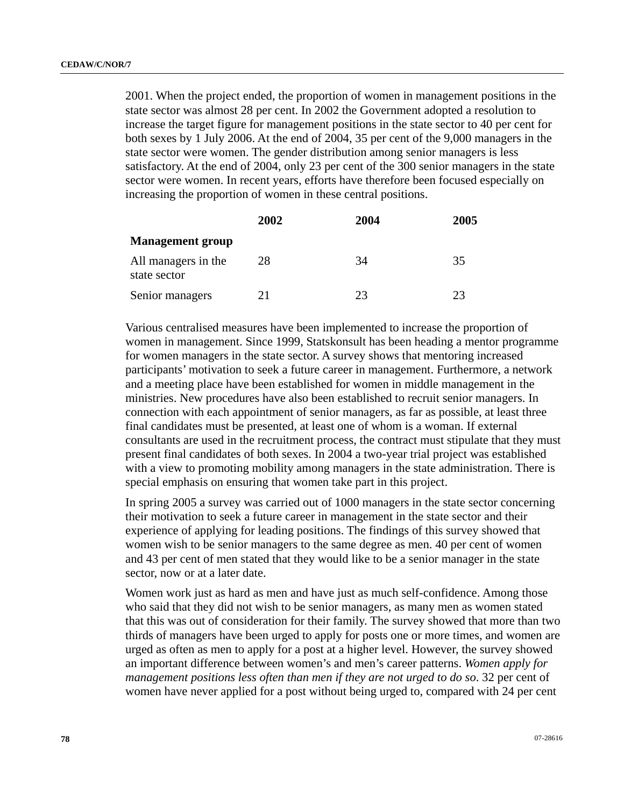2001. When the project ended, the proportion of women in management positions in the state sector was almost 28 per cent. In 2002 the Government adopted a resolution to increase the target figure for management positions in the state sector to 40 per cent for both sexes by 1 July 2006. At the end of 2004, 35 per cent of the 9,000 managers in the state sector were women. The gender distribution among senior managers is less satisfactory. At the end of 2004, only 23 per cent of the 300 senior managers in the state sector were women. In recent years, efforts have therefore been focused especially on increasing the proportion of women in these central positions.

|                                     | 2002 | 2004 | 2005 |
|-------------------------------------|------|------|------|
| <b>Management group</b>             |      |      |      |
| All managers in the<br>state sector | 28   | 34   | 35   |
| Senior managers                     | 21   | つく   | 23   |

Various centralised measures have been implemented to increase the proportion of women in management. Since 1999, Statskonsult has been heading a mentor programme for women managers in the state sector. A survey shows that mentoring increased participants' motivation to seek a future career in management. Furthermore, a network and a meeting place have been established for women in middle management in the ministries. New procedures have also been established to recruit senior managers. In connection with each appointment of senior managers, as far as possible, at least three final candidates must be presented, at least one of whom is a woman. If external consultants are used in the recruitment process, the contract must stipulate that they must present final candidates of both sexes. In 2004 a two-year trial project was established with a view to promoting mobility among managers in the state administration. There is special emphasis on ensuring that women take part in this project.

In spring 2005 a survey was carried out of 1000 managers in the state sector concerning their motivation to seek a future career in management in the state sector and their experience of applying for leading positions. The findings of this survey showed that women wish to be senior managers to the same degree as men. 40 per cent of women and 43 per cent of men stated that they would like to be a senior manager in the state sector, now or at a later date.

Women work just as hard as men and have just as much self-confidence. Among those who said that they did not wish to be senior managers, as many men as women stated that this was out of consideration for their family. The survey showed that more than two thirds of managers have been urged to apply for posts one or more times, and women are urged as often as men to apply for a post at a higher level. However, the survey showed an important difference between women's and men's career patterns. *Women apply for management positions less often than men if they are not urged to do so*. 32 per cent of women have never applied for a post without being urged to, compared with 24 per cent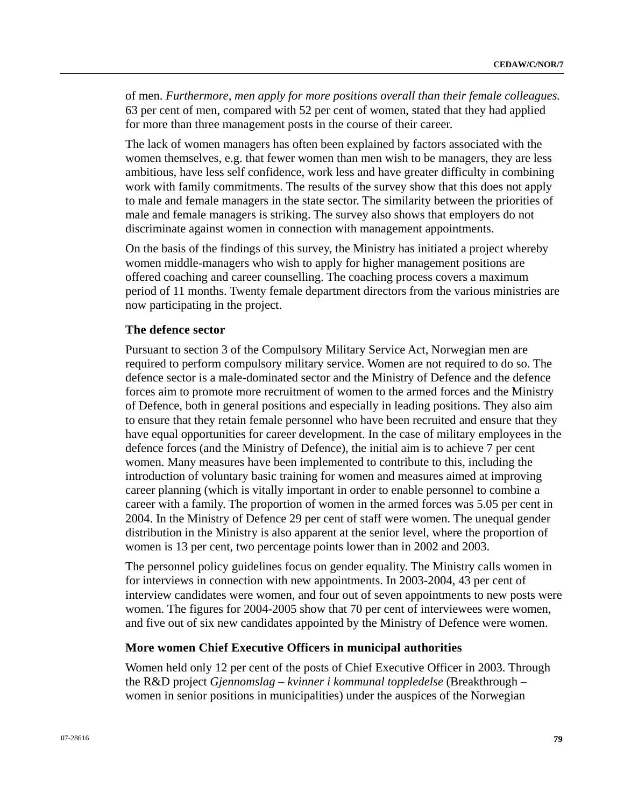of men. *Furthermore, men apply for more positions overall than their female colleagues.* 63 per cent of men, compared with 52 per cent of women, stated that they had applied for more than three management posts in the course of their career.

The lack of women managers has often been explained by factors associated with the women themselves, e.g. that fewer women than men wish to be managers, they are less ambitious, have less self confidence, work less and have greater difficulty in combining work with family commitments. The results of the survey show that this does not apply to male and female managers in the state sector. The similarity between the priorities of male and female managers is striking. The survey also shows that employers do not discriminate against women in connection with management appointments.

On the basis of the findings of this survey, the Ministry has initiated a project whereby women middle-managers who wish to apply for higher management positions are offered coaching and career counselling. The coaching process covers a maximum period of 11 months. Twenty female department directors from the various ministries are now participating in the project.

# **The defence sector**

Pursuant to section 3 of the Compulsory Military Service Act, Norwegian men are required to perform compulsory military service. Women are not required to do so. The defence sector is a male-dominated sector and the Ministry of Defence and the defence forces aim to promote more recruitment of women to the armed forces and the Ministry of Defence, both in general positions and especially in leading positions. They also aim to ensure that they retain female personnel who have been recruited and ensure that they have equal opportunities for career development. In the case of military employees in the defence forces (and the Ministry of Defence), the initial aim is to achieve 7 per cent women. Many measures have been implemented to contribute to this, including the introduction of voluntary basic training for women and measures aimed at improving career planning (which is vitally important in order to enable personnel to combine a career with a family. The proportion of women in the armed forces was 5.05 per cent in 2004. In the Ministry of Defence 29 per cent of staff were women. The unequal gender distribution in the Ministry is also apparent at the senior level, where the proportion of women is 13 per cent, two percentage points lower than in 2002 and 2003.

The personnel policy guidelines focus on gender equality. The Ministry calls women in for interviews in connection with new appointments. In 2003-2004, 43 per cent of interview candidates were women, and four out of seven appointments to new posts were women. The figures for 2004-2005 show that 70 per cent of interviewees were women, and five out of six new candidates appointed by the Ministry of Defence were women.

## **More women Chief Executive Officers in municipal authorities**

Women held only 12 per cent of the posts of Chief Executive Officer in 2003. Through the R&D project *Gjennomslag – kvinner i kommunal toppledelse* (Breakthrough – women in senior positions in municipalities) under the auspices of the Norwegian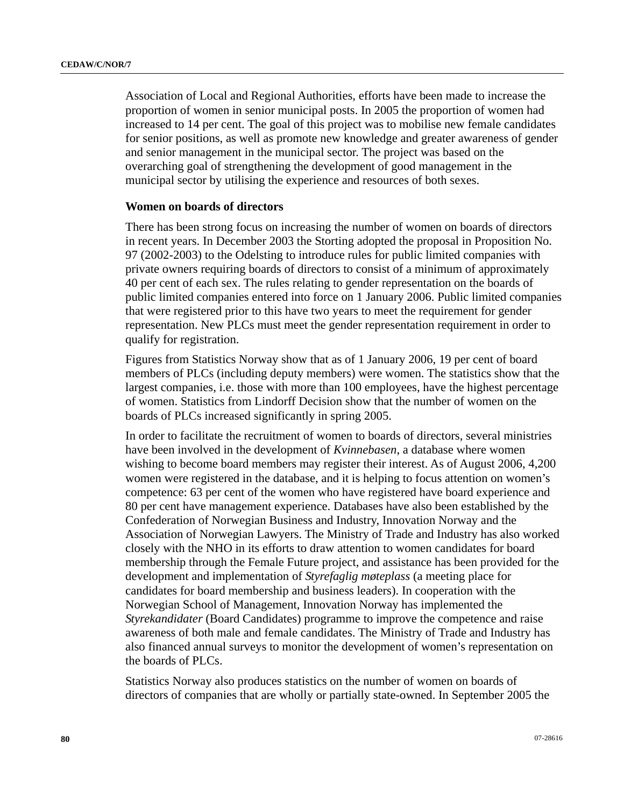Association of Local and Regional Authorities, efforts have been made to increase the proportion of women in senior municipal posts. In 2005 the proportion of women had increased to 14 per cent. The goal of this project was to mobilise new female candidates for senior positions, as well as promote new knowledge and greater awareness of gender and senior management in the municipal sector. The project was based on the overarching goal of strengthening the development of good management in the municipal sector by utilising the experience and resources of both sexes.

#### **Women on boards of directors**

There has been strong focus on increasing the number of women on boards of directors in recent years. In December 2003 the Storting adopted the proposal in Proposition No. 97 (2002-2003) to the Odelsting to introduce rules for public limited companies with private owners requiring boards of directors to consist of a minimum of approximately 40 per cent of each sex. The rules relating to gender representation on the boards of public limited companies entered into force on 1 January 2006. Public limited companies that were registered prior to this have two years to meet the requirement for gender representation. New PLCs must meet the gender representation requirement in order to qualify for registration.

Figures from Statistics Norway show that as of 1 January 2006, 19 per cent of board members of PLCs (including deputy members) were women. The statistics show that the largest companies, i.e. those with more than 100 employees, have the highest percentage of women. Statistics from Lindorff Decision show that the number of women on the boards of PLCs increased significantly in spring 2005.

In order to facilitate the recruitment of women to boards of directors, several ministries have been involved in the development of *Kvinnebasen*, a database where women wishing to become board members may register their interest. As of August 2006, 4,200 women were registered in the database, and it is helping to focus attention on women's competence: 63 per cent of the women who have registered have board experience and 80 per cent have management experience. Databases have also been established by the Confederation of Norwegian Business and Industry, Innovation Norway and the Association of Norwegian Lawyers. The Ministry of Trade and Industry has also worked closely with the NHO in its efforts to draw attention to women candidates for board membership through the Female Future project, and assistance has been provided for the development and implementation of *Styrefaglig møteplass* (a meeting place for candidates for board membership and business leaders). In cooperation with the Norwegian School of Management, Innovation Norway has implemented the *Styrekandidater* (Board Candidates) programme to improve the competence and raise awareness of both male and female candidates. The Ministry of Trade and Industry has also financed annual surveys to monitor the development of women's representation on the boards of PLCs.

Statistics Norway also produces statistics on the number of women on boards of directors of companies that are wholly or partially state-owned. In September 2005 the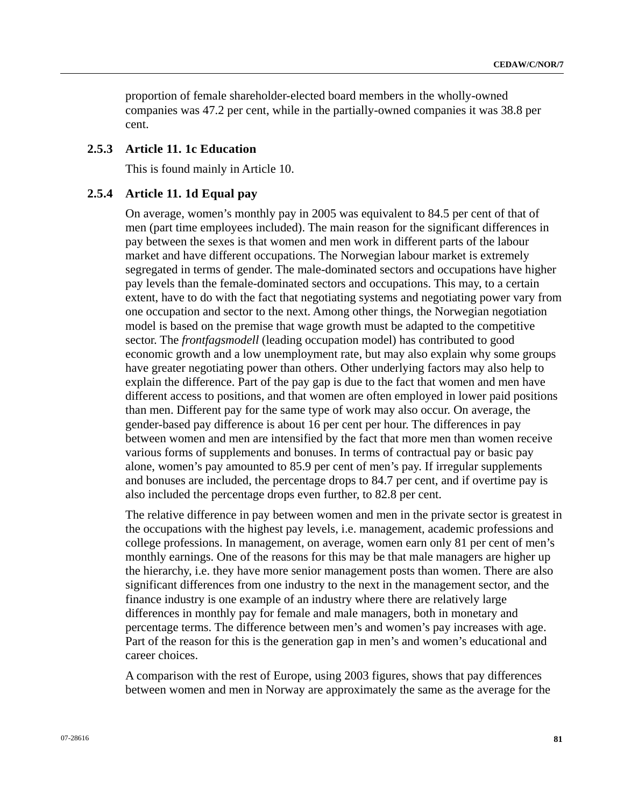proportion of female shareholder-elected board members in the wholly-owned companies was 47.2 per cent, while in the partially-owned companies it was 38.8 per cent.

## **2.5.3 Article 11. 1c Education**

This is found mainly in Article 10.

#### **2.5.4 Article 11. 1d Equal pay**

On average, women's monthly pay in 2005 was equivalent to 84.5 per cent of that of men (part time employees included). The main reason for the significant differences in pay between the sexes is that women and men work in different parts of the labour market and have different occupations. The Norwegian labour market is extremely segregated in terms of gender. The male-dominated sectors and occupations have higher pay levels than the female-dominated sectors and occupations. This may, to a certain extent, have to do with the fact that negotiating systems and negotiating power vary from one occupation and sector to the next. Among other things, the Norwegian negotiation model is based on the premise that wage growth must be adapted to the competitive sector. The *frontfagsmodell* (leading occupation model) has contributed to good economic growth and a low unemployment rate, but may also explain why some groups have greater negotiating power than others. Other underlying factors may also help to explain the difference. Part of the pay gap is due to the fact that women and men have different access to positions, and that women are often employed in lower paid positions than men. Different pay for the same type of work may also occur. On average, the gender-based pay difference is about 16 per cent per hour. The differences in pay between women and men are intensified by the fact that more men than women receive various forms of supplements and bonuses. In terms of contractual pay or basic pay alone, women's pay amounted to 85.9 per cent of men's pay. If irregular supplements and bonuses are included, the percentage drops to 84.7 per cent, and if overtime pay is also included the percentage drops even further, to 82.8 per cent.

The relative difference in pay between women and men in the private sector is greatest in the occupations with the highest pay levels, i.e. management, academic professions and college professions. In management, on average, women earn only 81 per cent of men's monthly earnings. One of the reasons for this may be that male managers are higher up the hierarchy, i.e. they have more senior management posts than women. There are also significant differences from one industry to the next in the management sector, and the finance industry is one example of an industry where there are relatively large differences in monthly pay for female and male managers, both in monetary and percentage terms. The difference between men's and women's pay increases with age. Part of the reason for this is the generation gap in men's and women's educational and career choices.

A comparison with the rest of Europe, using 2003 figures, shows that pay differences between women and men in Norway are approximately the same as the average for the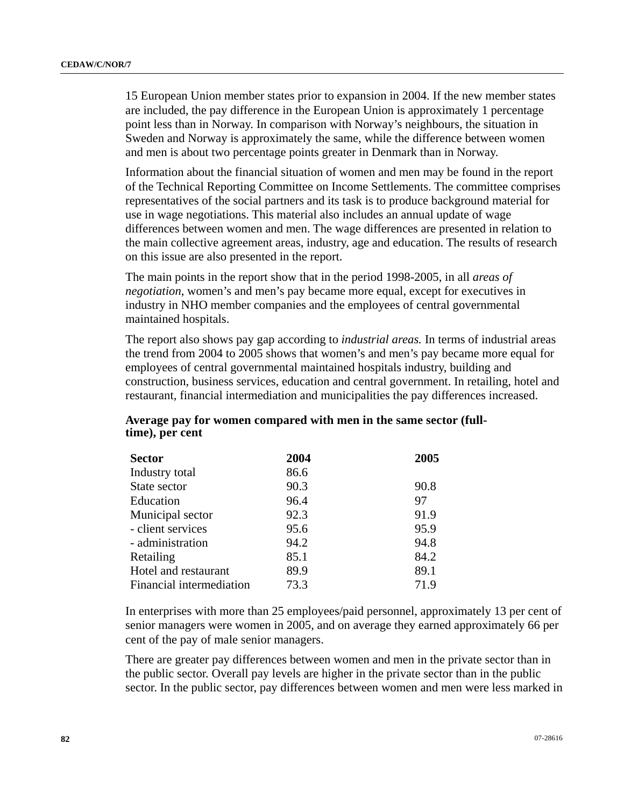15 European Union member states prior to expansion in 2004. If the new member states are included, the pay difference in the European Union is approximately 1 percentage point less than in Norway. In comparison with Norway's neighbours, the situation in Sweden and Norway is approximately the same, while the difference between women and men is about two percentage points greater in Denmark than in Norway.

Information about the financial situation of women and men may be found in the report of the Technical Reporting Committee on Income Settlements. The committee comprises representatives of the social partners and its task is to produce background material for use in wage negotiations. This material also includes an annual update of wage differences between women and men. The wage differences are presented in relation to the main collective agreement areas, industry, age and education. The results of research on this issue are also presented in the report.

The main points in the report show that in the period 1998-2005, in all *areas of negotiation*, women's and men's pay became more equal, except for executives in industry in NHO member companies and the employees of central governmental maintained hospitals.

The report also shows pay gap according to *industrial areas.* In terms of industrial areas the trend from 2004 to 2005 shows that women's and men's pay became more equal for employees of central governmental maintained hospitals industry, building and construction, business services, education and central government. In retailing, hotel and restaurant, financial intermediation and municipalities the pay differences increased.

| <b>Sector</b>            | 2004 | 2005 |
|--------------------------|------|------|
| Industry total           | 86.6 |      |
| State sector             | 90.3 | 90.8 |
| Education                | 96.4 | 97   |
| Municipal sector         | 92.3 | 91.9 |
| - client services        | 95.6 | 95.9 |
| - administration         | 94.2 | 94.8 |
| Retailing                | 85.1 | 84.2 |
| Hotel and restaurant     | 89.9 | 89.1 |
| Financial intermediation | 73.3 | 71.9 |

## **Average pay for women compared with men in the same sector (fulltime), per cent**

In enterprises with more than 25 employees/paid personnel, approximately 13 per cent of senior managers were women in 2005, and on average they earned approximately 66 per cent of the pay of male senior managers.

There are greater pay differences between women and men in the private sector than in the public sector. Overall pay levels are higher in the private sector than in the public sector. In the public sector, pay differences between women and men were less marked in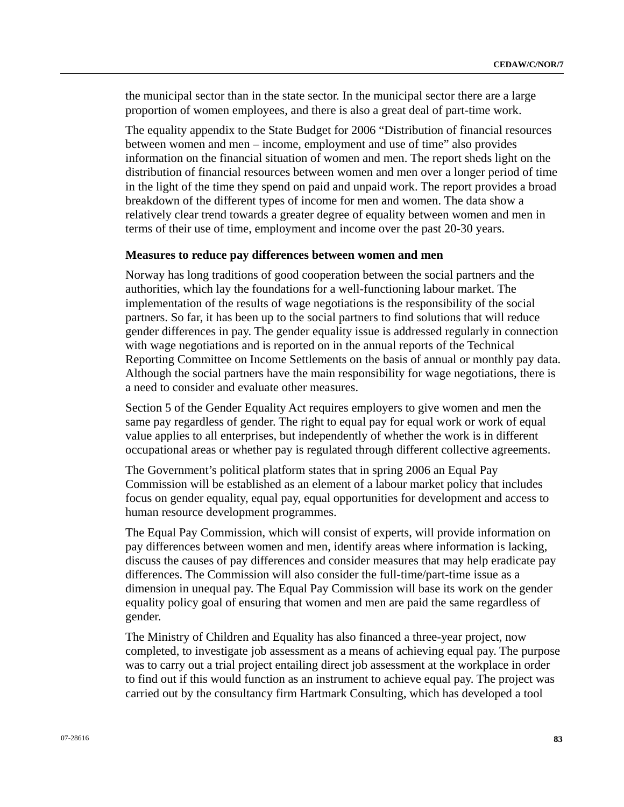the municipal sector than in the state sector. In the municipal sector there are a large proportion of women employees, and there is also a great deal of part-time work.

The equality appendix to the State Budget for 2006 "Distribution of financial resources between women and men – income, employment and use of time" also provides information on the financial situation of women and men. The report sheds light on the distribution of financial resources between women and men over a longer period of time in the light of the time they spend on paid and unpaid work. The report provides a broad breakdown of the different types of income for men and women. The data show a relatively clear trend towards a greater degree of equality between women and men in terms of their use of time, employment and income over the past 20-30 years.

#### **Measures to reduce pay differences between women and men**

Norway has long traditions of good cooperation between the social partners and the authorities, which lay the foundations for a well-functioning labour market. The implementation of the results of wage negotiations is the responsibility of the social partners. So far, it has been up to the social partners to find solutions that will reduce gender differences in pay. The gender equality issue is addressed regularly in connection with wage negotiations and is reported on in the annual reports of the Technical Reporting Committee on Income Settlements on the basis of annual or monthly pay data. Although the social partners have the main responsibility for wage negotiations, there is a need to consider and evaluate other measures.

Section 5 of the Gender Equality Act requires employers to give women and men the same pay regardless of gender. The right to equal pay for equal work or work of equal value applies to all enterprises, but independently of whether the work is in different occupational areas or whether pay is regulated through different collective agreements.

The Government's political platform states that in spring 2006 an Equal Pay Commission will be established as an element of a labour market policy that includes focus on gender equality, equal pay, equal opportunities for development and access to human resource development programmes.

The Equal Pay Commission, which will consist of experts, will provide information on pay differences between women and men, identify areas where information is lacking, discuss the causes of pay differences and consider measures that may help eradicate pay differences. The Commission will also consider the full-time/part-time issue as a dimension in unequal pay. The Equal Pay Commission will base its work on the gender equality policy goal of ensuring that women and men are paid the same regardless of gender.

The Ministry of Children and Equality has also financed a three-year project, now completed, to investigate job assessment as a means of achieving equal pay. The purpose was to carry out a trial project entailing direct job assessment at the workplace in order to find out if this would function as an instrument to achieve equal pay. The project was carried out by the consultancy firm Hartmark Consulting, which has developed a tool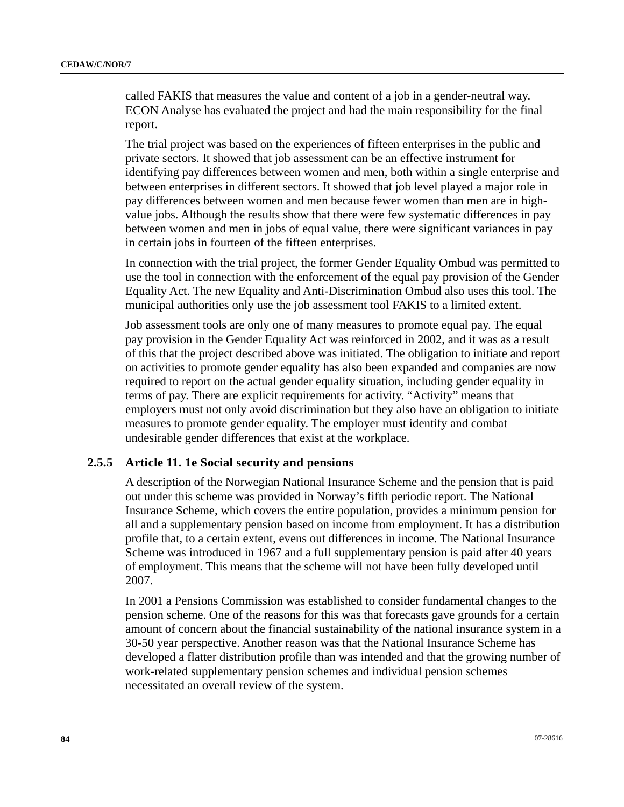called FAKIS that measures the value and content of a job in a gender-neutral way. ECON Analyse has evaluated the project and had the main responsibility for the final report.

The trial project was based on the experiences of fifteen enterprises in the public and private sectors. It showed that job assessment can be an effective instrument for identifying pay differences between women and men, both within a single enterprise and between enterprises in different sectors. It showed that job level played a major role in pay differences between women and men because fewer women than men are in highvalue jobs. Although the results show that there were few systematic differences in pay between women and men in jobs of equal value, there were significant variances in pay in certain jobs in fourteen of the fifteen enterprises.

In connection with the trial project, the former Gender Equality Ombud was permitted to use the tool in connection with the enforcement of the equal pay provision of the Gender Equality Act. The new Equality and Anti-Discrimination Ombud also uses this tool. The municipal authorities only use the job assessment tool FAKIS to a limited extent.

Job assessment tools are only one of many measures to promote equal pay. The equal pay provision in the Gender Equality Act was reinforced in 2002, and it was as a result of this that the project described above was initiated. The obligation to initiate and report on activities to promote gender equality has also been expanded and companies are now required to report on the actual gender equality situation, including gender equality in terms of pay. There are explicit requirements for activity. "Activity" means that employers must not only avoid discrimination but they also have an obligation to initiate measures to promote gender equality. The employer must identify and combat undesirable gender differences that exist at the workplace.

## **2.5.5 Article 11. 1e Social security and pensions**

A description of the Norwegian National Insurance Scheme and the pension that is paid out under this scheme was provided in Norway's fifth periodic report. The National Insurance Scheme, which covers the entire population, provides a minimum pension for all and a supplementary pension based on income from employment. It has a distribution profile that, to a certain extent, evens out differences in income. The National Insurance Scheme was introduced in 1967 and a full supplementary pension is paid after 40 years of employment. This means that the scheme will not have been fully developed until 2007.

In 2001 a Pensions Commission was established to consider fundamental changes to the pension scheme. One of the reasons for this was that forecasts gave grounds for a certain amount of concern about the financial sustainability of the national insurance system in a 30-50 year perspective. Another reason was that the National Insurance Scheme has developed a flatter distribution profile than was intended and that the growing number of work-related supplementary pension schemes and individual pension schemes necessitated an overall review of the system.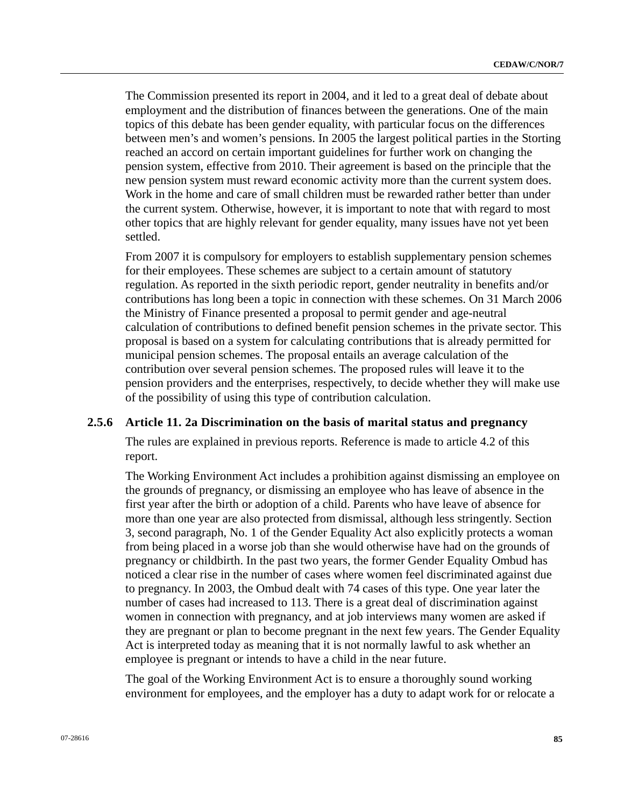The Commission presented its report in 2004, and it led to a great deal of debate about employment and the distribution of finances between the generations. One of the main topics of this debate has been gender equality, with particular focus on the differences between men's and women's pensions. In 2005 the largest political parties in the Storting reached an accord on certain important guidelines for further work on changing the pension system, effective from 2010. Their agreement is based on the principle that the new pension system must reward economic activity more than the current system does. Work in the home and care of small children must be rewarded rather better than under the current system. Otherwise, however, it is important to note that with regard to most other topics that are highly relevant for gender equality, many issues have not yet been settled.

From 2007 it is compulsory for employers to establish supplementary pension schemes for their employees. These schemes are subject to a certain amount of statutory regulation. As reported in the sixth periodic report, gender neutrality in benefits and/or contributions has long been a topic in connection with these schemes. On 31 March 2006 the Ministry of Finance presented a proposal to permit gender and age-neutral calculation of contributions to defined benefit pension schemes in the private sector. This proposal is based on a system for calculating contributions that is already permitted for municipal pension schemes. The proposal entails an average calculation of the contribution over several pension schemes. The proposed rules will leave it to the pension providers and the enterprises, respectively, to decide whether they will make use of the possibility of using this type of contribution calculation.

# **2.5.6 Article 11. 2a Discrimination on the basis of marital status and pregnancy**

The rules are explained in previous reports. Reference is made to article 4.2 of this report.

The Working Environment Act includes a prohibition against dismissing an employee on the grounds of pregnancy, or dismissing an employee who has leave of absence in the first year after the birth or adoption of a child. Parents who have leave of absence for more than one year are also protected from dismissal, although less stringently. Section 3, second paragraph, No. 1 of the Gender Equality Act also explicitly protects a woman from being placed in a worse job than she would otherwise have had on the grounds of pregnancy or childbirth. In the past two years, the former Gender Equality Ombud has noticed a clear rise in the number of cases where women feel discriminated against due to pregnancy. In 2003, the Ombud dealt with 74 cases of this type. One year later the number of cases had increased to 113. There is a great deal of discrimination against women in connection with pregnancy, and at job interviews many women are asked if they are pregnant or plan to become pregnant in the next few years. The Gender Equality Act is interpreted today as meaning that it is not normally lawful to ask whether an employee is pregnant or intends to have a child in the near future.

The goal of the Working Environment Act is to ensure a thoroughly sound working environment for employees, and the employer has a duty to adapt work for or relocate a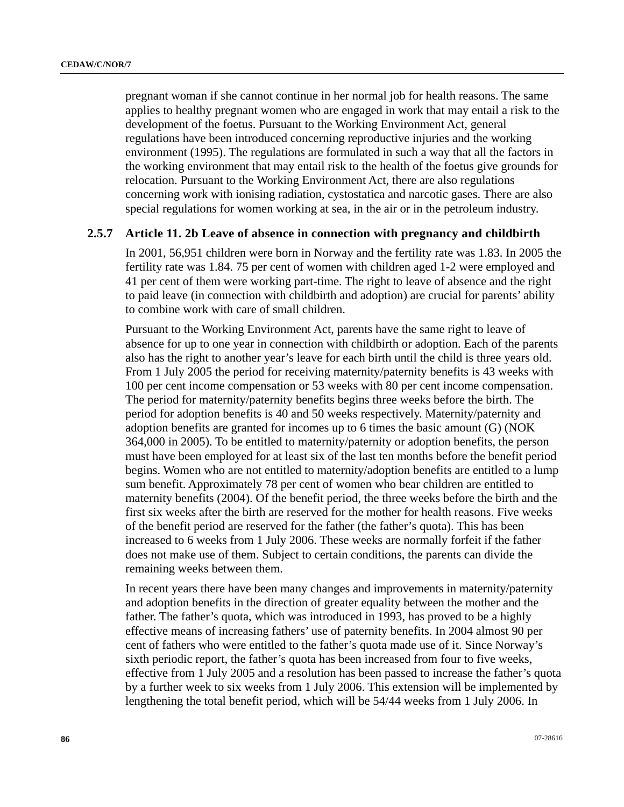pregnant woman if she cannot continue in her normal job for health reasons. The same applies to healthy pregnant women who are engaged in work that may entail a risk to the development of the foetus. Pursuant to the Working Environment Act, general regulations have been introduced concerning reproductive injuries and the working environment (1995). The regulations are formulated in such a way that all the factors in the working environment that may entail risk to the health of the foetus give grounds for relocation. Pursuant to the Working Environment Act, there are also regulations concerning work with ionising radiation, cystostatica and narcotic gases. There are also special regulations for women working at sea, in the air or in the petroleum industry.

## **2.5.7 Article 11. 2b Leave of absence in connection with pregnancy and childbirth**

In 2001, 56,951 children were born in Norway and the fertility rate was 1.83. In 2005 the fertility rate was 1.84. 75 per cent of women with children aged 1-2 were employed and 41 per cent of them were working part-time. The right to leave of absence and the right to paid leave (in connection with childbirth and adoption) are crucial for parents' ability to combine work with care of small children.

Pursuant to the Working Environment Act, parents have the same right to leave of absence for up to one year in connection with childbirth or adoption. Each of the parents also has the right to another year's leave for each birth until the child is three years old. From 1 July 2005 the period for receiving maternity/paternity benefits is 43 weeks with 100 per cent income compensation or 53 weeks with 80 per cent income compensation. The period for maternity/paternity benefits begins three weeks before the birth. The period for adoption benefits is 40 and 50 weeks respectively. Maternity/paternity and adoption benefits are granted for incomes up to 6 times the basic amount (G) (NOK 364,000 in 2005). To be entitled to maternity/paternity or adoption benefits, the person must have been employed for at least six of the last ten months before the benefit period begins. Women who are not entitled to maternity/adoption benefits are entitled to a lump sum benefit. Approximately 78 per cent of women who bear children are entitled to maternity benefits (2004). Of the benefit period, the three weeks before the birth and the first six weeks after the birth are reserved for the mother for health reasons. Five weeks of the benefit period are reserved for the father (the father's quota). This has been increased to 6 weeks from 1 July 2006. These weeks are normally forfeit if the father does not make use of them. Subject to certain conditions, the parents can divide the remaining weeks between them.

In recent years there have been many changes and improvements in maternity/paternity and adoption benefits in the direction of greater equality between the mother and the father. The father's quota, which was introduced in 1993, has proved to be a highly effective means of increasing fathers' use of paternity benefits. In 2004 almost 90 per cent of fathers who were entitled to the father's quota made use of it. Since Norway's sixth periodic report, the father's quota has been increased from four to five weeks, effective from 1 July 2005 and a resolution has been passed to increase the father's quota by a further week to six weeks from 1 July 2006. This extension will be implemented by lengthening the total benefit period, which will be 54/44 weeks from 1 July 2006. In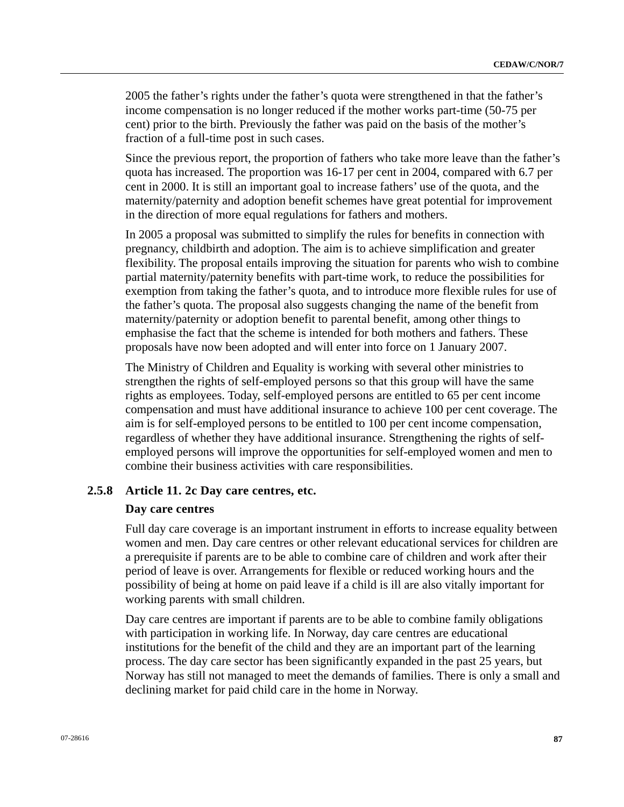2005 the father's rights under the father's quota were strengthened in that the father's income compensation is no longer reduced if the mother works part-time (50-75 per cent) prior to the birth. Previously the father was paid on the basis of the mother's fraction of a full-time post in such cases.

Since the previous report, the proportion of fathers who take more leave than the father's quota has increased. The proportion was 16-17 per cent in 2004, compared with 6.7 per cent in 2000. It is still an important goal to increase fathers' use of the quota, and the maternity/paternity and adoption benefit schemes have great potential for improvement in the direction of more equal regulations for fathers and mothers.

In 2005 a proposal was submitted to simplify the rules for benefits in connection with pregnancy, childbirth and adoption. The aim is to achieve simplification and greater flexibility. The proposal entails improving the situation for parents who wish to combine partial maternity/paternity benefits with part-time work, to reduce the possibilities for exemption from taking the father's quota, and to introduce more flexible rules for use of the father's quota. The proposal also suggests changing the name of the benefit from maternity/paternity or adoption benefit to parental benefit, among other things to emphasise the fact that the scheme is intended for both mothers and fathers. These proposals have now been adopted and will enter into force on 1 January 2007.

The Ministry of Children and Equality is working with several other ministries to strengthen the rights of self-employed persons so that this group will have the same rights as employees. Today, self-employed persons are entitled to 65 per cent income compensation and must have additional insurance to achieve 100 per cent coverage. The aim is for self-employed persons to be entitled to 100 per cent income compensation, regardless of whether they have additional insurance. Strengthening the rights of selfemployed persons will improve the opportunities for self-employed women and men to combine their business activities with care responsibilities.

# **2.5.8 Article 11. 2c Day care centres, etc.**

#### **Day care centres**

Full day care coverage is an important instrument in efforts to increase equality between women and men. Day care centres or other relevant educational services for children are a prerequisite if parents are to be able to combine care of children and work after their period of leave is over. Arrangements for flexible or reduced working hours and the possibility of being at home on paid leave if a child is ill are also vitally important for working parents with small children.

Day care centres are important if parents are to be able to combine family obligations with participation in working life. In Norway, day care centres are educational institutions for the benefit of the child and they are an important part of the learning process. The day care sector has been significantly expanded in the past 25 years, but Norway has still not managed to meet the demands of families. There is only a small and declining market for paid child care in the home in Norway.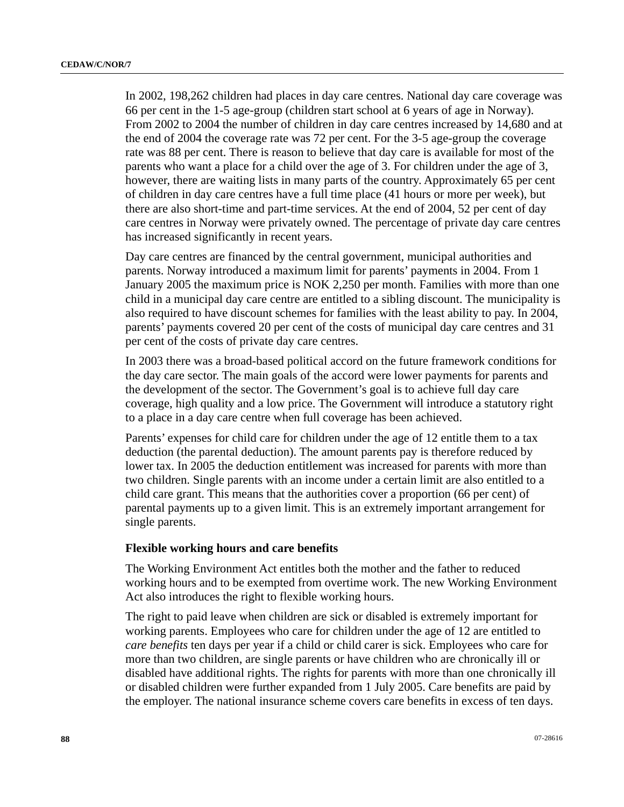In 2002, 198,262 children had places in day care centres. National day care coverage was 66 per cent in the 1-5 age-group (children start school at 6 years of age in Norway). From 2002 to 2004 the number of children in day care centres increased by 14,680 and at the end of 2004 the coverage rate was 72 per cent. For the 3-5 age-group the coverage rate was 88 per cent. There is reason to believe that day care is available for most of the parents who want a place for a child over the age of 3. For children under the age of 3, however, there are waiting lists in many parts of the country. Approximately 65 per cent of children in day care centres have a full time place (41 hours or more per week), but there are also short-time and part-time services. At the end of 2004, 52 per cent of day care centres in Norway were privately owned. The percentage of private day care centres has increased significantly in recent years.

Day care centres are financed by the central government, municipal authorities and parents. Norway introduced a maximum limit for parents' payments in 2004. From 1 January 2005 the maximum price is NOK 2,250 per month. Families with more than one child in a municipal day care centre are entitled to a sibling discount. The municipality is also required to have discount schemes for families with the least ability to pay. In 2004, parents' payments covered 20 per cent of the costs of municipal day care centres and 31 per cent of the costs of private day care centres.

In 2003 there was a broad-based political accord on the future framework conditions for the day care sector. The main goals of the accord were lower payments for parents and the development of the sector. The Government's goal is to achieve full day care coverage, high quality and a low price. The Government will introduce a statutory right to a place in a day care centre when full coverage has been achieved.

Parents' expenses for child care for children under the age of 12 entitle them to a tax deduction (the parental deduction). The amount parents pay is therefore reduced by lower tax. In 2005 the deduction entitlement was increased for parents with more than two children. Single parents with an income under a certain limit are also entitled to a child care grant. This means that the authorities cover a proportion (66 per cent) of parental payments up to a given limit. This is an extremely important arrangement for single parents.

#### **Flexible working hours and care benefits**

The Working Environment Act entitles both the mother and the father to reduced working hours and to be exempted from overtime work. The new Working Environment Act also introduces the right to flexible working hours.

The right to paid leave when children are sick or disabled is extremely important for working parents. Employees who care for children under the age of 12 are entitled to *care benefits* ten days per year if a child or child carer is sick. Employees who care for more than two children, are single parents or have children who are chronically ill or disabled have additional rights. The rights for parents with more than one chronically ill or disabled children were further expanded from 1 July 2005. Care benefits are paid by the employer. The national insurance scheme covers care benefits in excess of ten days.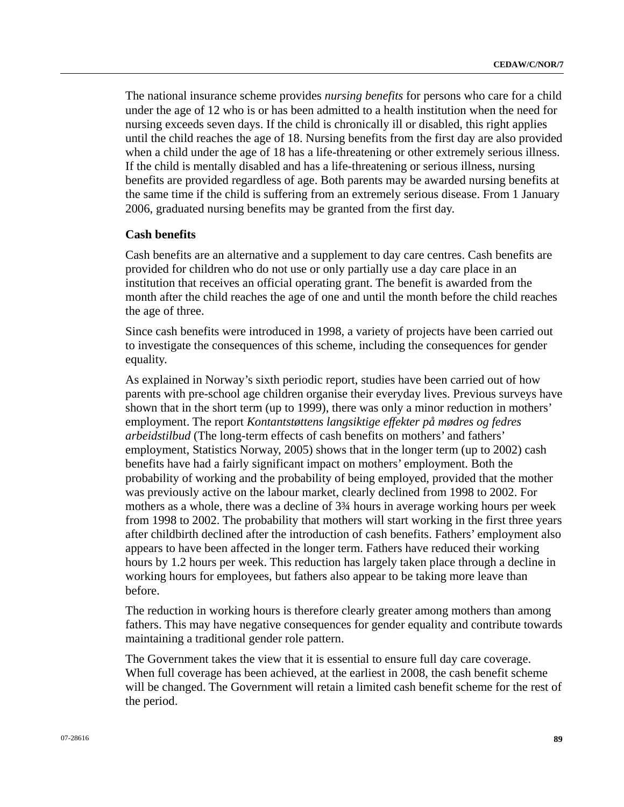The national insurance scheme provides *nursing benefits* for persons who care for a child under the age of 12 who is or has been admitted to a health institution when the need for nursing exceeds seven days. If the child is chronically ill or disabled, this right applies until the child reaches the age of 18. Nursing benefits from the first day are also provided when a child under the age of 18 has a life-threatening or other extremely serious illness. If the child is mentally disabled and has a life-threatening or serious illness, nursing benefits are provided regardless of age. Both parents may be awarded nursing benefits at the same time if the child is suffering from an extremely serious disease. From 1 January 2006, graduated nursing benefits may be granted from the first day.

#### **Cash benefits**

Cash benefits are an alternative and a supplement to day care centres. Cash benefits are provided for children who do not use or only partially use a day care place in an institution that receives an official operating grant. The benefit is awarded from the month after the child reaches the age of one and until the month before the child reaches the age of three.

Since cash benefits were introduced in 1998, a variety of projects have been carried out to investigate the consequences of this scheme, including the consequences for gender equality.

As explained in Norway's sixth periodic report, studies have been carried out of how parents with pre-school age children organise their everyday lives. Previous surveys have shown that in the short term (up to 1999), there was only a minor reduction in mothers' employment. The report *Kontantstøttens langsiktige effekter på mødres og fedres arbeidstilbud* (The long-term effects of cash benefits on mothers' and fathers' employment, Statistics Norway, 2005) shows that in the longer term (up to 2002) cash benefits have had a fairly significant impact on mothers' employment. Both the probability of working and the probability of being employed, provided that the mother was previously active on the labour market, clearly declined from 1998 to 2002. For mothers as a whole, there was a decline of 3¾ hours in average working hours per week from 1998 to 2002. The probability that mothers will start working in the first three years after childbirth declined after the introduction of cash benefits. Fathers' employment also appears to have been affected in the longer term. Fathers have reduced their working hours by 1.2 hours per week. This reduction has largely taken place through a decline in working hours for employees, but fathers also appear to be taking more leave than before.

The reduction in working hours is therefore clearly greater among mothers than among fathers. This may have negative consequences for gender equality and contribute towards maintaining a traditional gender role pattern.

The Government takes the view that it is essential to ensure full day care coverage. When full coverage has been achieved, at the earliest in 2008, the cash benefit scheme will be changed. The Government will retain a limited cash benefit scheme for the rest of the period.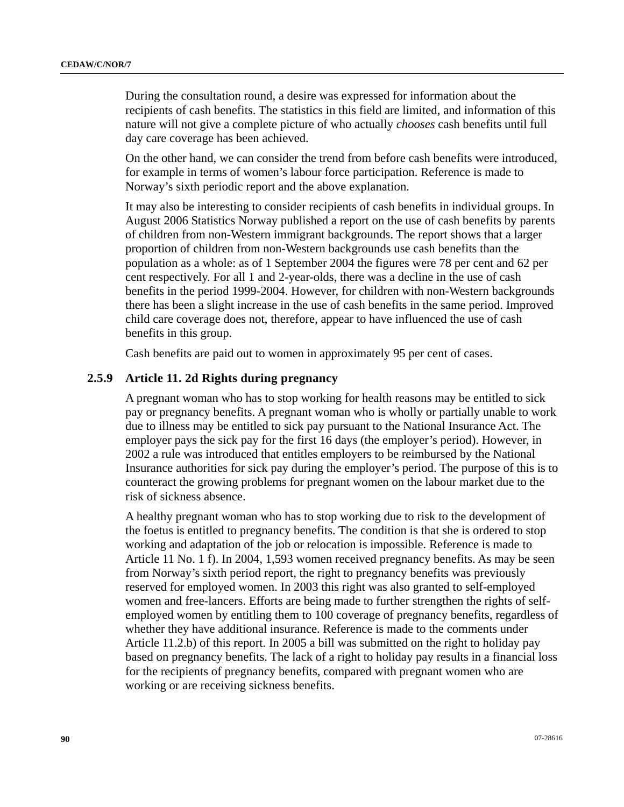During the consultation round, a desire was expressed for information about the recipients of cash benefits. The statistics in this field are limited, and information of this nature will not give a complete picture of who actually *chooses* cash benefits until full day care coverage has been achieved.

On the other hand, we can consider the trend from before cash benefits were introduced, for example in terms of women's labour force participation. Reference is made to Norway's sixth periodic report and the above explanation.

It may also be interesting to consider recipients of cash benefits in individual groups. In August 2006 Statistics Norway published a report on the use of cash benefits by parents of children from non-Western immigrant backgrounds. The report shows that a larger proportion of children from non-Western backgrounds use cash benefits than the population as a whole: as of 1 September 2004 the figures were 78 per cent and 62 per cent respectively. For all 1 and 2-year-olds, there was a decline in the use of cash benefits in the period 1999-2004. However, for children with non-Western backgrounds there has been a slight increase in the use of cash benefits in the same period. Improved child care coverage does not, therefore, appear to have influenced the use of cash benefits in this group.

Cash benefits are paid out to women in approximately 95 per cent of cases.

# **2.5.9 Article 11. 2d Rights during pregnancy**

A pregnant woman who has to stop working for health reasons may be entitled to sick pay or pregnancy benefits. A pregnant woman who is wholly or partially unable to work due to illness may be entitled to sick pay pursuant to the National Insurance Act. The employer pays the sick pay for the first 16 days (the employer's period). However, in 2002 a rule was introduced that entitles employers to be reimbursed by the National Insurance authorities for sick pay during the employer's period. The purpose of this is to counteract the growing problems for pregnant women on the labour market due to the risk of sickness absence.

A healthy pregnant woman who has to stop working due to risk to the development of the foetus is entitled to pregnancy benefits. The condition is that she is ordered to stop working and adaptation of the job or relocation is impossible. Reference is made to Article 11 No. 1 f). In 2004, 1,593 women received pregnancy benefits. As may be seen from Norway's sixth period report, the right to pregnancy benefits was previously reserved for employed women. In 2003 this right was also granted to self-employed women and free-lancers. Efforts are being made to further strengthen the rights of selfemployed women by entitling them to 100 coverage of pregnancy benefits, regardless of whether they have additional insurance. Reference is made to the comments under Article 11.2.b) of this report. In 2005 a bill was submitted on the right to holiday pay based on pregnancy benefits. The lack of a right to holiday pay results in a financial loss for the recipients of pregnancy benefits, compared with pregnant women who are working or are receiving sickness benefits.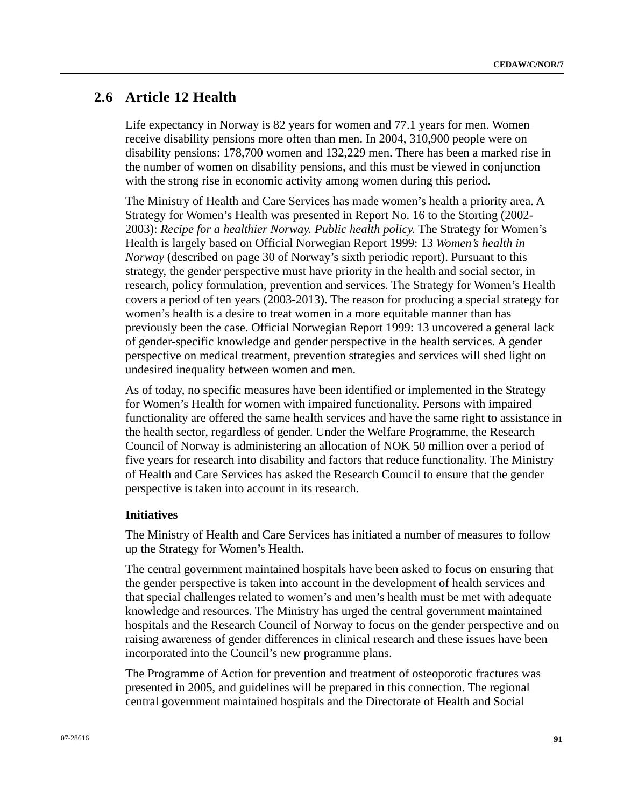# **2.6 Article 12 Health**

Life expectancy in Norway is 82 years for women and 77.1 years for men. Women receive disability pensions more often than men. In 2004, 310,900 people were on disability pensions: 178,700 women and 132,229 men. There has been a marked rise in the number of women on disability pensions, and this must be viewed in conjunction with the strong rise in economic activity among women during this period.

The Ministry of Health and Care Services has made women's health a priority area. A Strategy for Women's Health was presented in Report No. 16 to the Storting (2002- 2003): *Recipe for a healthier Norway. Public health policy.* The Strategy for Women's Health is largely based on Official Norwegian Report 1999: 13 *Women's health in Norway* (described on page 30 of Norway's sixth periodic report). Pursuant to this strategy, the gender perspective must have priority in the health and social sector, in research, policy formulation, prevention and services. The Strategy for Women's Health covers a period of ten years (2003-2013). The reason for producing a special strategy for women's health is a desire to treat women in a more equitable manner than has previously been the case. Official Norwegian Report 1999: 13 uncovered a general lack of gender-specific knowledge and gender perspective in the health services. A gender perspective on medical treatment, prevention strategies and services will shed light on undesired inequality between women and men.

As of today, no specific measures have been identified or implemented in the Strategy for Women's Health for women with impaired functionality. Persons with impaired functionality are offered the same health services and have the same right to assistance in the health sector, regardless of gender. Under the Welfare Programme, the Research Council of Norway is administering an allocation of NOK 50 million over a period of five years for research into disability and factors that reduce functionality. The Ministry of Health and Care Services has asked the Research Council to ensure that the gender perspective is taken into account in its research.

#### **Initiatives**

The Ministry of Health and Care Services has initiated a number of measures to follow up the Strategy for Women's Health.

The central government maintained hospitals have been asked to focus on ensuring that the gender perspective is taken into account in the development of health services and that special challenges related to women's and men's health must be met with adequate knowledge and resources. The Ministry has urged the central government maintained hospitals and the Research Council of Norway to focus on the gender perspective and on raising awareness of gender differences in clinical research and these issues have been incorporated into the Council's new programme plans.

The Programme of Action for prevention and treatment of osteoporotic fractures was presented in 2005, and guidelines will be prepared in this connection. The regional central government maintained hospitals and the Directorate of Health and Social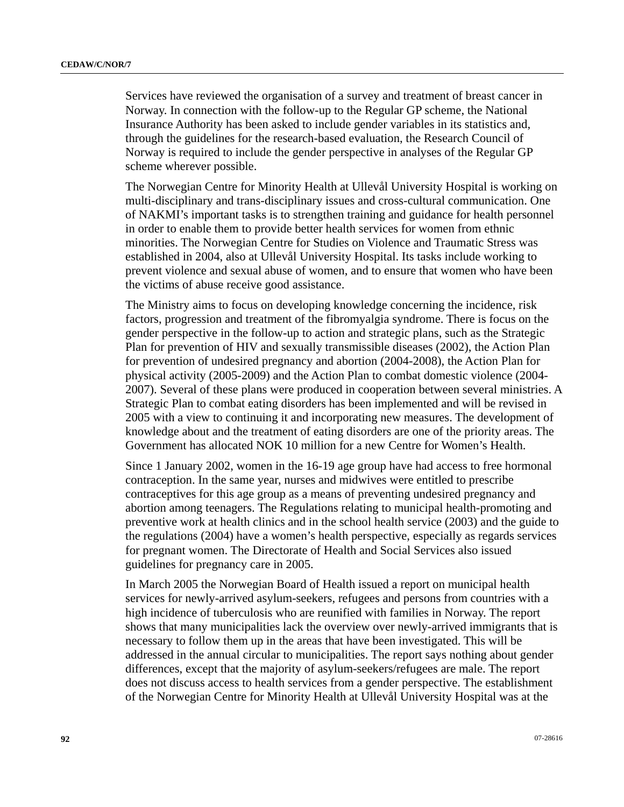Services have reviewed the organisation of a survey and treatment of breast cancer in Norway. In connection with the follow-up to the Regular GP scheme, the National Insurance Authority has been asked to include gender variables in its statistics and, through the guidelines for the research-based evaluation, the Research Council of Norway is required to include the gender perspective in analyses of the Regular GP scheme wherever possible.

The Norwegian Centre for Minority Health at Ullevål University Hospital is working on multi-disciplinary and trans-disciplinary issues and cross-cultural communication. One of NAKMI's important tasks is to strengthen training and guidance for health personnel in order to enable them to provide better health services for women from ethnic minorities. The Norwegian Centre for Studies on Violence and Traumatic Stress was established in 2004, also at Ullevål University Hospital. Its tasks include working to prevent violence and sexual abuse of women, and to ensure that women who have been the victims of abuse receive good assistance.

The Ministry aims to focus on developing knowledge concerning the incidence, risk factors, progression and treatment of the fibromyalgia syndrome. There is focus on the gender perspective in the follow-up to action and strategic plans, such as the Strategic Plan for prevention of HIV and sexually transmissible diseases (2002), the Action Plan for prevention of undesired pregnancy and abortion (2004-2008), the Action Plan for physical activity (2005-2009) and the Action Plan to combat domestic violence (2004- 2007). Several of these plans were produced in cooperation between several ministries. A Strategic Plan to combat eating disorders has been implemented and will be revised in 2005 with a view to continuing it and incorporating new measures. The development of knowledge about and the treatment of eating disorders are one of the priority areas. The Government has allocated NOK 10 million for a new Centre for Women's Health.

Since 1 January 2002, women in the 16-19 age group have had access to free hormonal contraception. In the same year, nurses and midwives were entitled to prescribe contraceptives for this age group as a means of preventing undesired pregnancy and abortion among teenagers. The Regulations relating to municipal health-promoting and preventive work at health clinics and in the school health service (2003) and the guide to the regulations (2004) have a women's health perspective, especially as regards services for pregnant women. The Directorate of Health and Social Services also issued guidelines for pregnancy care in 2005.

In March 2005 the Norwegian Board of Health issued a report on municipal health services for newly-arrived asylum-seekers, refugees and persons from countries with a high incidence of tuberculosis who are reunified with families in Norway. The report shows that many municipalities lack the overview over newly-arrived immigrants that is necessary to follow them up in the areas that have been investigated. This will be addressed in the annual circular to municipalities. The report says nothing about gender differences, except that the majority of asylum-seekers/refugees are male. The report does not discuss access to health services from a gender perspective. The establishment of the Norwegian Centre for Minority Health at Ullevål University Hospital was at the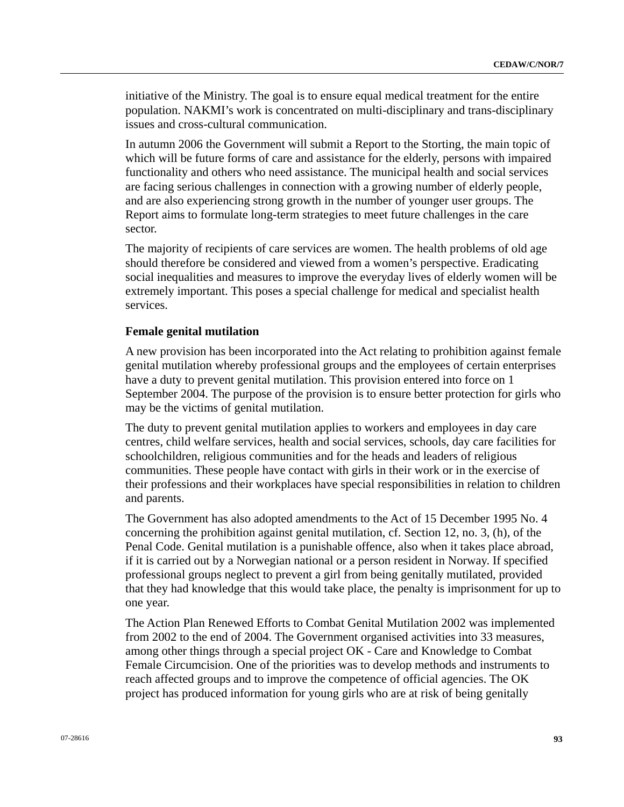initiative of the Ministry. The goal is to ensure equal medical treatment for the entire population. NAKMI's work is concentrated on multi-disciplinary and trans-disciplinary issues and cross-cultural communication.

In autumn 2006 the Government will submit a Report to the Storting, the main topic of which will be future forms of care and assistance for the elderly, persons with impaired functionality and others who need assistance. The municipal health and social services are facing serious challenges in connection with a growing number of elderly people, and are also experiencing strong growth in the number of younger user groups. The Report aims to formulate long-term strategies to meet future challenges in the care sector.

The majority of recipients of care services are women. The health problems of old age should therefore be considered and viewed from a women's perspective. Eradicating social inequalities and measures to improve the everyday lives of elderly women will be extremely important. This poses a special challenge for medical and specialist health services.

#### **Female genital mutilation**

A new provision has been incorporated into the Act relating to prohibition against female genital mutilation whereby professional groups and the employees of certain enterprises have a duty to prevent genital mutilation. This provision entered into force on 1 September 2004. The purpose of the provision is to ensure better protection for girls who may be the victims of genital mutilation.

The duty to prevent genital mutilation applies to workers and employees in day care centres, child welfare services, health and social services, schools, day care facilities for schoolchildren, religious communities and for the heads and leaders of religious communities. These people have contact with girls in their work or in the exercise of their professions and their workplaces have special responsibilities in relation to children and parents.

The Government has also adopted amendments to the Act of 15 December 1995 No. 4 concerning the prohibition against genital mutilation, cf. Section 12, no. 3, (h), of the Penal Code. Genital mutilation is a punishable offence, also when it takes place abroad, if it is carried out by a Norwegian national or a person resident in Norway. If specified professional groups neglect to prevent a girl from being genitally mutilated, provided that they had knowledge that this would take place, the penalty is imprisonment for up to one year.

The Action Plan Renewed Efforts to Combat Genital Mutilation 2002 was implemented from 2002 to the end of 2004. The Government organised activities into 33 measures, among other things through a special project OK - Care and Knowledge to Combat Female Circumcision. One of the priorities was to develop methods and instruments to reach affected groups and to improve the competence of official agencies. The OK project has produced information for young girls who are at risk of being genitally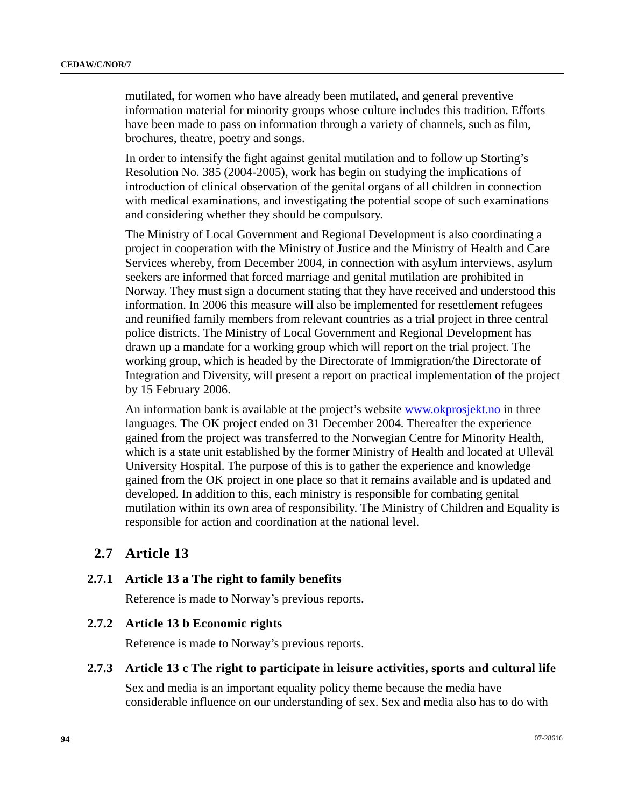mutilated, for women who have already been mutilated, and general preventive information material for minority groups whose culture includes this tradition. Efforts have been made to pass on information through a variety of channels, such as film, brochures, theatre, poetry and songs.

In order to intensify the fight against genital mutilation and to follow up Storting's Resolution No. 385 (2004-2005), work has begin on studying the implications of introduction of clinical observation of the genital organs of all children in connection with medical examinations, and investigating the potential scope of such examinations and considering whether they should be compulsory.

The Ministry of Local Government and Regional Development is also coordinating a project in cooperation with the Ministry of Justice and the Ministry of Health and Care Services whereby, from December 2004, in connection with asylum interviews, asylum seekers are informed that forced marriage and genital mutilation are prohibited in Norway. They must sign a document stating that they have received and understood this information. In 2006 this measure will also be implemented for resettlement refugees and reunified family members from relevant countries as a trial project in three central police districts. The Ministry of Local Government and Regional Development has drawn up a mandate for a working group which will report on the trial project. The working group, which is headed by the Directorate of Immigration/the Directorate of Integration and Diversity, will present a report on practical implementation of the project by 15 February 2006.

An information bank is available at the project's website [www.okprosjekt.no](http://www.okprosjekt.no/) in three languages. The OK project ended on 31 December 2004. Thereafter the experience gained from the project was transferred to the Norwegian Centre for Minority Health, which is a state unit established by the former Ministry of Health and located at Ullevål University Hospital. The purpose of this is to gather the experience and knowledge gained from the OK project in one place so that it remains available and is updated and developed. In addition to this, each ministry is responsible for combating genital mutilation within its own area of responsibility. The Ministry of Children and Equality is responsible for action and coordination at the national level.

# **2.7 Article 13**

## **2.7.1 Article 13 a The right to family benefits**

Reference is made to Norway's previous reports.

# **2.7.2 Article 13 b Economic rights**

Reference is made to Norway's previous reports.

## **2.7.3 Article 13 c The right to participate in leisure activities, sports and cultural life**

Sex and media is an important equality policy theme because the media have considerable influence on our understanding of sex. Sex and media also has to do with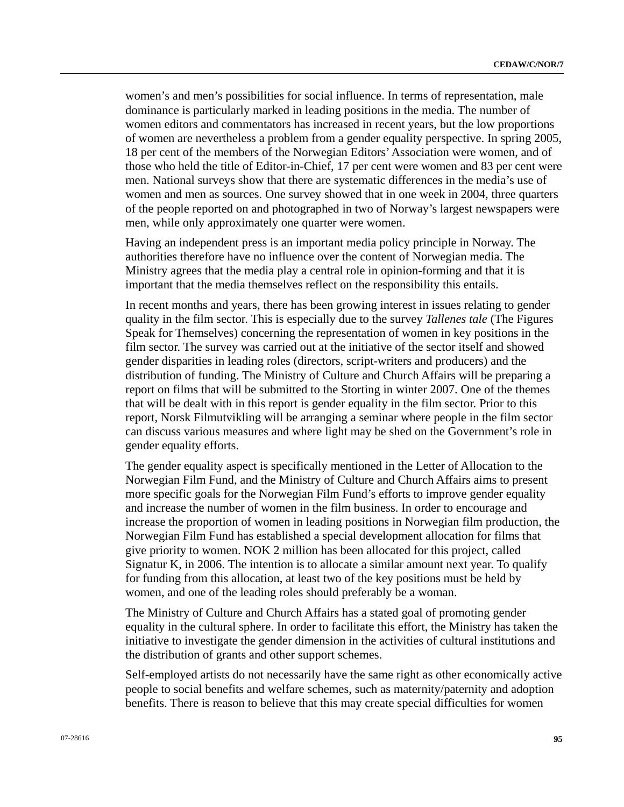women's and men's possibilities for social influence. In terms of representation, male dominance is particularly marked in leading positions in the media. The number of women editors and commentators has increased in recent years, but the low proportions of women are nevertheless a problem from a gender equality perspective. In spring 2005, 18 per cent of the members of the Norwegian Editors' Association were women, and of those who held the title of Editor-in-Chief, 17 per cent were women and 83 per cent were men. National surveys show that there are systematic differences in the media's use of women and men as sources. One survey showed that in one week in 2004, three quarters of the people reported on and photographed in two of Norway's largest newspapers were men, while only approximately one quarter were women.

Having an independent press is an important media policy principle in Norway. The authorities therefore have no influence over the content of Norwegian media. The Ministry agrees that the media play a central role in opinion-forming and that it is important that the media themselves reflect on the responsibility this entails.

In recent months and years, there has been growing interest in issues relating to gender quality in the film sector. This is especially due to the survey *Tallenes tale* (The Figures Speak for Themselves) concerning the representation of women in key positions in the film sector. The survey was carried out at the initiative of the sector itself and showed gender disparities in leading roles (directors, script-writers and producers) and the distribution of funding. The Ministry of Culture and Church Affairs will be preparing a report on films that will be submitted to the Storting in winter 2007. One of the themes that will be dealt with in this report is gender equality in the film sector. Prior to this report, Norsk Filmutvikling will be arranging a seminar where people in the film sector can discuss various measures and where light may be shed on the Government's role in gender equality efforts.

The gender equality aspect is specifically mentioned in the Letter of Allocation to the Norwegian Film Fund, and the Ministry of Culture and Church Affairs aims to present more specific goals for the Norwegian Film Fund's efforts to improve gender equality and increase the number of women in the film business. In order to encourage and increase the proportion of women in leading positions in Norwegian film production, the Norwegian Film Fund has established a special development allocation for films that give priority to women. NOK 2 million has been allocated for this project, called Signatur K, in 2006. The intention is to allocate a similar amount next year. To qualify for funding from this allocation, at least two of the key positions must be held by women, and one of the leading roles should preferably be a woman.

The Ministry of Culture and Church Affairs has a stated goal of promoting gender equality in the cultural sphere. In order to facilitate this effort, the Ministry has taken the initiative to investigate the gender dimension in the activities of cultural institutions and the distribution of grants and other support schemes.

Self-employed artists do not necessarily have the same right as other economically active people to social benefits and welfare schemes, such as maternity/paternity and adoption benefits. There is reason to believe that this may create special difficulties for women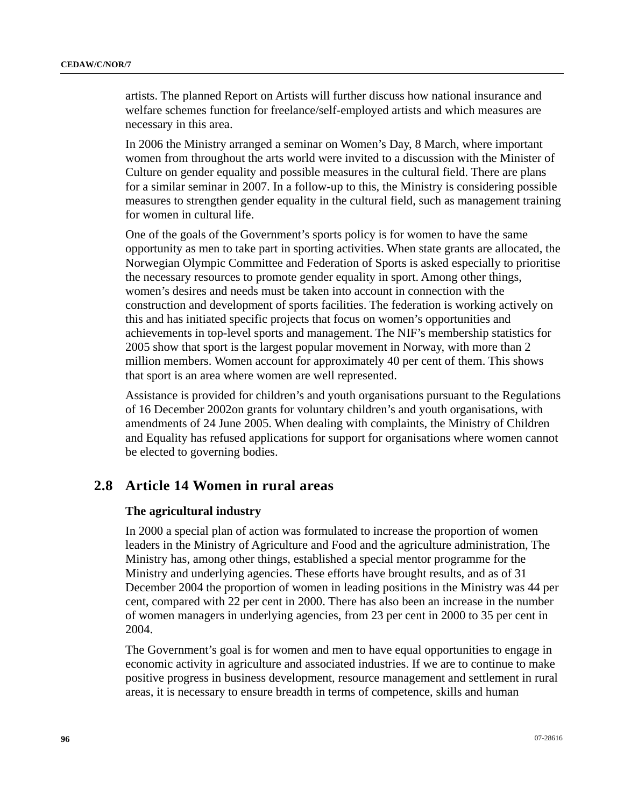artists. The planned Report on Artists will further discuss how national insurance and welfare schemes function for freelance/self-employed artists and which measures are necessary in this area.

In 2006 the Ministry arranged a seminar on Women's Day, 8 March, where important women from throughout the arts world were invited to a discussion with the Minister of Culture on gender equality and possible measures in the cultural field. There are plans for a similar seminar in 2007. In a follow-up to this, the Ministry is considering possible measures to strengthen gender equality in the cultural field, such as management training for women in cultural life.

One of the goals of the Government's sports policy is for women to have the same opportunity as men to take part in sporting activities. When state grants are allocated, the Norwegian Olympic Committee and Federation of Sports is asked especially to prioritise the necessary resources to promote gender equality in sport. Among other things, women's desires and needs must be taken into account in connection with the construction and development of sports facilities. The federation is working actively on this and has initiated specific projects that focus on women's opportunities and achievements in top-level sports and management. The NIF's membership statistics for 2005 show that sport is the largest popular movement in Norway, with more than 2 million members. Women account for approximately 40 per cent of them. This shows that sport is an area where women are well represented.

Assistance is provided for children's and youth organisations pursuant to the Regulations of 16 December 2002on grants for voluntary children's and youth organisations, with amendments of 24 June 2005. When dealing with complaints, the Ministry of Children and Equality has refused applications for support for organisations where women cannot be elected to governing bodies.

# **2.8 Article 14 Women in rural areas**

## **The agricultural industry**

In 2000 a special plan of action was formulated to increase the proportion of women leaders in the Ministry of Agriculture and Food and the agriculture administration, The Ministry has, among other things, established a special mentor programme for the Ministry and underlying agencies. These efforts have brought results, and as of 31 December 2004 the proportion of women in leading positions in the Ministry was 44 per cent, compared with 22 per cent in 2000. There has also been an increase in the number of women managers in underlying agencies, from 23 per cent in 2000 to 35 per cent in 2004.

The Government's goal is for women and men to have equal opportunities to engage in economic activity in agriculture and associated industries. If we are to continue to make positive progress in business development, resource management and settlement in rural areas, it is necessary to ensure breadth in terms of competence, skills and human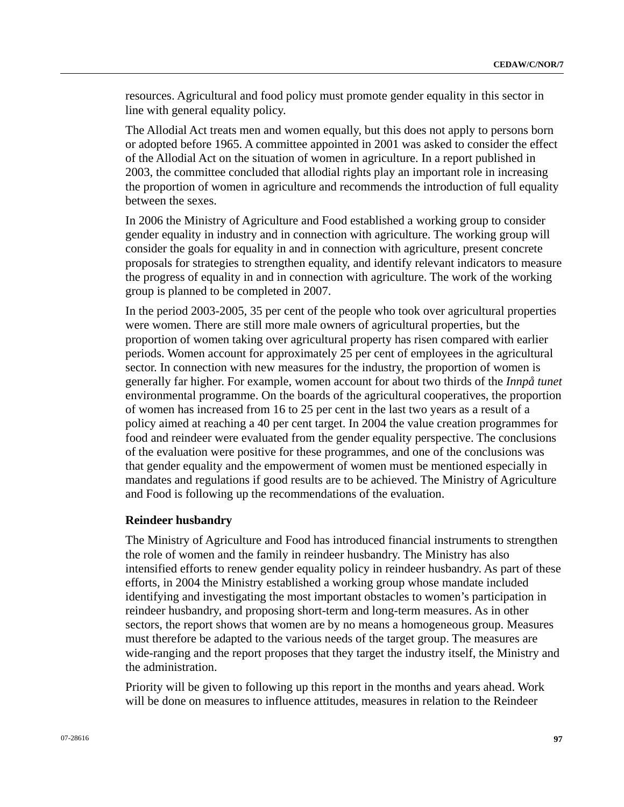resources. Agricultural and food policy must promote gender equality in this sector in line with general equality policy.

The Allodial Act treats men and women equally, but this does not apply to persons born or adopted before 1965. A committee appointed in 2001 was asked to consider the effect of the Allodial Act on the situation of women in agriculture. In a report published in 2003, the committee concluded that allodial rights play an important role in increasing the proportion of women in agriculture and recommends the introduction of full equality between the sexes.

In 2006 the Ministry of Agriculture and Food established a working group to consider gender equality in industry and in connection with agriculture. The working group will consider the goals for equality in and in connection with agriculture, present concrete proposals for strategies to strengthen equality, and identify relevant indicators to measure the progress of equality in and in connection with agriculture. The work of the working group is planned to be completed in 2007.

In the period 2003-2005, 35 per cent of the people who took over agricultural properties were women. There are still more male owners of agricultural properties, but the proportion of women taking over agricultural property has risen compared with earlier periods. Women account for approximately 25 per cent of employees in the agricultural sector. In connection with new measures for the industry, the proportion of women is generally far higher. For example, women account for about two thirds of the *Innpå tunet* environmental programme. On the boards of the agricultural cooperatives, the proportion of women has increased from 16 to 25 per cent in the last two years as a result of a policy aimed at reaching a 40 per cent target. In 2004 the value creation programmes for food and reindeer were evaluated from the gender equality perspective. The conclusions of the evaluation were positive for these programmes, and one of the conclusions was that gender equality and the empowerment of women must be mentioned especially in mandates and regulations if good results are to be achieved. The Ministry of Agriculture and Food is following up the recommendations of the evaluation.

#### **Reindeer husbandry**

The Ministry of Agriculture and Food has introduced financial instruments to strengthen the role of women and the family in reindeer husbandry. The Ministry has also intensified efforts to renew gender equality policy in reindeer husbandry. As part of these efforts, in 2004 the Ministry established a working group whose mandate included identifying and investigating the most important obstacles to women's participation in reindeer husbandry, and proposing short-term and long-term measures. As in other sectors, the report shows that women are by no means a homogeneous group. Measures must therefore be adapted to the various needs of the target group. The measures are wide-ranging and the report proposes that they target the industry itself, the Ministry and the administration.

Priority will be given to following up this report in the months and years ahead. Work will be done on measures to influence attitudes, measures in relation to the Reindeer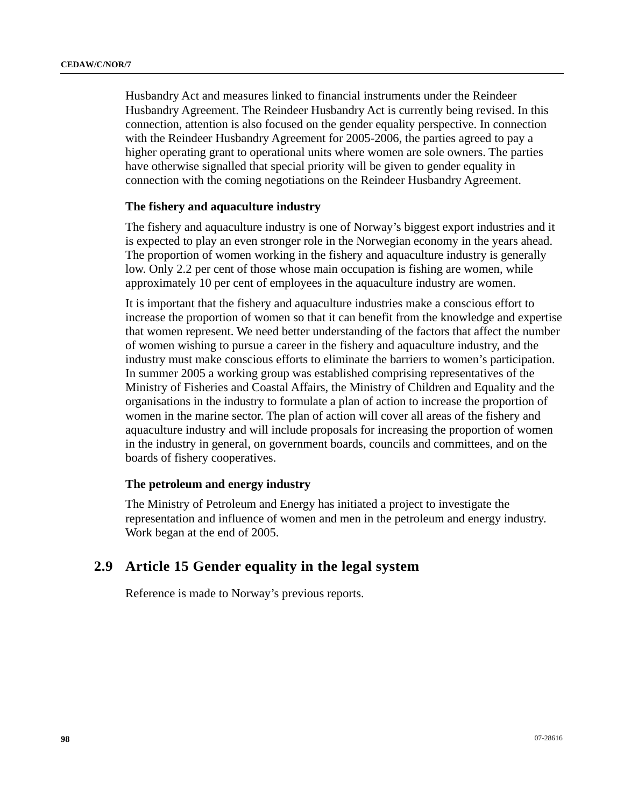Husbandry Act and measures linked to financial instruments under the Reindeer Husbandry Agreement. The Reindeer Husbandry Act is currently being revised. In this connection, attention is also focused on the gender equality perspective. In connection with the Reindeer Husbandry Agreement for 2005-2006, the parties agreed to pay a higher operating grant to operational units where women are sole owners. The parties have otherwise signalled that special priority will be given to gender equality in connection with the coming negotiations on the Reindeer Husbandry Agreement.

## **The fishery and aquaculture industry**

The fishery and aquaculture industry is one of Norway's biggest export industries and it is expected to play an even stronger role in the Norwegian economy in the years ahead. The proportion of women working in the fishery and aquaculture industry is generally low. Only 2.2 per cent of those whose main occupation is fishing are women, while approximately 10 per cent of employees in the aquaculture industry are women.

It is important that the fishery and aquaculture industries make a conscious effort to increase the proportion of women so that it can benefit from the knowledge and expertise that women represent. We need better understanding of the factors that affect the number of women wishing to pursue a career in the fishery and aquaculture industry, and the industry must make conscious efforts to eliminate the barriers to women's participation. In summer 2005 a working group was established comprising representatives of the Ministry of Fisheries and Coastal Affairs, the Ministry of Children and Equality and the organisations in the industry to formulate a plan of action to increase the proportion of women in the marine sector. The plan of action will cover all areas of the fishery and aquaculture industry and will include proposals for increasing the proportion of women in the industry in general, on government boards, councils and committees, and on the boards of fishery cooperatives.

#### **The petroleum and energy industry**

The Ministry of Petroleum and Energy has initiated a project to investigate the representation and influence of women and men in the petroleum and energy industry. Work began at the end of 2005.

# **2.9 Article 15 Gender equality in the legal system**

Reference is made to Norway's previous reports.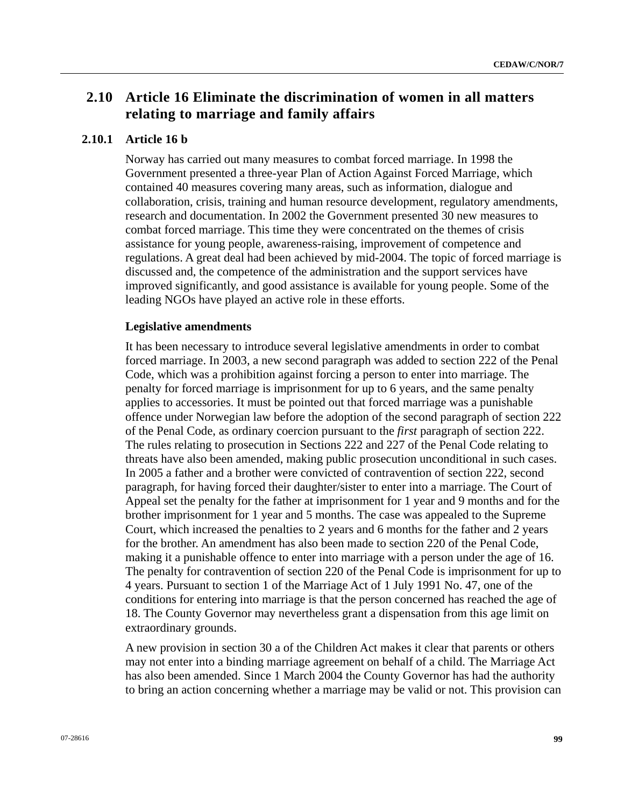# **2.10 Article 16 Eliminate the discrimination of women in all matters relating to marriage and family affairs**

## **2.10.1 Article 16 b**

Norway has carried out many measures to combat forced marriage. In 1998 the Government presented a three-year Plan of Action Against Forced Marriage, which contained 40 measures covering many areas, such as information, dialogue and collaboration, crisis, training and human resource development, regulatory amendments, research and documentation. In 2002 the Government presented 30 new measures to combat forced marriage. This time they were concentrated on the themes of crisis assistance for young people, awareness-raising, improvement of competence and regulations. A great deal had been achieved by mid-2004. The topic of forced marriage is discussed and, the competence of the administration and the support services have improved significantly, and good assistance is available for young people. Some of the leading NGOs have played an active role in these efforts.

#### **Legislative amendments**

It has been necessary to introduce several legislative amendments in order to combat forced marriage. In 2003, a new second paragraph was added to section 222 of the Penal Code, which was a prohibition against forcing a person to enter into marriage. The penalty for forced marriage is imprisonment for up to 6 years, and the same penalty applies to accessories. It must be pointed out that forced marriage was a punishable offence under Norwegian law before the adoption of the second paragraph of section 222 of the Penal Code, as ordinary coercion pursuant to the *first* paragraph of section 222. The rules relating to prosecution in Sections 222 and 227 of the Penal Code relating to threats have also been amended, making public prosecution unconditional in such cases. In 2005 a father and a brother were convicted of contravention of section 222, second paragraph, for having forced their daughter/sister to enter into a marriage. The Court of Appeal set the penalty for the father at imprisonment for 1 year and 9 months and for the brother imprisonment for 1 year and 5 months. The case was appealed to the Supreme Court, which increased the penalties to 2 years and 6 months for the father and 2 years for the brother. An amendment has also been made to section 220 of the Penal Code, making it a punishable offence to enter into marriage with a person under the age of 16. The penalty for contravention of section 220 of the Penal Code is imprisonment for up to 4 years. Pursuant to section 1 of the Marriage Act of 1 July 1991 No. 47, one of the conditions for entering into marriage is that the person concerned has reached the age of 18. The County Governor may nevertheless grant a dispensation from this age limit on extraordinary grounds.

A new provision in section 30 a of the Children Act makes it clear that parents or others may not enter into a binding marriage agreement on behalf of a child. The Marriage Act has also been amended. Since 1 March 2004 the County Governor has had the authority to bring an action concerning whether a marriage may be valid or not. This provision can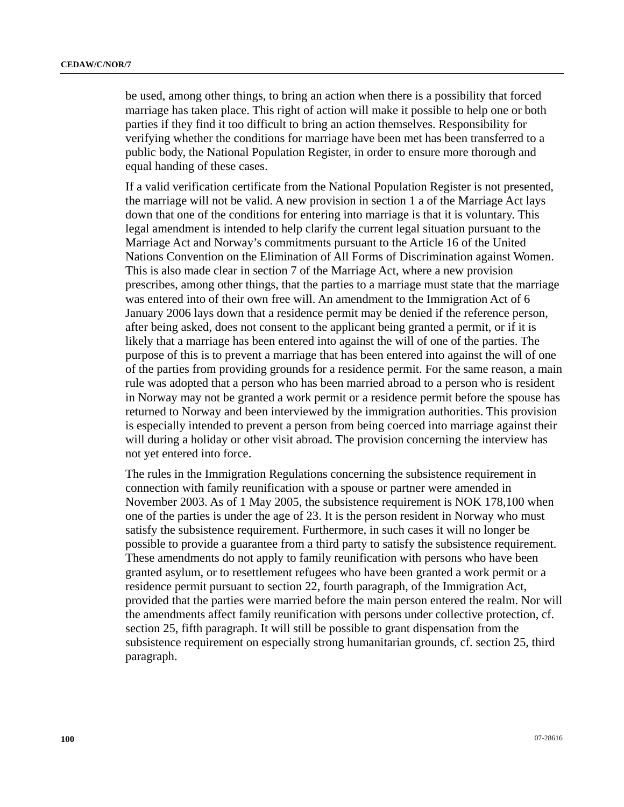be used, among other things, to bring an action when there is a possibility that forced marriage has taken place. This right of action will make it possible to help one or both parties if they find it too difficult to bring an action themselves. Responsibility for verifying whether the conditions for marriage have been met has been transferred to a public body, the National Population Register, in order to ensure more thorough and equal handing of these cases.

If a valid verification certificate from the National Population Register is not presented, the marriage will not be valid. A new provision in section 1 a of the Marriage Act lays down that one of the conditions for entering into marriage is that it is voluntary. This legal amendment is intended to help clarify the current legal situation pursuant to the Marriage Act and Norway's commitments pursuant to the Article 16 of the United Nations Convention on the Elimination of All Forms of Discrimination against Women. This is also made clear in section 7 of the Marriage Act, where a new provision prescribes, among other things, that the parties to a marriage must state that the marriage was entered into of their own free will. An amendment to the Immigration Act of 6 January 2006 lays down that a residence permit may be denied if the reference person, after being asked, does not consent to the applicant being granted a permit, or if it is likely that a marriage has been entered into against the will of one of the parties. The purpose of this is to prevent a marriage that has been entered into against the will of one of the parties from providing grounds for a residence permit. For the same reason, a main rule was adopted that a person who has been married abroad to a person who is resident in Norway may not be granted a work permit or a residence permit before the spouse has returned to Norway and been interviewed by the immigration authorities. This provision is especially intended to prevent a person from being coerced into marriage against their will during a holiday or other visit abroad. The provision concerning the interview has not yet entered into force.

The rules in the Immigration Regulations concerning the subsistence requirement in connection with family reunification with a spouse or partner were amended in November 2003. As of 1 May 2005, the subsistence requirement is NOK 178,100 when one of the parties is under the age of 23. It is the person resident in Norway who must satisfy the subsistence requirement. Furthermore, in such cases it will no longer be possible to provide a guarantee from a third party to satisfy the subsistence requirement. These amendments do not apply to family reunification with persons who have been granted asylum, or to resettlement refugees who have been granted a work permit or a residence permit pursuant to section 22, fourth paragraph, of the Immigration Act, provided that the parties were married before the main person entered the realm. Nor will the amendments affect family reunification with persons under collective protection, cf. section 25, fifth paragraph. It will still be possible to grant dispensation from the subsistence requirement on especially strong humanitarian grounds, cf. section 25, third paragraph.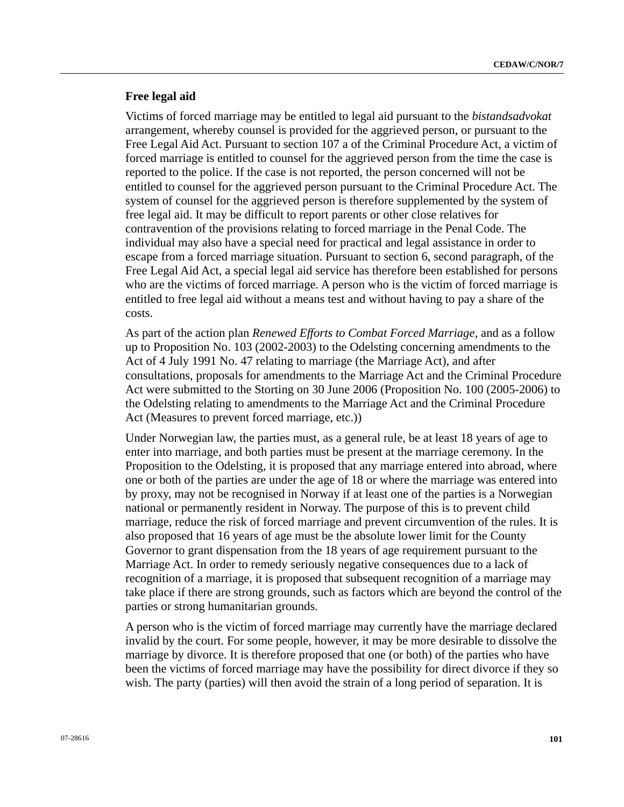## **Free legal aid**

Victims of forced marriage may be entitled to legal aid pursuant to the *bistandsadvokat* arrangement, whereby counsel is provided for the aggrieved person, or pursuant to the Free Legal Aid Act. Pursuant to section 107 a of the Criminal Procedure Act, a victim of forced marriage is entitled to counsel for the aggrieved person from the time the case is reported to the police. If the case is not reported, the person concerned will not be entitled to counsel for the aggrieved person pursuant to the Criminal Procedure Act. The system of counsel for the aggrieved person is therefore supplemented by the system of free legal aid. It may be difficult to report parents or other close relatives for contravention of the provisions relating to forced marriage in the Penal Code. The individual may also have a special need for practical and legal assistance in order to escape from a forced marriage situation. Pursuant to section 6, second paragraph, of the Free Legal Aid Act, a special legal aid service has therefore been established for persons who are the victims of forced marriage. A person who is the victim of forced marriage is entitled to free legal aid without a means test and without having to pay a share of the costs.

As part of the action plan *Renewed Efforts to Combat Forced Marriage*, and as a follow up to Proposition No. 103 (2002-2003) to the Odelsting concerning amendments to the Act of 4 July 1991 No. 47 relating to marriage (the Marriage Act), and after consultations, proposals for amendments to the Marriage Act and the Criminal Procedure Act were submitted to the Storting on 30 June 2006 (Proposition No. 100 (2005-2006) to the Odelsting relating to amendments to the Marriage Act and the Criminal Procedure Act (Measures to prevent forced marriage, etc.))

Under Norwegian law, the parties must, as a general rule, be at least 18 years of age to enter into marriage, and both parties must be present at the marriage ceremony. In the Proposition to the Odelsting, it is proposed that any marriage entered into abroad, where one or both of the parties are under the age of 18 or where the marriage was entered into by proxy, may not be recognised in Norway if at least one of the parties is a Norwegian national or permanently resident in Norway. The purpose of this is to prevent child marriage, reduce the risk of forced marriage and prevent circumvention of the rules. It is also proposed that 16 years of age must be the absolute lower limit for the County Governor to grant dispensation from the 18 years of age requirement pursuant to the Marriage Act. In order to remedy seriously negative consequences due to a lack of recognition of a marriage, it is proposed that subsequent recognition of a marriage may take place if there are strong grounds, such as factors which are beyond the control of the parties or strong humanitarian grounds.

A person who is the victim of forced marriage may currently have the marriage declared invalid by the court. For some people, however, it may be more desirable to dissolve the marriage by divorce. It is therefore proposed that one (or both) of the parties who have been the victims of forced marriage may have the possibility for direct divorce if they so wish. The party (parties) will then avoid the strain of a long period of separation. It is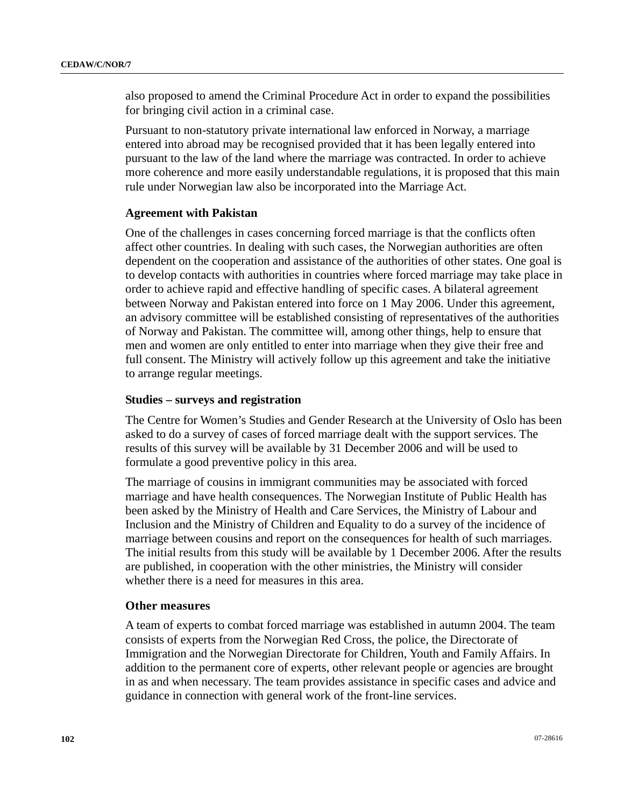also proposed to amend the Criminal Procedure Act in order to expand the possibilities for bringing civil action in a criminal case.

Pursuant to non-statutory private international law enforced in Norway, a marriage entered into abroad may be recognised provided that it has been legally entered into pursuant to the law of the land where the marriage was contracted. In order to achieve more coherence and more easily understandable regulations, it is proposed that this main rule under Norwegian law also be incorporated into the Marriage Act.

## **Agreement with Pakistan**

One of the challenges in cases concerning forced marriage is that the conflicts often affect other countries. In dealing with such cases, the Norwegian authorities are often dependent on the cooperation and assistance of the authorities of other states. One goal is to develop contacts with authorities in countries where forced marriage may take place in order to achieve rapid and effective handling of specific cases. A bilateral agreement between Norway and Pakistan entered into force on 1 May 2006. Under this agreement, an advisory committee will be established consisting of representatives of the authorities of Norway and Pakistan. The committee will, among other things, help to ensure that men and women are only entitled to enter into marriage when they give their free and full consent. The Ministry will actively follow up this agreement and take the initiative to arrange regular meetings.

#### **Studies – surveys and registration**

The Centre for Women's Studies and Gender Research at the University of Oslo has been asked to do a survey of cases of forced marriage dealt with the support services. The results of this survey will be available by 31 December 2006 and will be used to formulate a good preventive policy in this area.

The marriage of cousins in immigrant communities may be associated with forced marriage and have health consequences. The Norwegian Institute of Public Health has been asked by the Ministry of Health and Care Services, the Ministry of Labour and Inclusion and the Ministry of Children and Equality to do a survey of the incidence of marriage between cousins and report on the consequences for health of such marriages. The initial results from this study will be available by 1 December 2006. After the results are published, in cooperation with the other ministries, the Ministry will consider whether there is a need for measures in this area.

#### **Other measures**

A team of experts to combat forced marriage was established in autumn 2004. The team consists of experts from the Norwegian Red Cross, the police, the Directorate of Immigration and the Norwegian Directorate for Children, Youth and Family Affairs. In addition to the permanent core of experts, other relevant people or agencies are brought in as and when necessary. The team provides assistance in specific cases and advice and guidance in connection with general work of the front-line services.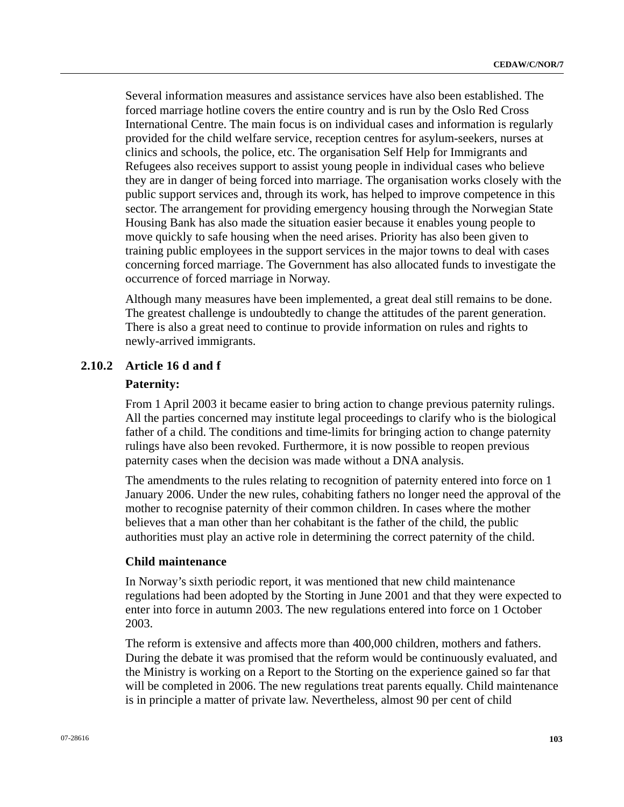Several information measures and assistance services have also been established. The forced marriage hotline covers the entire country and is run by the Oslo Red Cross International Centre. The main focus is on individual cases and information is regularly provided for the child welfare service, reception centres for asylum-seekers, nurses at clinics and schools, the police, etc. The organisation Self Help for Immigrants and Refugees also receives support to assist young people in individual cases who believe they are in danger of being forced into marriage. The organisation works closely with the public support services and, through its work, has helped to improve competence in this sector. The arrangement for providing emergency housing through the Norwegian State Housing Bank has also made the situation easier because it enables young people to move quickly to safe housing when the need arises. Priority has also been given to training public employees in the support services in the major towns to deal with cases concerning forced marriage. The Government has also allocated funds to investigate the occurrence of forced marriage in Norway.

Although many measures have been implemented, a great deal still remains to be done. The greatest challenge is undoubtedly to change the attitudes of the parent generation. There is also a great need to continue to provide information on rules and rights to newly-arrived immigrants.

# **2.10.2 Article 16 d and f**

#### **Paternity:**

From 1 April 2003 it became easier to bring action to change previous paternity rulings. All the parties concerned may institute legal proceedings to clarify who is the biological father of a child. The conditions and time-limits for bringing action to change paternity rulings have also been revoked. Furthermore, it is now possible to reopen previous paternity cases when the decision was made without a DNA analysis.

The amendments to the rules relating to recognition of paternity entered into force on 1 January 2006. Under the new rules, cohabiting fathers no longer need the approval of the mother to recognise paternity of their common children. In cases where the mother believes that a man other than her cohabitant is the father of the child, the public authorities must play an active role in determining the correct paternity of the child.

## **Child maintenance**

In Norway's sixth periodic report, it was mentioned that new child maintenance regulations had been adopted by the Storting in June 2001 and that they were expected to enter into force in autumn 2003. The new regulations entered into force on 1 October 2003.

The reform is extensive and affects more than 400,000 children, mothers and fathers. During the debate it was promised that the reform would be continuously evaluated, and the Ministry is working on a Report to the Storting on the experience gained so far that will be completed in 2006. The new regulations treat parents equally. Child maintenance is in principle a matter of private law. Nevertheless, almost 90 per cent of child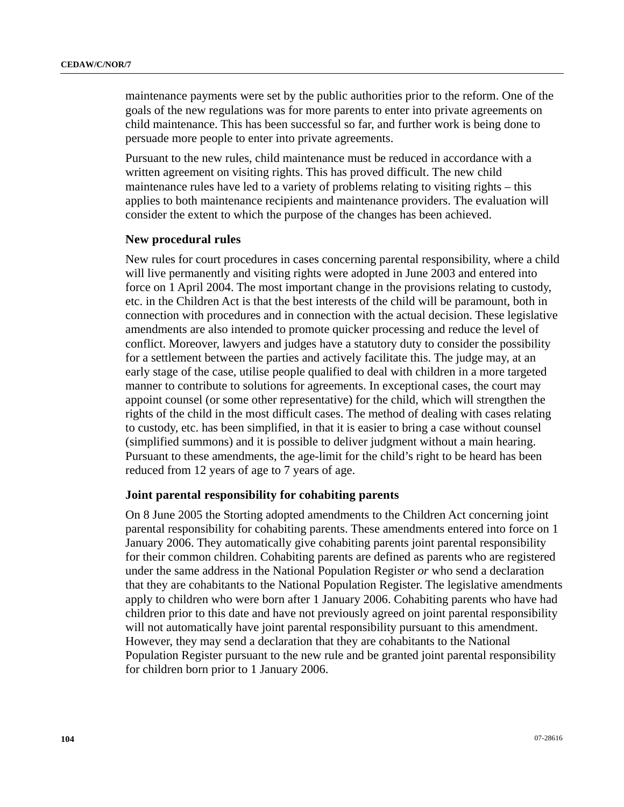maintenance payments were set by the public authorities prior to the reform. One of the goals of the new regulations was for more parents to enter into private agreements on child maintenance. This has been successful so far, and further work is being done to persuade more people to enter into private agreements.

Pursuant to the new rules, child maintenance must be reduced in accordance with a written agreement on visiting rights. This has proved difficult. The new child maintenance rules have led to a variety of problems relating to visiting rights – this applies to both maintenance recipients and maintenance providers. The evaluation will consider the extent to which the purpose of the changes has been achieved.

#### **New procedural rules**

New rules for court procedures in cases concerning parental responsibility, where a child will live permanently and visiting rights were adopted in June 2003 and entered into force on 1 April 2004. The most important change in the provisions relating to custody, etc. in the Children Act is that the best interests of the child will be paramount, both in connection with procedures and in connection with the actual decision. These legislative amendments are also intended to promote quicker processing and reduce the level of conflict. Moreover, lawyers and judges have a statutory duty to consider the possibility for a settlement between the parties and actively facilitate this. The judge may, at an early stage of the case, utilise people qualified to deal with children in a more targeted manner to contribute to solutions for agreements. In exceptional cases, the court may appoint counsel (or some other representative) for the child, which will strengthen the rights of the child in the most difficult cases. The method of dealing with cases relating to custody, etc. has been simplified, in that it is easier to bring a case without counsel (simplified summons) and it is possible to deliver judgment without a main hearing. Pursuant to these amendments, the age-limit for the child's right to be heard has been reduced from 12 years of age to 7 years of age.

#### **Joint parental responsibility for cohabiting parents**

On 8 June 2005 the Storting adopted amendments to the Children Act concerning joint parental responsibility for cohabiting parents. These amendments entered into force on 1 January 2006. They automatically give cohabiting parents joint parental responsibility for their common children. Cohabiting parents are defined as parents who are registered under the same address in the National Population Register *or* who send a declaration that they are cohabitants to the National Population Register. The legislative amendments apply to children who were born after 1 January 2006. Cohabiting parents who have had children prior to this date and have not previously agreed on joint parental responsibility will not automatically have joint parental responsibility pursuant to this amendment. However, they may send a declaration that they are cohabitants to the National Population Register pursuant to the new rule and be granted joint parental responsibility for children born prior to 1 January 2006.